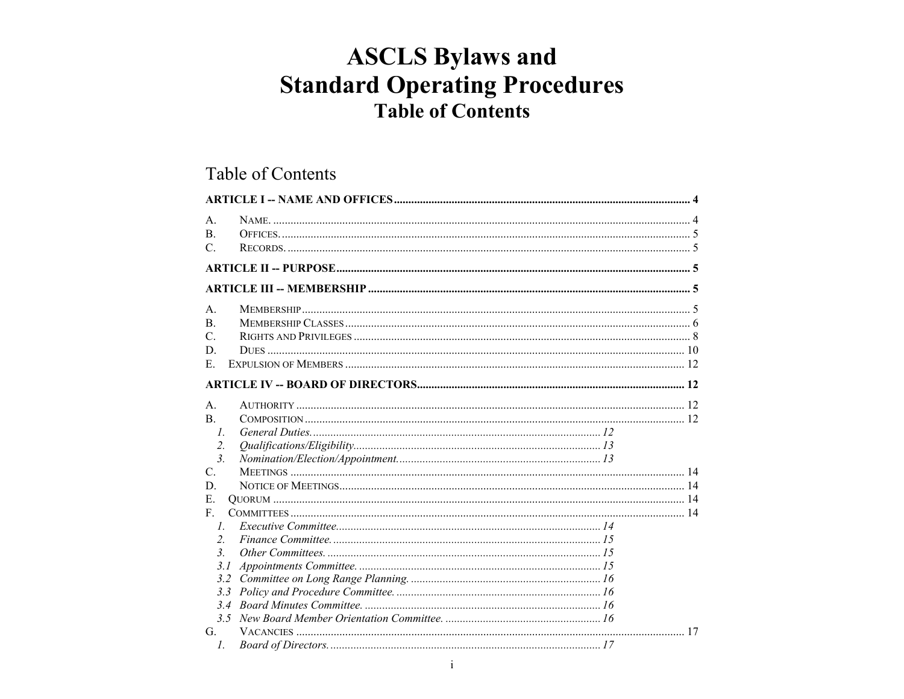# **ASCLS Bylaws and Standard Operating Procedures Table of Contents**

## Table of Contents

| $\mathsf{A}$ .<br>$\mathbf{B}$ .<br>$\mathcal{C}$ .                         |  |
|-----------------------------------------------------------------------------|--|
|                                                                             |  |
|                                                                             |  |
| $\mathsf{A}$ .<br>$\mathbf{B}$ .<br>$C_{\cdot}$<br>D.<br>$E_{\rm c}$        |  |
|                                                                             |  |
| $\mathsf{A}$ .<br>$\mathbf{B}$ .<br>$\mathcal{I}$ .<br>2.<br>3 <sub>1</sub> |  |
| $C_{\cdot}$<br>D.<br>E.                                                     |  |
| F.<br>$\mathcal{I}$ .<br>2.<br>$\mathcal{E}$<br>3.1                         |  |
| G.<br>$\mathcal{I}$ .                                                       |  |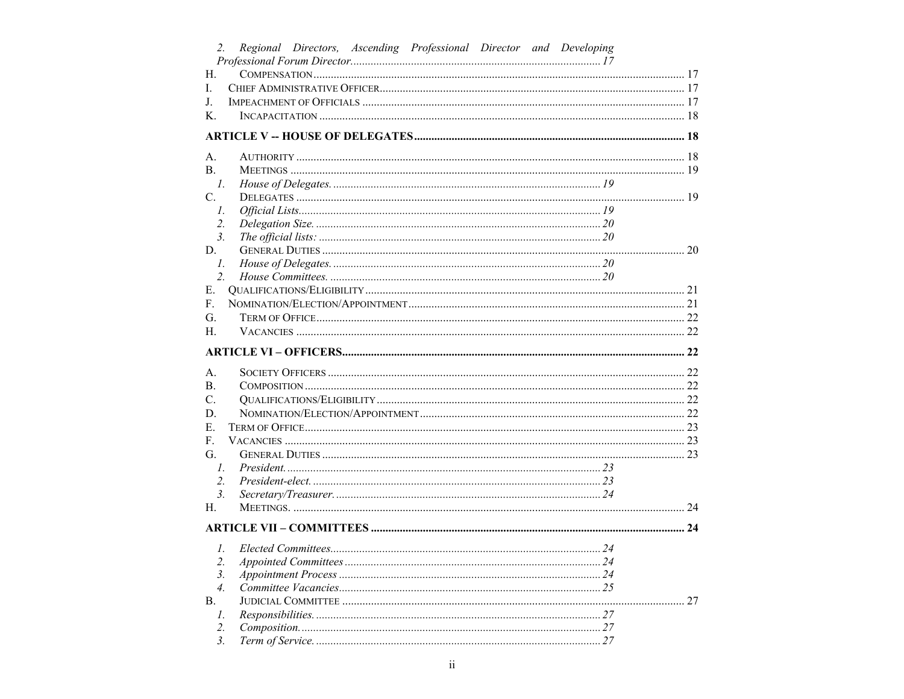| 2.               | Regional Directors, Ascending Professional Director and Developing |    |
|------------------|--------------------------------------------------------------------|----|
|                  |                                                                    |    |
| Н.               |                                                                    |    |
| I.               |                                                                    |    |
| J.               |                                                                    |    |
| Κ.               |                                                                    |    |
|                  |                                                                    |    |
| А.               |                                                                    |    |
| В.               |                                                                    |    |
| $\mathcal{I}$ .  |                                                                    |    |
| $C_{\cdot}$      |                                                                    |    |
| $I_{\cdot}$      |                                                                    |    |
| 2.               |                                                                    |    |
| $\mathfrak{Z}$ . |                                                                    |    |
| D.               |                                                                    |    |
| $I_{\cdot}$      |                                                                    |    |
| $\overline{2}$ . |                                                                    |    |
| E.               |                                                                    |    |
| F.               |                                                                    |    |
| G.               |                                                                    |    |
| Н.               |                                                                    |    |
|                  |                                                                    |    |
| А.               |                                                                    |    |
| В.               |                                                                    |    |
| C.               |                                                                    |    |
| D.               |                                                                    |    |
| E.               |                                                                    |    |
| F.               |                                                                    |    |
| G.               |                                                                    |    |
| $\mathcal{I}$ .  |                                                                    |    |
| 2.               |                                                                    |    |
| 3.               |                                                                    |    |
| Н.               |                                                                    |    |
|                  |                                                                    |    |
|                  |                                                                    |    |
| 2.               |                                                                    |    |
| 3.               |                                                                    |    |
| $\overline{4}$ . |                                                                    |    |
| В.               |                                                                    | 27 |
| 1.               |                                                                    |    |
| $\overline{2}$ . |                                                                    |    |
| 3.               |                                                                    |    |
|                  |                                                                    |    |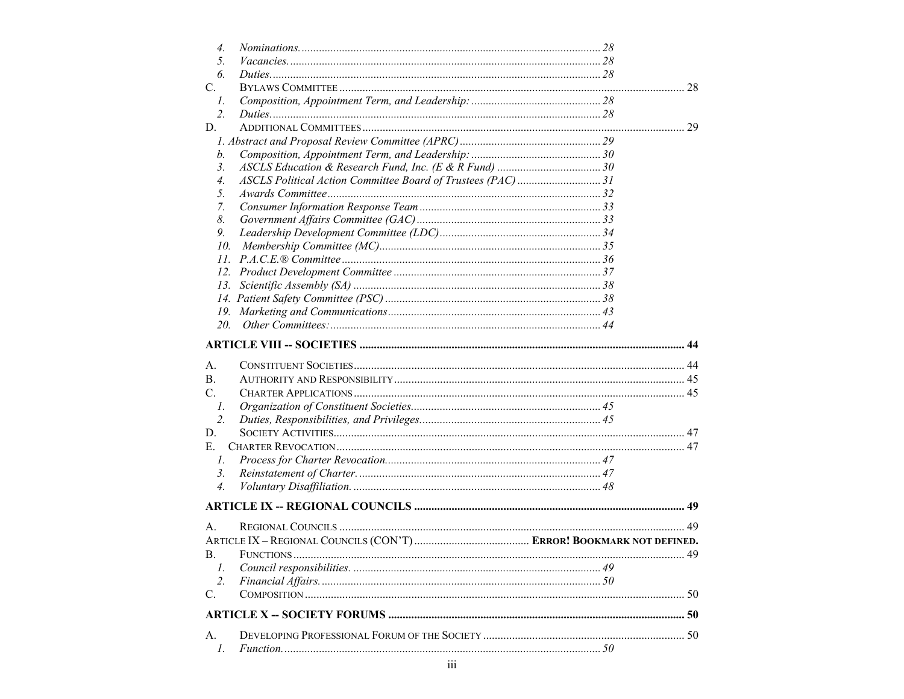| $\overline{4}$ . |  |    |
|------------------|--|----|
| 5.               |  |    |
| 6.               |  |    |
| C.               |  |    |
| $\mathcal{I}$ .  |  |    |
| $\overline{2}$ . |  |    |
| D.               |  |    |
|                  |  |    |
| b.               |  |    |
| $\mathfrak{Z}$ . |  |    |
| 4.               |  |    |
| 5.               |  |    |
| 7.               |  |    |
| 8.               |  |    |
| 9.               |  |    |
| 10.              |  |    |
|                  |  |    |
|                  |  |    |
| 13.              |  |    |
|                  |  |    |
|                  |  |    |
| 20.              |  |    |
|                  |  |    |
|                  |  |    |
| А.               |  |    |
| <b>B.</b>        |  |    |
| $C_{\cdot}$      |  |    |
| $\mathcal{I}$ .  |  |    |
| 2.               |  |    |
| D.               |  |    |
| E.               |  |    |
| 1.               |  |    |
| 3.               |  |    |
| $\overline{4}$ . |  |    |
|                  |  |    |
| А.               |  |    |
|                  |  |    |
| В.               |  | 49 |
| 1.               |  |    |
| $\overline{2}$ . |  |    |
| C.               |  |    |
|                  |  |    |
| А.               |  |    |
| $\mathcal{I}$ .  |  |    |
|                  |  |    |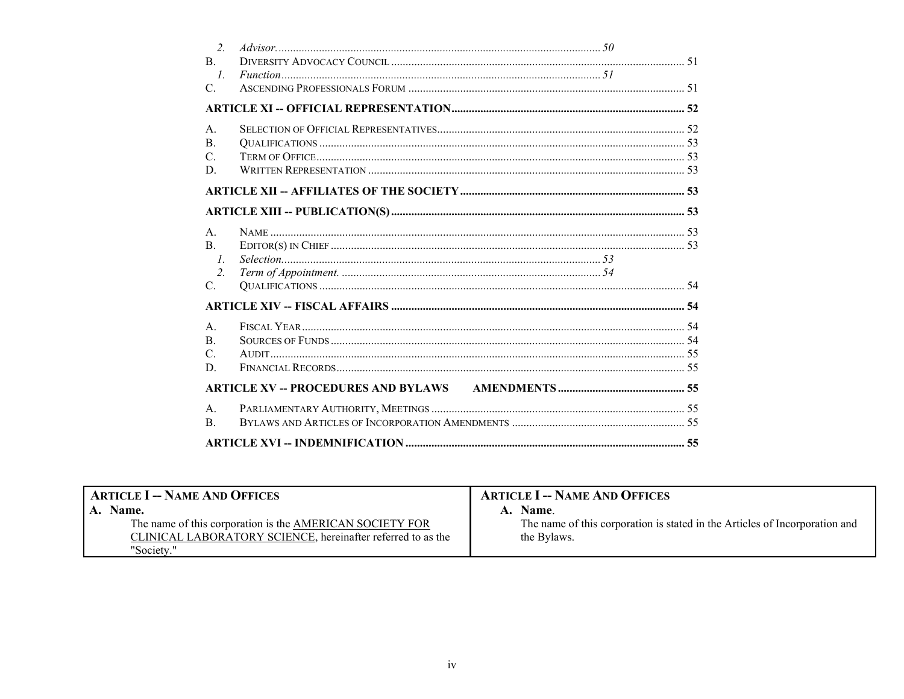| $\overline{2}$ . |  |  |
|------------------|--|--|
| $\mathbf{B}$     |  |  |
| $\mathcal{I}$    |  |  |
| $C_{\cdot}$      |  |  |
|                  |  |  |
| $\mathsf{A}$ .   |  |  |
| $\mathbf{B}$ .   |  |  |
| $C_{\cdot}$      |  |  |
| D                |  |  |
|                  |  |  |
|                  |  |  |
| $A_{\cdot}$      |  |  |
| $\mathbf{B}$ .   |  |  |
| $\mathcal{I}$ .  |  |  |
| $\overline{2}$ . |  |  |
| $C_{\cdot}$      |  |  |
|                  |  |  |
| $\mathsf{A}$ .   |  |  |
| $\mathbf{B}$ .   |  |  |
| $\mathcal{C}$ .  |  |  |
| D.               |  |  |
|                  |  |  |
| A <sub>1</sub>   |  |  |
| $\mathbf{B}$ .   |  |  |
|                  |  |  |

<span id="page-3-1"></span><span id="page-3-0"></span>

| <b>ARTICLE I -- NAME AND OFFICES</b>                        | <b>ARTICLE I -- NAME AND OFFICES</b>                                        |
|-------------------------------------------------------------|-----------------------------------------------------------------------------|
| Name.                                                       | A. Name.                                                                    |
| The name of this corporation is the AMERICAN SOCIETY FOR    | The name of this corporation is stated in the Articles of Incorporation and |
| CLINICAL LABORATORY SCIENCE, hereinafter referred to as the | the Bylaws.                                                                 |
| "Society."                                                  |                                                                             |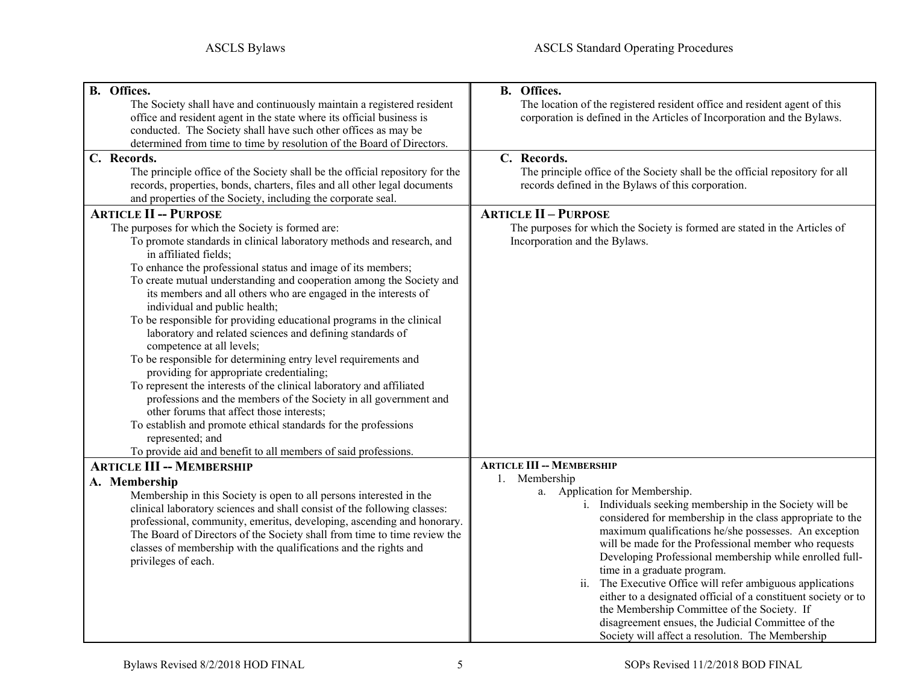<span id="page-4-4"></span><span id="page-4-3"></span><span id="page-4-2"></span><span id="page-4-1"></span><span id="page-4-0"></span>

| B. Offices.                                                                  | <b>B.</b> Offices.                                                           |
|------------------------------------------------------------------------------|------------------------------------------------------------------------------|
| The Society shall have and continuously maintain a registered resident       | The location of the registered resident office and resident agent of this    |
| office and resident agent in the state where its official business is        | corporation is defined in the Articles of Incorporation and the Bylaws.      |
| conducted. The Society shall have such other offices as may be               |                                                                              |
| determined from time to time by resolution of the Board of Directors.        |                                                                              |
| C. Records.                                                                  | C. Records.                                                                  |
| The principle office of the Society shall be the official repository for the | The principle office of the Society shall be the official repository for all |
| records, properties, bonds, charters, files and all other legal documents    | records defined in the Bylaws of this corporation.                           |
| and properties of the Society, including the corporate seal.                 |                                                                              |
| <b>ARTICLE II -- PURPOSE</b>                                                 | <b>ARTICLE II - PURPOSE</b>                                                  |
| The purposes for which the Society is formed are:                            | The purposes for which the Society is formed are stated in the Articles of   |
| To promote standards in clinical laboratory methods and research, and        | Incorporation and the Bylaws.                                                |
| in affiliated fields;                                                        |                                                                              |
| To enhance the professional status and image of its members;                 |                                                                              |
| To create mutual understanding and cooperation among the Society and         |                                                                              |
| its members and all others who are engaged in the interests of               |                                                                              |
| individual and public health;                                                |                                                                              |
| To be responsible for providing educational programs in the clinical         |                                                                              |
| laboratory and related sciences and defining standards of                    |                                                                              |
| competence at all levels;                                                    |                                                                              |
| To be responsible for determining entry level requirements and               |                                                                              |
| providing for appropriate credentialing;                                     |                                                                              |
| To represent the interests of the clinical laboratory and affiliated         |                                                                              |
| professions and the members of the Society in all government and             |                                                                              |
| other forums that affect those interests;                                    |                                                                              |
| To establish and promote ethical standards for the professions               |                                                                              |
| represented; and                                                             |                                                                              |
| To provide aid and benefit to all members of said professions.               |                                                                              |
| <b>ARTICLE III -- MEMBERSHIP</b>                                             | <b>ARTICLE III -- MEMBERSHIP</b>                                             |
|                                                                              | 1. Membership                                                                |
| A. Membership                                                                | a. Application for Membership.                                               |
| Membership in this Society is open to all persons interested in the          | i. Individuals seeking membership in the Society will be                     |
| clinical laboratory sciences and shall consist of the following classes:     | considered for membership in the class appropriate to the                    |
| professional, community, emeritus, developing, ascending and honorary.       | maximum qualifications he/she possesses. An exception                        |
| The Board of Directors of the Society shall from time to time review the     | will be made for the Professional member who requests                        |
| classes of membership with the qualifications and the rights and             | Developing Professional membership while enrolled full-                      |
| privileges of each.                                                          | time in a graduate program.                                                  |
|                                                                              | ii.<br>The Executive Office will refer ambiguous applications                |
|                                                                              | either to a designated official of a constituent society or to               |
|                                                                              | the Membership Committee of the Society. If                                  |
|                                                                              | disagreement ensues, the Judicial Committee of the                           |
|                                                                              | Society will affect a resolution. The Membership                             |
|                                                                              |                                                                              |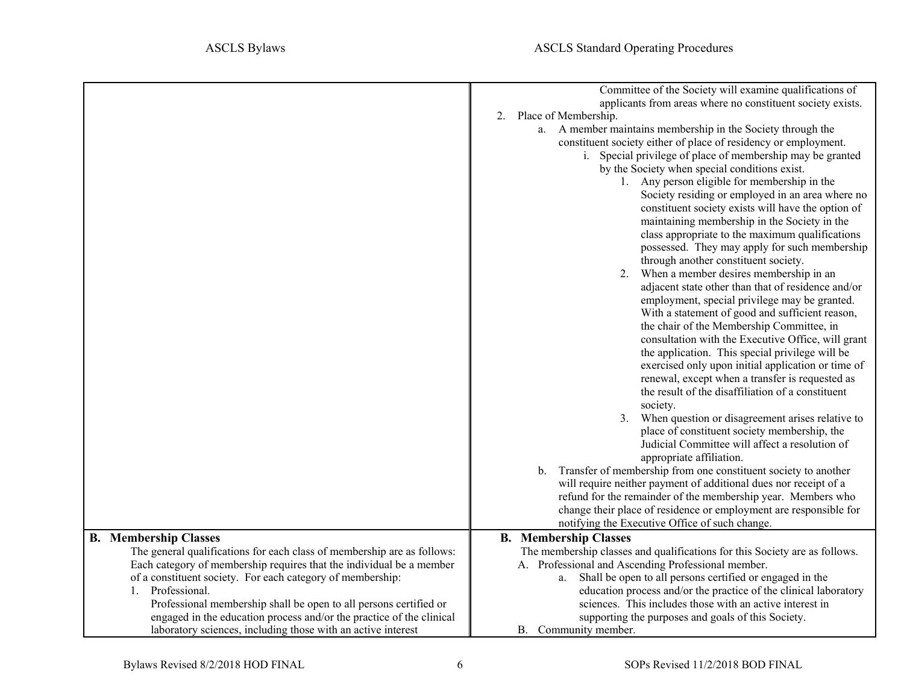<span id="page-5-0"></span>

|                                                                             | Committee of the Society will examine qualifications of<br>applicants from areas where no constituent society exists.<br>2. Place of Membership.<br>a. A member maintains membership in the Society through the<br>constituent society either of place of residency or employment.<br>i. Special privilege of place of membership may be granted<br>by the Society when special conditions exist.<br>1. Any person eligible for membership in the<br>Society residing or employed in an area where no<br>constituent society exists will have the option of<br>maintaining membership in the Society in the<br>class appropriate to the maximum qualifications<br>possessed. They may apply for such membership<br>through another constituent society.<br>When a member desires membership in an<br>adjacent state other than that of residence and/or<br>employment, special privilege may be granted.<br>With a statement of good and sufficient reason,<br>the chair of the Membership Committee, in<br>consultation with the Executive Office, will grant<br>the application. This special privilege will be<br>exercised only upon initial application or time of<br>renewal, except when a transfer is requested as<br>the result of the disaffiliation of a constituent<br>society.<br>When question or disagreement arises relative to<br>3.<br>place of constituent society membership, the<br>Judicial Committee will affect a resolution of<br>appropriate affiliation.<br>Transfer of membership from one constituent society to another<br>b.<br>will require neither payment of additional dues nor receipt of a<br>refund for the remainder of the membership year. Members who<br>change their place of residence or employment are responsible for<br>notifying the Executive Office of such change. |
|-----------------------------------------------------------------------------|------------------------------------------------------------------------------------------------------------------------------------------------------------------------------------------------------------------------------------------------------------------------------------------------------------------------------------------------------------------------------------------------------------------------------------------------------------------------------------------------------------------------------------------------------------------------------------------------------------------------------------------------------------------------------------------------------------------------------------------------------------------------------------------------------------------------------------------------------------------------------------------------------------------------------------------------------------------------------------------------------------------------------------------------------------------------------------------------------------------------------------------------------------------------------------------------------------------------------------------------------------------------------------------------------------------------------------------------------------------------------------------------------------------------------------------------------------------------------------------------------------------------------------------------------------------------------------------------------------------------------------------------------------------------------------------------------------------------------------------------------------------------------------------------------------------------|
| <b>B.</b> Membership Classes                                                | <b>B.</b> Membership Classes                                                                                                                                                                                                                                                                                                                                                                                                                                                                                                                                                                                                                                                                                                                                                                                                                                                                                                                                                                                                                                                                                                                                                                                                                                                                                                                                                                                                                                                                                                                                                                                                                                                                                                                                                                                           |
| The general qualifications for each class of membership are as follows:     | The membership classes and qualifications for this Society are as follows.                                                                                                                                                                                                                                                                                                                                                                                                                                                                                                                                                                                                                                                                                                                                                                                                                                                                                                                                                                                                                                                                                                                                                                                                                                                                                                                                                                                                                                                                                                                                                                                                                                                                                                                                             |
| Each category of membership requires that the individual be a member        | A. Professional and Ascending Professional member.                                                                                                                                                                                                                                                                                                                                                                                                                                                                                                                                                                                                                                                                                                                                                                                                                                                                                                                                                                                                                                                                                                                                                                                                                                                                                                                                                                                                                                                                                                                                                                                                                                                                                                                                                                     |
| of a constituent society. For each category of membership:<br>Professional. | Shall be open to all persons certified or engaged in the<br>a.                                                                                                                                                                                                                                                                                                                                                                                                                                                                                                                                                                                                                                                                                                                                                                                                                                                                                                                                                                                                                                                                                                                                                                                                                                                                                                                                                                                                                                                                                                                                                                                                                                                                                                                                                         |
| Professional membership shall be open to all persons certified or           | education process and/or the practice of the clinical laboratory<br>sciences. This includes those with an active interest in                                                                                                                                                                                                                                                                                                                                                                                                                                                                                                                                                                                                                                                                                                                                                                                                                                                                                                                                                                                                                                                                                                                                                                                                                                                                                                                                                                                                                                                                                                                                                                                                                                                                                           |
| engaged in the education process and/or the practice of the clinical        | supporting the purposes and goals of this Society.                                                                                                                                                                                                                                                                                                                                                                                                                                                                                                                                                                                                                                                                                                                                                                                                                                                                                                                                                                                                                                                                                                                                                                                                                                                                                                                                                                                                                                                                                                                                                                                                                                                                                                                                                                     |
| laboratory sciences, including those with an active interest                | B. Community member.                                                                                                                                                                                                                                                                                                                                                                                                                                                                                                                                                                                                                                                                                                                                                                                                                                                                                                                                                                                                                                                                                                                                                                                                                                                                                                                                                                                                                                                                                                                                                                                                                                                                                                                                                                                                   |
|                                                                             |                                                                                                                                                                                                                                                                                                                                                                                                                                                                                                                                                                                                                                                                                                                                                                                                                                                                                                                                                                                                                                                                                                                                                                                                                                                                                                                                                                                                                                                                                                                                                                                                                                                                                                                                                                                                                        |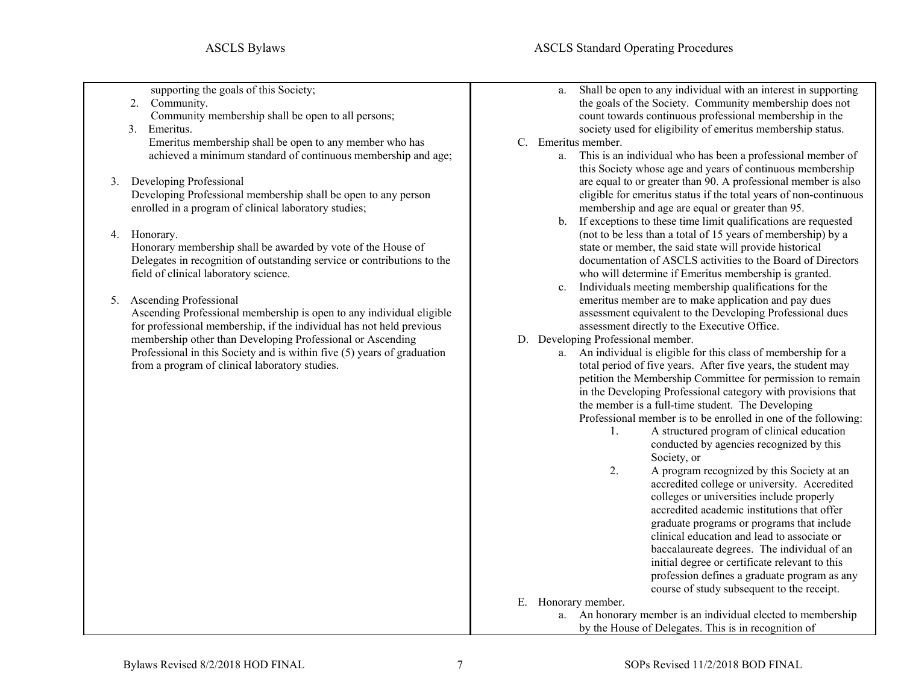supporting the goals of this Society;

- 2. Community. Community membership shall be open to all persons;
- 3. Emeritus. Emeritus membership shall be open to any member who has achieved a minimum standard of continuous membership and age;
- 3. Developing Professional

Developing Professional membership shall be open to any person enrolled in a program of clinical laboratory studies;

4. Honorary.

Honorary membership shall be awarded by vote of the House of Delegates in recognition of outstanding service or contributions to the field of clinical laboratory science.

5. Ascending Professional

Ascending Professional membership is open to any individual eligible for professional membership, if the individual has not held previous membership other than Developing Professional or Ascending Professional in this Society and is within five (5) years of graduation from a program of clinical laboratory studies.

- a. Shall be open to any individual with an interest in supporting the goals of the Society. Community membership does not count towards continuous professional membership in the society used for eligibility of emeritus membership status.
- C. Emeritus member.
	- a. This is an individual who has been a professional member of this Society whose age and years of continuous membership are equal to or greater than 90. A professional member is also eligible for emeritus status if the total years of non-continuous membership and age are equal or greater than 95.
	- b. If exceptions to these time limit qualifications are requested (not to be less than a total of 15 years of membership) by a state or member, the said state will provide historical documentation of ASCLS activities to the Board of Directors who will determine if Emeritus membership is granted.
	- c. Individuals meeting membership qualifications for the emeritus member are to make application and pay dues assessment equivalent to the Developing Professional dues assessment directly to the Executive Office.
- D. Developing Professional member.
	- a. An individual is eligible for this class of membership for a total period of five years. After five years, the student may petition the Membership Committee for permission to remain in the Developing Professional category with provisions that the member is a full-time student. The Developing Professional member is to be enrolled in one of the following:
		- 1. A structured program of clinical education conducted by agencies recognized by this Society, or
		- 2. A program recognized by this Society at an accredited college or university. Accredited colleges or universities include properly accredited academic institutions that offer graduate programs or programs that include clinical education and lead to associate or baccalaureate degrees. The individual of an initial degree or certificate relevant to this profession defines a graduate program as any course of study subsequent to the receipt.

E. Honorary member.

a. An honorary member is an individual elected to membership by the House of Delegates. This is in recognition of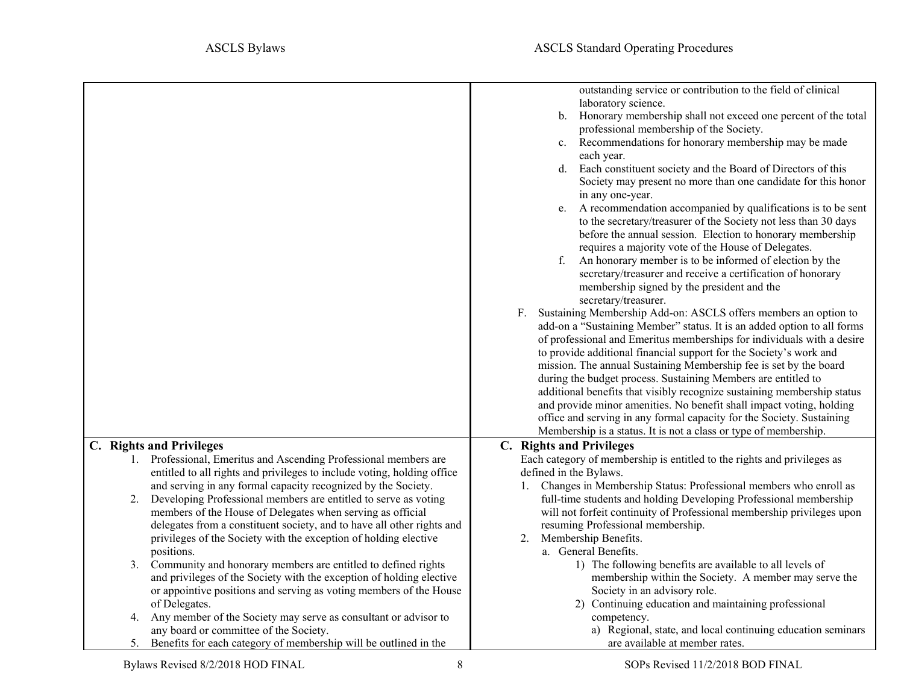<span id="page-7-0"></span>

|                                                                                                                                            | outstanding service or contribution to the field of clinical<br>laboratory science.<br>Honorary membership shall not exceed one percent of the total<br>b.<br>professional membership of the Society. |
|--------------------------------------------------------------------------------------------------------------------------------------------|-------------------------------------------------------------------------------------------------------------------------------------------------------------------------------------------------------|
|                                                                                                                                            | Recommendations for honorary membership may be made<br>c.                                                                                                                                             |
|                                                                                                                                            | each year.<br>d. Each constituent society and the Board of Directors of this                                                                                                                          |
|                                                                                                                                            | Society may present no more than one candidate for this honor<br>in any one-year.                                                                                                                     |
|                                                                                                                                            | A recommendation accompanied by qualifications is to be sent<br>e.                                                                                                                                    |
|                                                                                                                                            | to the secretary/treasurer of the Society not less than 30 days<br>before the annual session. Election to honorary membership                                                                         |
|                                                                                                                                            | requires a majority vote of the House of Delegates.<br>An honorary member is to be informed of election by the<br>f.                                                                                  |
|                                                                                                                                            | secretary/treasurer and receive a certification of honorary<br>membership signed by the president and the<br>secretary/treasurer.                                                                     |
|                                                                                                                                            | F. Sustaining Membership Add-on: ASCLS offers members an option to                                                                                                                                    |
|                                                                                                                                            | add-on a "Sustaining Member" status. It is an added option to all forms<br>of professional and Emeritus memberships for individuals with a desire                                                     |
|                                                                                                                                            | to provide additional financial support for the Society's work and                                                                                                                                    |
|                                                                                                                                            | mission. The annual Sustaining Membership fee is set by the board<br>during the budget process. Sustaining Members are entitled to                                                                    |
|                                                                                                                                            | additional benefits that visibly recognize sustaining membership status                                                                                                                               |
|                                                                                                                                            | and provide minor amenities. No benefit shall impact voting, holding<br>office and serving in any formal capacity for the Society. Sustaining                                                         |
|                                                                                                                                            | Membership is a status. It is not a class or type of membership.                                                                                                                                      |
| C. Rights and Privileges                                                                                                                   | C. Rights and Privileges                                                                                                                                                                              |
| 1. Professional, Emeritus and Ascending Professional members are                                                                           | Each category of membership is entitled to the rights and privileges as                                                                                                                               |
| entitled to all rights and privileges to include voting, holding office<br>and serving in any formal capacity recognized by the Society.   | defined in the Bylaws.<br>Changes in Membership Status: Professional members who enroll as                                                                                                            |
| Developing Professional members are entitled to serve as voting<br>2.                                                                      | full-time students and holding Developing Professional membership                                                                                                                                     |
| members of the House of Delegates when serving as official                                                                                 | will not forfeit continuity of Professional membership privileges upon                                                                                                                                |
| delegates from a constituent society, and to have all other rights and                                                                     | resuming Professional membership.                                                                                                                                                                     |
| privileges of the Society with the exception of holding elective                                                                           | Membership Benefits.<br>2.                                                                                                                                                                            |
| positions.                                                                                                                                 | a. General Benefits.                                                                                                                                                                                  |
| Community and honorary members are entitled to defined rights<br>3.                                                                        | 1) The following benefits are available to all levels of                                                                                                                                              |
| and privileges of the Society with the exception of holding elective<br>or appointive positions and serving as voting members of the House | membership within the Society. A member may serve the<br>Society in an advisory role.                                                                                                                 |
| of Delegates.                                                                                                                              | 2) Continuing education and maintaining professional                                                                                                                                                  |
| Any member of the Society may serve as consultant or advisor to<br>4.                                                                      | competency.                                                                                                                                                                                           |
| any board or committee of the Society.                                                                                                     | a) Regional, state, and local continuing education seminars                                                                                                                                           |
| 5. Benefits for each category of membership will be outlined in the                                                                        | are available at member rates.                                                                                                                                                                        |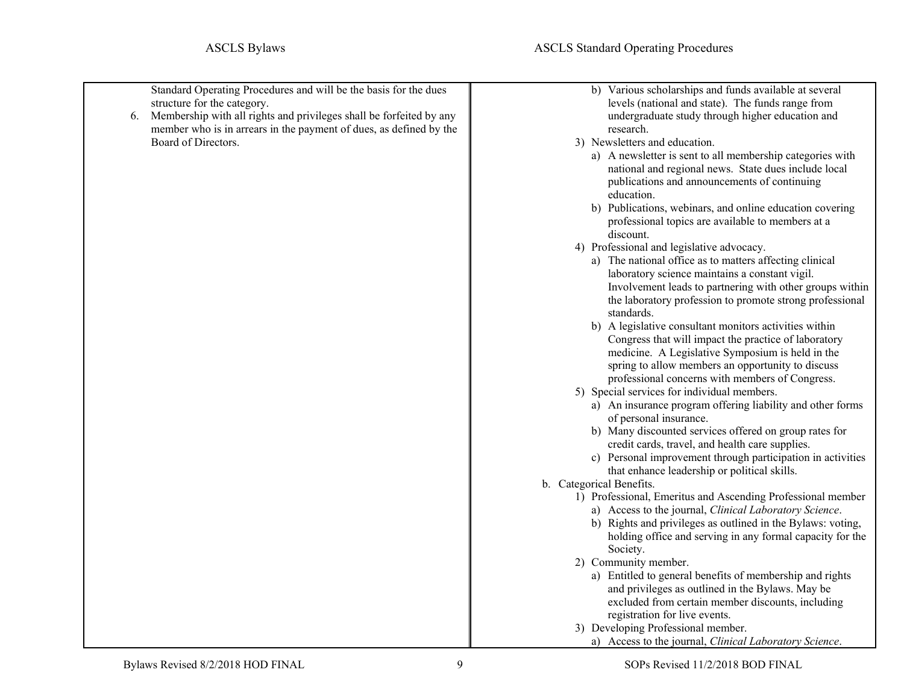| structure for the category.<br>6.<br>Board of Directors. | Standard Operating Procedures and will be the basis for the dues<br>Membership with all rights and privileges shall be forfeited by any<br>member who is in arrears in the payment of dues, as defined by the | b) Various scholarships and funds available at several<br>levels (national and state). The funds range from<br>undergraduate study through higher education and<br>research.<br>3) Newsletters and education.<br>a) A newsletter is sent to all membership categories with<br>national and regional news. State dues include local<br>publications and announcements of continuing<br>education.<br>b) Publications, webinars, and online education covering<br>professional topics are available to members at a<br>discount.<br>4) Professional and legislative advocacy.<br>a) The national office as to matters affecting clinical<br>laboratory science maintains a constant vigil.<br>Involvement leads to partnering with other groups within<br>the laboratory profession to promote strong professional<br>standards.<br>b) A legislative consultant monitors activities within<br>Congress that will impact the practice of laboratory<br>medicine. A Legislative Symposium is held in the<br>spring to allow members an opportunity to discuss<br>professional concerns with members of Congress.<br>5) Special services for individual members.<br>a) An insurance program offering liability and other forms<br>of personal insurance.<br>b) Many discounted services offered on group rates for<br>credit cards, travel, and health care supplies.<br>c) Personal improvement through participation in activities<br>that enhance leadership or political skills.<br>b. Categorical Benefits.<br>1) Professional, Emeritus and Ascending Professional member<br>a) Access to the journal, Clinical Laboratory Science.<br>b) Rights and privileges as outlined in the Bylaws: voting,<br>holding office and serving in any formal capacity for the<br>Society.<br>2) Community member. |
|----------------------------------------------------------|---------------------------------------------------------------------------------------------------------------------------------------------------------------------------------------------------------------|------------------------------------------------------------------------------------------------------------------------------------------------------------------------------------------------------------------------------------------------------------------------------------------------------------------------------------------------------------------------------------------------------------------------------------------------------------------------------------------------------------------------------------------------------------------------------------------------------------------------------------------------------------------------------------------------------------------------------------------------------------------------------------------------------------------------------------------------------------------------------------------------------------------------------------------------------------------------------------------------------------------------------------------------------------------------------------------------------------------------------------------------------------------------------------------------------------------------------------------------------------------------------------------------------------------------------------------------------------------------------------------------------------------------------------------------------------------------------------------------------------------------------------------------------------------------------------------------------------------------------------------------------------------------------------------------------------------------------------------------------------------------------------------------------|
|                                                          |                                                                                                                                                                                                               | a) Entitled to general benefits of membership and rights<br>and privileges as outlined in the Bylaws. May be                                                                                                                                                                                                                                                                                                                                                                                                                                                                                                                                                                                                                                                                                                                                                                                                                                                                                                                                                                                                                                                                                                                                                                                                                                                                                                                                                                                                                                                                                                                                                                                                                                                                                         |
|                                                          |                                                                                                                                                                                                               | excluded from certain member discounts, including<br>registration for live events.<br>3) Developing Professional member.                                                                                                                                                                                                                                                                                                                                                                                                                                                                                                                                                                                                                                                                                                                                                                                                                                                                                                                                                                                                                                                                                                                                                                                                                                                                                                                                                                                                                                                                                                                                                                                                                                                                             |
|                                                          |                                                                                                                                                                                                               | a) Access to the journal, Clinical Laboratory Science.                                                                                                                                                                                                                                                                                                                                                                                                                                                                                                                                                                                                                                                                                                                                                                                                                                                                                                                                                                                                                                                                                                                                                                                                                                                                                                                                                                                                                                                                                                                                                                                                                                                                                                                                               |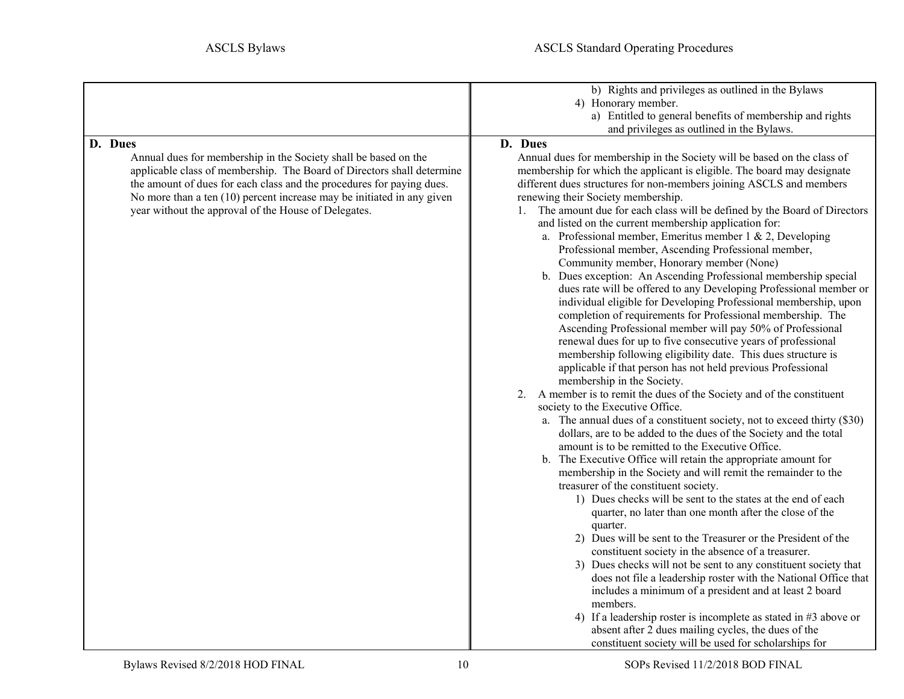<span id="page-9-0"></span>

|                                                                                                                                                                                                                                                                                                                                                                 | b) Rights and privileges as outlined in the Bylaws<br>4) Honorary member.<br>a) Entitled to general benefits of membership and rights                                                                                                                                                                                                                                                                                                                                                                                                                                                                                                                                                                                                                                                                                                                                                                                                                                                                                                                                                                                                                                                                                                                                                                                                                                                                                                                                                                                                                                                                                                                                                                                                                                                                                                                                                                                                                                                                                                                                                                                                                                              |
|-----------------------------------------------------------------------------------------------------------------------------------------------------------------------------------------------------------------------------------------------------------------------------------------------------------------------------------------------------------------|------------------------------------------------------------------------------------------------------------------------------------------------------------------------------------------------------------------------------------------------------------------------------------------------------------------------------------------------------------------------------------------------------------------------------------------------------------------------------------------------------------------------------------------------------------------------------------------------------------------------------------------------------------------------------------------------------------------------------------------------------------------------------------------------------------------------------------------------------------------------------------------------------------------------------------------------------------------------------------------------------------------------------------------------------------------------------------------------------------------------------------------------------------------------------------------------------------------------------------------------------------------------------------------------------------------------------------------------------------------------------------------------------------------------------------------------------------------------------------------------------------------------------------------------------------------------------------------------------------------------------------------------------------------------------------------------------------------------------------------------------------------------------------------------------------------------------------------------------------------------------------------------------------------------------------------------------------------------------------------------------------------------------------------------------------------------------------------------------------------------------------------------------------------------------------|
|                                                                                                                                                                                                                                                                                                                                                                 |                                                                                                                                                                                                                                                                                                                                                                                                                                                                                                                                                                                                                                                                                                                                                                                                                                                                                                                                                                                                                                                                                                                                                                                                                                                                                                                                                                                                                                                                                                                                                                                                                                                                                                                                                                                                                                                                                                                                                                                                                                                                                                                                                                                    |
| D. Dues<br>Annual dues for membership in the Society shall be based on the<br>applicable class of membership. The Board of Directors shall determine<br>the amount of dues for each class and the procedures for paying dues.<br>No more than a ten (10) percent increase may be initiated in any given<br>year without the approval of the House of Delegates. | and privileges as outlined in the Bylaws.<br>D. Dues<br>Annual dues for membership in the Society will be based on the class of<br>membership for which the applicant is eligible. The board may designate<br>different dues structures for non-members joining ASCLS and members<br>renewing their Society membership.<br>1. The amount due for each class will be defined by the Board of Directors<br>and listed on the current membership application for:<br>a. Professional member, Emeritus member 1 & 2, Developing<br>Professional member, Ascending Professional member,<br>Community member, Honorary member (None)<br>b. Dues exception: An Ascending Professional membership special<br>dues rate will be offered to any Developing Professional member or<br>individual eligible for Developing Professional membership, upon<br>completion of requirements for Professional membership. The<br>Ascending Professional member will pay 50% of Professional<br>renewal dues for up to five consecutive years of professional<br>membership following eligibility date. This dues structure is<br>applicable if that person has not held previous Professional<br>membership in the Society.<br>2. A member is to remit the dues of the Society and of the constituent<br>society to the Executive Office.<br>a. The annual dues of a constituent society, not to exceed thirty (\$30)<br>dollars, are to be added to the dues of the Society and the total<br>amount is to be remitted to the Executive Office.<br>b. The Executive Office will retain the appropriate amount for<br>membership in the Society and will remit the remainder to the<br>treasurer of the constituent society.<br>1) Dues checks will be sent to the states at the end of each<br>quarter, no later than one month after the close of the<br>quarter.<br>2) Dues will be sent to the Treasurer or the President of the<br>constituent society in the absence of a treasurer.<br>3) Dues checks will not be sent to any constituent society that<br>does not file a leadership roster with the National Office that<br>includes a minimum of a president and at least 2 board<br>members. |
|                                                                                                                                                                                                                                                                                                                                                                 | 4) If a leadership roster is incomplete as stated in #3 above or<br>absent after 2 dues mailing cycles, the dues of the<br>constituent society will be used for scholarships for                                                                                                                                                                                                                                                                                                                                                                                                                                                                                                                                                                                                                                                                                                                                                                                                                                                                                                                                                                                                                                                                                                                                                                                                                                                                                                                                                                                                                                                                                                                                                                                                                                                                                                                                                                                                                                                                                                                                                                                                   |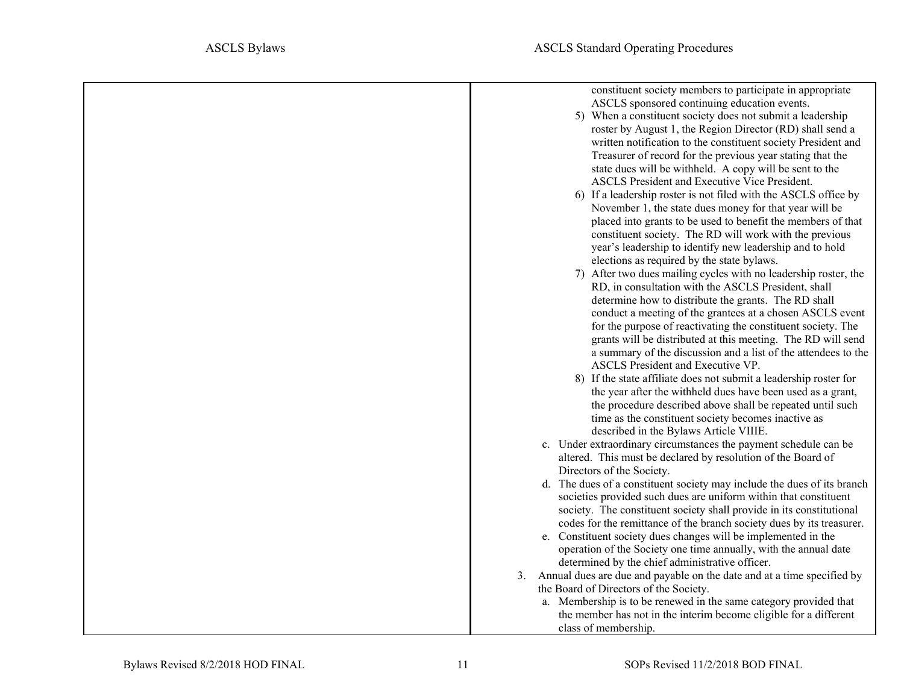| constituent society members to participate in appropriate<br>ASCLS sponsored continuing education events.<br>5) When a constituent society does not submit a leadership<br>roster by August 1, the Region Director (RD) shall send a<br>written notification to the constituent society President and<br>Treasurer of record for the previous year stating that the<br>state dues will be withheld. A copy will be sent to the<br>ASCLS President and Executive Vice President.<br>6) If a leadership roster is not filed with the ASCLS office by<br>November 1, the state dues money for that year will be<br>placed into grants to be used to benefit the members of that<br>constituent society. The RD will work with the previous<br>year's leadership to identify new leadership and to hold<br>elections as required by the state bylaws.<br>7) After two dues mailing cycles with no leadership roster, the<br>RD, in consultation with the ASCLS President, shall<br>determine how to distribute the grants. The RD shall<br>conduct a meeting of the grantees at a chosen ASCLS event<br>for the purpose of reactivating the constituent society. The<br>grants will be distributed at this meeting. The RD will send<br>a summary of the discussion and a list of the attendees to the<br>ASCLS President and Executive VP.<br>8) If the state affiliate does not submit a leadership roster for<br>the year after the withheld dues have been used as a grant,<br>the procedure described above shall be repeated until such<br>time as the constituent society becomes inactive as<br>described in the Bylaws Article VIIIE.<br>c. Under extraordinary circumstances the payment schedule can be<br>altered. This must be declared by resolution of the Board of<br>Directors of the Society.<br>d. The dues of a constituent society may include the dues of its branch<br>societies provided such dues are uniform within that constituent<br>society. The constituent society shall provide in its constitutional |
|------------------------------------------------------------------------------------------------------------------------------------------------------------------------------------------------------------------------------------------------------------------------------------------------------------------------------------------------------------------------------------------------------------------------------------------------------------------------------------------------------------------------------------------------------------------------------------------------------------------------------------------------------------------------------------------------------------------------------------------------------------------------------------------------------------------------------------------------------------------------------------------------------------------------------------------------------------------------------------------------------------------------------------------------------------------------------------------------------------------------------------------------------------------------------------------------------------------------------------------------------------------------------------------------------------------------------------------------------------------------------------------------------------------------------------------------------------------------------------------------------------------------------------------------------------------------------------------------------------------------------------------------------------------------------------------------------------------------------------------------------------------------------------------------------------------------------------------------------------------------------------------------------------------------------------------------------------------------------------------------------------------------------------|
| codes for the remittance of the branch society dues by its treasurer.                                                                                                                                                                                                                                                                                                                                                                                                                                                                                                                                                                                                                                                                                                                                                                                                                                                                                                                                                                                                                                                                                                                                                                                                                                                                                                                                                                                                                                                                                                                                                                                                                                                                                                                                                                                                                                                                                                                                                              |
| e. Constituent society dues changes will be implemented in the<br>operation of the Society one time annually, with the annual date<br>determined by the chief administrative officer.<br>3. Annual dues are due and payable on the date and at a time specified by<br>the Board of Directors of the Society.                                                                                                                                                                                                                                                                                                                                                                                                                                                                                                                                                                                                                                                                                                                                                                                                                                                                                                                                                                                                                                                                                                                                                                                                                                                                                                                                                                                                                                                                                                                                                                                                                                                                                                                       |
| a. Membership is to be renewed in the same category provided that<br>the member has not in the interim become eligible for a different<br>class of membership.                                                                                                                                                                                                                                                                                                                                                                                                                                                                                                                                                                                                                                                                                                                                                                                                                                                                                                                                                                                                                                                                                                                                                                                                                                                                                                                                                                                                                                                                                                                                                                                                                                                                                                                                                                                                                                                                     |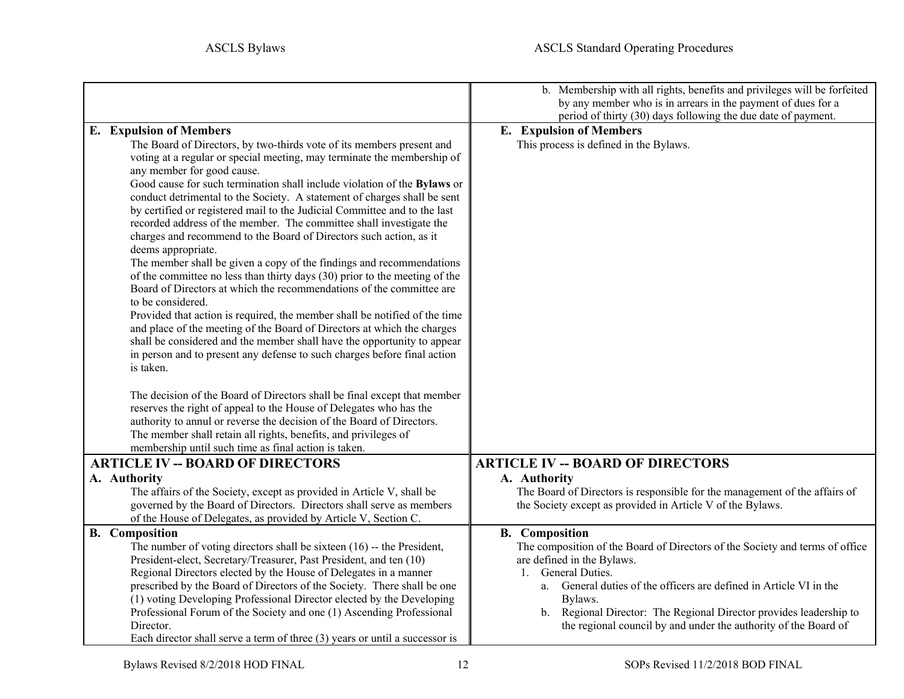<span id="page-11-4"></span><span id="page-11-3"></span><span id="page-11-2"></span><span id="page-11-1"></span><span id="page-11-0"></span>

|                                                                                                                                                                                                                                                                                                                                                                                                                                                                              | b. Membership with all rights, benefits and privileges will be forfeited<br>by any member who is in arrears in the payment of dues for a<br>period of thirty (30) days following the due date of payment. |
|------------------------------------------------------------------------------------------------------------------------------------------------------------------------------------------------------------------------------------------------------------------------------------------------------------------------------------------------------------------------------------------------------------------------------------------------------------------------------|-----------------------------------------------------------------------------------------------------------------------------------------------------------------------------------------------------------|
| <b>E.</b> Expulsion of Members                                                                                                                                                                                                                                                                                                                                                                                                                                               | <b>E.</b> Expulsion of Members                                                                                                                                                                            |
| The Board of Directors, by two-thirds vote of its members present and<br>voting at a regular or special meeting, may terminate the membership of<br>any member for good cause.                                                                                                                                                                                                                                                                                               | This process is defined in the Bylaws.                                                                                                                                                                    |
| Good cause for such termination shall include violation of the Bylaws or<br>conduct detrimental to the Society. A statement of charges shall be sent<br>by certified or registered mail to the Judicial Committee and to the last<br>recorded address of the member. The committee shall investigate the<br>charges and recommend to the Board of Directors such action, as it<br>deems appropriate.<br>The member shall be given a copy of the findings and recommendations |                                                                                                                                                                                                           |
| of the committee no less than thirty days (30) prior to the meeting of the<br>Board of Directors at which the recommendations of the committee are<br>to be considered.<br>Provided that action is required, the member shall be notified of the time                                                                                                                                                                                                                        |                                                                                                                                                                                                           |
| and place of the meeting of the Board of Directors at which the charges<br>shall be considered and the member shall have the opportunity to appear<br>in person and to present any defense to such charges before final action<br>is taken.                                                                                                                                                                                                                                  |                                                                                                                                                                                                           |
| The decision of the Board of Directors shall be final except that member<br>reserves the right of appeal to the House of Delegates who has the<br>authority to annul or reverse the decision of the Board of Directors.<br>The member shall retain all rights, benefits, and privileges of<br>membership until such time as final action is taken.                                                                                                                           |                                                                                                                                                                                                           |
| <b>ARTICLE IV -- BOARD OF DIRECTORS</b>                                                                                                                                                                                                                                                                                                                                                                                                                                      | <b>ARTICLE IV -- BOARD OF DIRECTORS</b>                                                                                                                                                                   |
| A. Authority                                                                                                                                                                                                                                                                                                                                                                                                                                                                 | A. Authority                                                                                                                                                                                              |
| The affairs of the Society, except as provided in Article V, shall be<br>governed by the Board of Directors. Directors shall serve as members<br>of the House of Delegates, as provided by Article V, Section C.                                                                                                                                                                                                                                                             | The Board of Directors is responsible for the management of the affairs of<br>the Society except as provided in Article V of the Bylaws.                                                                  |
| <b>B.</b> Composition                                                                                                                                                                                                                                                                                                                                                                                                                                                        | <b>B.</b> Composition                                                                                                                                                                                     |
| The number of voting directors shall be sixteen $(16)$ -- the President,                                                                                                                                                                                                                                                                                                                                                                                                     | The composition of the Board of Directors of the Society and terms of office                                                                                                                              |
| President-elect, Secretary/Treasurer, Past President, and ten (10)                                                                                                                                                                                                                                                                                                                                                                                                           | are defined in the Bylaws.                                                                                                                                                                                |
| Regional Directors elected by the House of Delegates in a manner                                                                                                                                                                                                                                                                                                                                                                                                             | 1. General Duties.                                                                                                                                                                                        |
| prescribed by the Board of Directors of the Society. There shall be one                                                                                                                                                                                                                                                                                                                                                                                                      | a. General duties of the officers are defined in Article VI in the                                                                                                                                        |
| (1) voting Developing Professional Director elected by the Developing<br>Professional Forum of the Society and one (1) Ascending Professional                                                                                                                                                                                                                                                                                                                                | Bylaws.<br>b. Regional Director: The Regional Director provides leadership to                                                                                                                             |
| Director.                                                                                                                                                                                                                                                                                                                                                                                                                                                                    | the regional council by and under the authority of the Board of                                                                                                                                           |
| Each director shall serve a term of three $(3)$ years or until a successor is                                                                                                                                                                                                                                                                                                                                                                                                |                                                                                                                                                                                                           |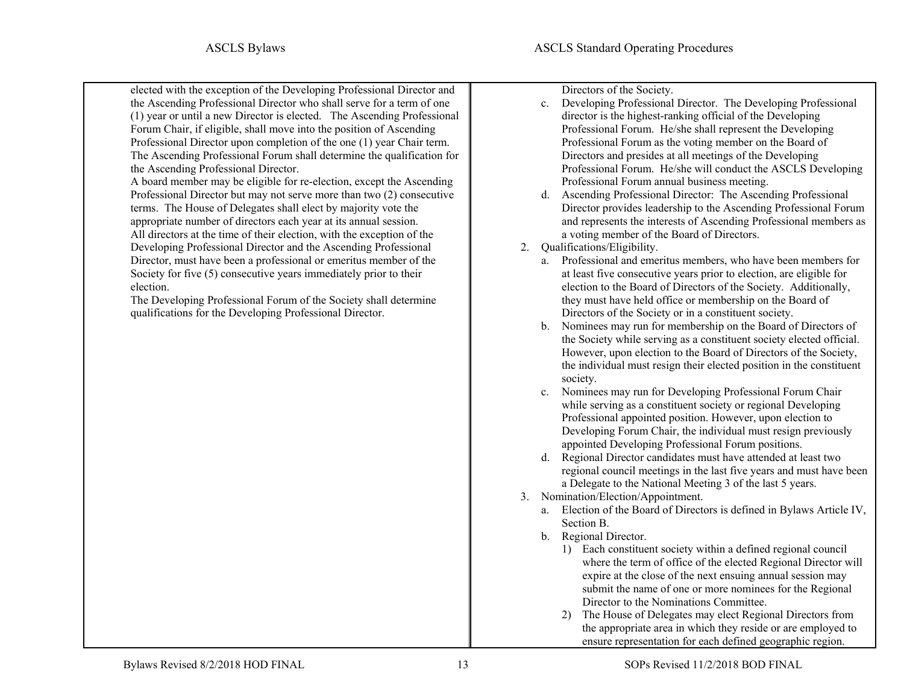elected with the exception of the Developing Professional Director and the Ascending Professional Director who shall serve for a term of one (1) year or until a new Director is elected. The Ascending Professional Forum Chair, if eligible, shall move into the position of Ascending Professional Director upon completion of the one (1) year Chair term. The Ascending Professional Forum shall determine the qualification for the Ascending Professional Director.

A board member may be eligible for re-election, except the Ascending Professional Director but may not serve more than two (2) consecutive terms. The House of Delegates shall elect by majority vote the appropriate number of directors each year at its annual session. All directors at the time of their election, with the exception of the Developing Professional Director and the Ascending Professional Director, must have been a professional or emeritus member of the Society for five (5) consecutive years immediately prior to their election.

The Developing Professional Forum of the Society shall determine qualifications for the Developing Professional Director.

Directors of the Society.

- c. Developing Professional Director. The Developing Professional director is the highest-ranking official of the Developing Professional Forum. He/she shall represent the Developing Professional Forum as the voting member on the Board of Directors and presides at all meetings of the Developing Professional Forum. He/she will conduct the ASCLS Developing Professional Forum annual business meeting.
- d. Ascending Professional Director: The Ascending Professional Director provides leadership to the Ascending Professional Forum and represents the interests of Ascending Professional members as a voting member of the Board of Directors.
- <span id="page-12-0"></span>2. Qualifications/Eligibility.
	- a. Professional and emeritus members, who have been members for at least five consecutive years prior to election, are eligible for election to the Board of Directors of the Society. Additionally, they must have held office or membership on the Board of Directors of the Society or in a constituent society.
	- b. Nominees may run for membership on the Board of Directors of the Society while serving as a constituent society elected official. However, upon election to the Board of Directors of the Society, the individual must resign their elected position in the constituent society.
	- c. Nominees may run for Developing Professional Forum Chair while serving as a constituent society or regional Developing Professional appointed position. However, upon election to Developing Forum Chair, the individual must resign previously appointed Developing Professional Forum positions.
	- d. Regional Director candidates must have attended at least two regional council meetings in the last five years and must have been a Delegate to the National Meeting 3 of the last 5 years.
- <span id="page-12-1"></span>3. Nomination/Election/Appointment.
	- a. Election of the Board of Directors is defined in Bylaws Article IV, Section B.
	- b. Regional Director.
		- 1) Each constituent society within a defined regional council where the term of office of the elected Regional Director will expire at the close of the next ensuing annual session may submit the name of one or more nominees for the Regional Director to the Nominations Committee.
		- 2) The House of Delegates may elect Regional Directors from the appropriate area in which they reside or are employed to ensure representation for each defined geographic region.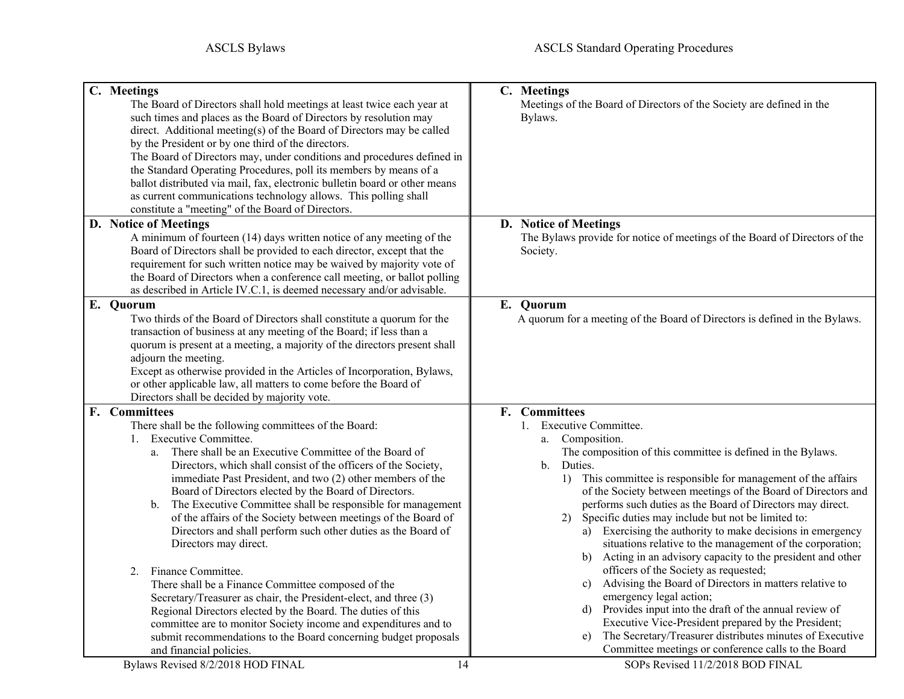<span id="page-13-4"></span><span id="page-13-3"></span><span id="page-13-2"></span><span id="page-13-1"></span><span id="page-13-0"></span>

| C. Meetings<br>The Board of Directors shall hold meetings at least twice each year at<br>such times and places as the Board of Directors by resolution may                                                                                                                                                                                                                                                                                                                       | C. Meetings<br>Meetings of the Board of Directors of the Society are defined in the<br>Bylaws.                         |
|----------------------------------------------------------------------------------------------------------------------------------------------------------------------------------------------------------------------------------------------------------------------------------------------------------------------------------------------------------------------------------------------------------------------------------------------------------------------------------|------------------------------------------------------------------------------------------------------------------------|
| direct. Additional meeting(s) of the Board of Directors may be called<br>by the President or by one third of the directors.<br>The Board of Directors may, under conditions and procedures defined in<br>the Standard Operating Procedures, poll its members by means of a<br>ballot distributed via mail, fax, electronic bulletin board or other means<br>as current communications technology allows. This polling shall<br>constitute a "meeting" of the Board of Directors. |                                                                                                                        |
| D. Notice of Meetings<br>A minimum of fourteen (14) days written notice of any meeting of the                                                                                                                                                                                                                                                                                                                                                                                    | D. Notice of Meetings<br>The Bylaws provide for notice of meetings of the Board of Directors of the                    |
| Board of Directors shall be provided to each director, except that the<br>requirement for such written notice may be waived by majority vote of<br>the Board of Directors when a conference call meeting, or ballot polling<br>as described in Article IV.C.1, is deemed necessary and/or advisable.                                                                                                                                                                             | Society.                                                                                                               |
| E. Quorum<br>Two thirds of the Board of Directors shall constitute a quorum for the<br>transaction of business at any meeting of the Board; if less than a<br>quorum is present at a meeting, a majority of the directors present shall<br>adjourn the meeting.<br>Except as otherwise provided in the Articles of Incorporation, Bylaws,<br>or other applicable law, all matters to come before the Board of<br>Directors shall be decided by majority vote.                    | E. Quorum<br>A quorum for a meeting of the Board of Directors is defined in the Bylaws.                                |
| F. Committees                                                                                                                                                                                                                                                                                                                                                                                                                                                                    | F. Committees                                                                                                          |
| There shall be the following committees of the Board:                                                                                                                                                                                                                                                                                                                                                                                                                            | 1. Executive Committee.                                                                                                |
| 1. Executive Committee.<br>There shall be an Executive Committee of the Board of<br>a.                                                                                                                                                                                                                                                                                                                                                                                           | Composition.<br>a.<br>The composition of this committee is defined in the Bylaws.                                      |
| Directors, which shall consist of the officers of the Society,                                                                                                                                                                                                                                                                                                                                                                                                                   | $\mathbf{b}$ .<br>Duties.                                                                                              |
| immediate Past President, and two (2) other members of the                                                                                                                                                                                                                                                                                                                                                                                                                       | 1) This committee is responsible for management of the affairs                                                         |
| Board of Directors elected by the Board of Directors.                                                                                                                                                                                                                                                                                                                                                                                                                            | of the Society between meetings of the Board of Directors and                                                          |
| The Executive Committee shall be responsible for management<br>$\mathbf b$ .<br>of the affairs of the Society between meetings of the Board of                                                                                                                                                                                                                                                                                                                                   | performs such duties as the Board of Directors may direct.<br>Specific duties may include but not be limited to:<br>2) |
| Directors and shall perform such other duties as the Board of                                                                                                                                                                                                                                                                                                                                                                                                                    | a) Exercising the authority to make decisions in emergency                                                             |
| Directors may direct.                                                                                                                                                                                                                                                                                                                                                                                                                                                            | situations relative to the management of the corporation;                                                              |
|                                                                                                                                                                                                                                                                                                                                                                                                                                                                                  | Acting in an advisory capacity to the president and other<br>b)                                                        |
| Finance Committee.<br>2.                                                                                                                                                                                                                                                                                                                                                                                                                                                         | officers of the Society as requested;                                                                                  |
| There shall be a Finance Committee composed of the<br>Secretary/Treasurer as chair, the President-elect, and three (3)                                                                                                                                                                                                                                                                                                                                                           | Advising the Board of Directors in matters relative to<br>$\mathbf{c}$ )<br>emergency legal action;                    |
| Regional Directors elected by the Board. The duties of this                                                                                                                                                                                                                                                                                                                                                                                                                      | d) Provides input into the draft of the annual review of                                                               |
| committee are to monitor Society income and expenditures and to                                                                                                                                                                                                                                                                                                                                                                                                                  | Executive Vice-President prepared by the President;                                                                    |
| submit recommendations to the Board concerning budget proposals                                                                                                                                                                                                                                                                                                                                                                                                                  | The Secretary/Treasurer distributes minutes of Executive<br>e)                                                         |
| and financial policies.                                                                                                                                                                                                                                                                                                                                                                                                                                                          | Committee meetings or conference calls to the Board                                                                    |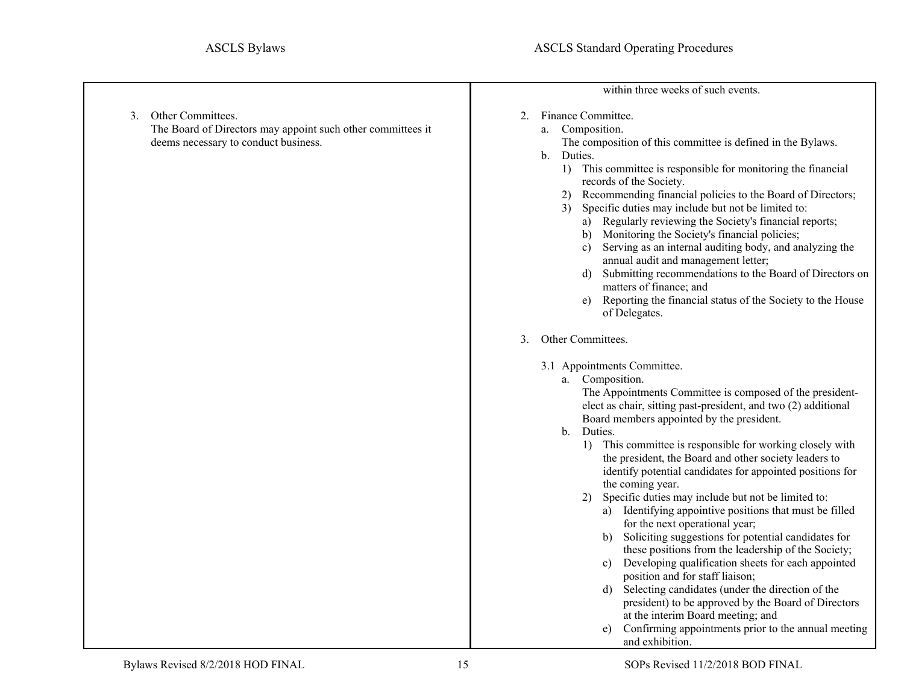<span id="page-14-2"></span><span id="page-14-1"></span><span id="page-14-0"></span>

|                                                                                                                                | within three weeks of such events.                                                                                                                                                                                                                                                                                                                                                                                                                                                                                                                                                                                                                                                                                                                                                                                                                                                                                                                                                                                                                                                                         |
|--------------------------------------------------------------------------------------------------------------------------------|------------------------------------------------------------------------------------------------------------------------------------------------------------------------------------------------------------------------------------------------------------------------------------------------------------------------------------------------------------------------------------------------------------------------------------------------------------------------------------------------------------------------------------------------------------------------------------------------------------------------------------------------------------------------------------------------------------------------------------------------------------------------------------------------------------------------------------------------------------------------------------------------------------------------------------------------------------------------------------------------------------------------------------------------------------------------------------------------------------|
| Other Committees.<br>3.<br>The Board of Directors may appoint such other committees it<br>deems necessary to conduct business. | Finance Committee.<br>2.<br>Composition.<br>a.<br>The composition of this committee is defined in the Bylaws.<br>Duties.<br>b.<br>1) This committee is responsible for monitoring the financial<br>records of the Society.<br>Recommending financial policies to the Board of Directors;<br>2)<br>Specific duties may include but not be limited to:<br>3)<br>a) Regularly reviewing the Society's financial reports;<br>b) Monitoring the Society's financial policies;<br>Serving as an internal auditing body, and analyzing the<br>c)<br>annual audit and management letter;<br>Submitting recommendations to the Board of Directors on<br>d)<br>matters of finance; and<br>Reporting the financial status of the Society to the House<br>e)<br>of Delegates.                                                                                                                                                                                                                                                                                                                                          |
|                                                                                                                                | Other Committees.<br>3.<br>3.1 Appointments Committee.<br>Composition.<br>a.<br>The Appointments Committee is composed of the president-<br>elect as chair, sitting past-president, and two (2) additional<br>Board members appointed by the president.<br>Duties.<br>$\mathbf{b}$ .<br>This committee is responsible for working closely with<br>1)<br>the president, the Board and other society leaders to<br>identify potential candidates for appointed positions for<br>the coming year.<br>Specific duties may include but not be limited to:<br>2)<br>a) Identifying appointive positions that must be filled<br>for the next operational year;<br>Soliciting suggestions for potential candidates for<br>b)<br>these positions from the leadership of the Society;<br>Developing qualification sheets for each appointed<br>c)<br>position and for staff liaison;<br>Selecting candidates (under the direction of the<br>d)<br>president) to be approved by the Board of Directors<br>at the interim Board meeting; and<br>Confirming appointments prior to the annual meeting<br>and exhibition. |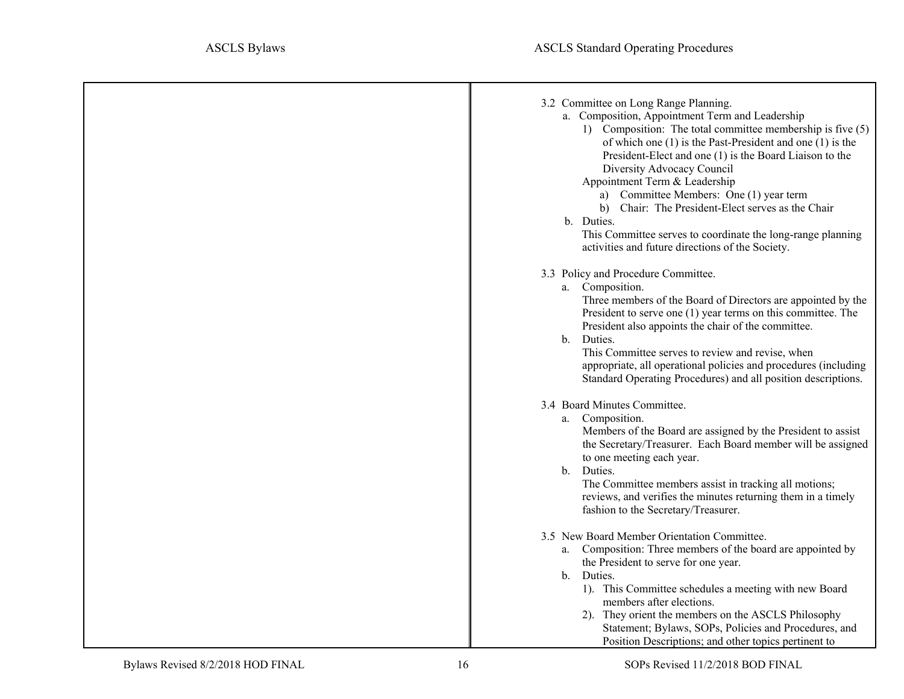<span id="page-15-3"></span><span id="page-15-2"></span><span id="page-15-1"></span><span id="page-15-0"></span>

| 3.2 Committee on Long Range Planning.<br>a. Composition, Appointment Term and Leadership<br>1) Composition: The total committee membership is five (5)<br>of which one $(1)$ is the Past-President and one $(1)$ is the<br>President-Elect and one (1) is the Board Liaison to the<br>Diversity Advocacy Council<br>Appointment Term & Leadership<br>a) Committee Members: One (1) year term<br>b) Chair: The President-Elect serves as the Chair<br>b. Duties.<br>This Committee serves to coordinate the long-range planning<br>activities and future directions of the Society. |
|------------------------------------------------------------------------------------------------------------------------------------------------------------------------------------------------------------------------------------------------------------------------------------------------------------------------------------------------------------------------------------------------------------------------------------------------------------------------------------------------------------------------------------------------------------------------------------|
| 3.3 Policy and Procedure Committee.<br>a. Composition.<br>Three members of the Board of Directors are appointed by the<br>President to serve one $(1)$ year terms on this committee. The<br>President also appoints the chair of the committee.<br>b. Duties.<br>This Committee serves to review and revise, when<br>appropriate, all operational policies and procedures (including<br>Standard Operating Procedures) and all position descriptions.                                                                                                                              |
| 3.4 Board Minutes Committee.<br>a. Composition.<br>Members of the Board are assigned by the President to assist<br>the Secretary/Treasurer. Each Board member will be assigned<br>to one meeting each year.<br>b. Duties.<br>The Committee members assist in tracking all motions;<br>reviews, and verifies the minutes returning them in a timely<br>fashion to the Secretary/Treasurer.                                                                                                                                                                                          |
| 3.5 New Board Member Orientation Committee.<br>a. Composition: Three members of the board are appointed by<br>the President to serve for one year.<br>b. Duties.<br>1). This Committee schedules a meeting with new Board<br>members after elections.<br>2). They orient the members on the ASCLS Philosophy<br>Statement; Bylaws, SOPs, Policies and Procedures, and<br>Position Descriptions; and other topics pertinent to                                                                                                                                                      |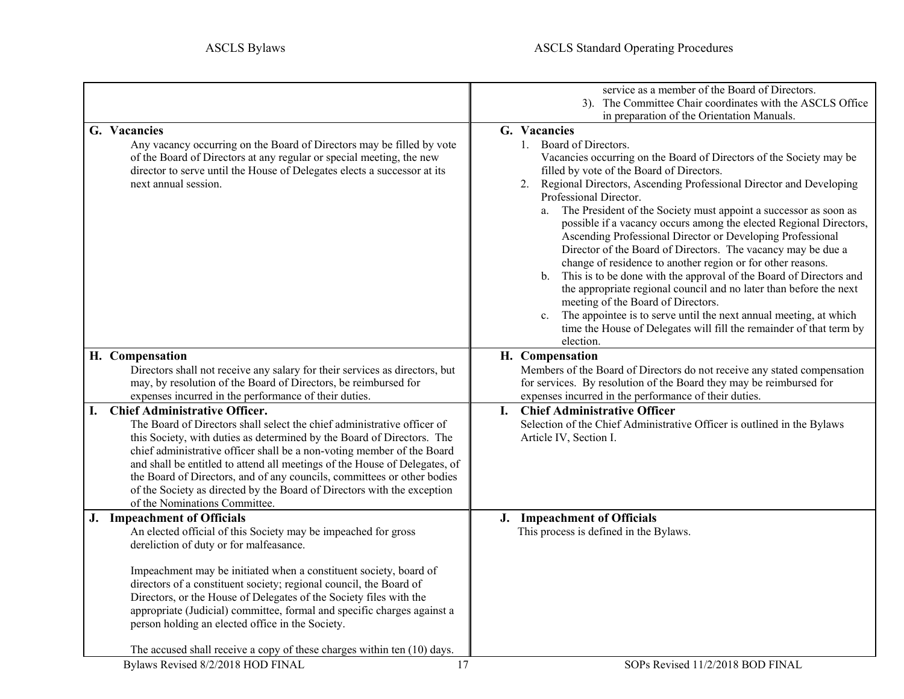<span id="page-16-5"></span><span id="page-16-4"></span><span id="page-16-3"></span><span id="page-16-2"></span><span id="page-16-1"></span><span id="page-16-0"></span>

|                                                                                                                                                                                                                                                                                                                                                                                                                                                                                                                                                | service as a member of the Board of Directors.<br>3). The Committee Chair coordinates with the ASCLS Office<br>in preparation of the Orientation Manuals.                                                                                                                                                                                                                                                                                                                                                                                                                                                                                                                                                                                                                                                                                                                                                                                                   |
|------------------------------------------------------------------------------------------------------------------------------------------------------------------------------------------------------------------------------------------------------------------------------------------------------------------------------------------------------------------------------------------------------------------------------------------------------------------------------------------------------------------------------------------------|-------------------------------------------------------------------------------------------------------------------------------------------------------------------------------------------------------------------------------------------------------------------------------------------------------------------------------------------------------------------------------------------------------------------------------------------------------------------------------------------------------------------------------------------------------------------------------------------------------------------------------------------------------------------------------------------------------------------------------------------------------------------------------------------------------------------------------------------------------------------------------------------------------------------------------------------------------------|
| G. Vacancies<br>Any vacancy occurring on the Board of Directors may be filled by vote<br>of the Board of Directors at any regular or special meeting, the new<br>director to serve until the House of Delegates elects a successor at its<br>next annual session.                                                                                                                                                                                                                                                                              | G. Vacancies<br>1. Board of Directors.<br>Vacancies occurring on the Board of Directors of the Society may be<br>filled by vote of the Board of Directors.<br>Regional Directors, Ascending Professional Director and Developing<br>2.<br>Professional Director.<br>a. The President of the Society must appoint a successor as soon as<br>possible if a vacancy occurs among the elected Regional Directors,<br>Ascending Professional Director or Developing Professional<br>Director of the Board of Directors. The vacancy may be due a<br>change of residence to another region or for other reasons.<br>This is to be done with the approval of the Board of Directors and<br>b.<br>the appropriate regional council and no later than before the next<br>meeting of the Board of Directors.<br>The appointee is to serve until the next annual meeting, at which<br>time the House of Delegates will fill the remainder of that term by<br>election. |
| H. Compensation<br>Directors shall not receive any salary for their services as directors, but<br>may, by resolution of the Board of Directors, be reimbursed for<br>expenses incurred in the performance of their duties.                                                                                                                                                                                                                                                                                                                     | H. Compensation<br>Members of the Board of Directors do not receive any stated compensation<br>for services. By resolution of the Board they may be reimbursed for<br>expenses incurred in the performance of their duties.                                                                                                                                                                                                                                                                                                                                                                                                                                                                                                                                                                                                                                                                                                                                 |
| <b>Chief Administrative Officer.</b><br>I.<br>The Board of Directors shall select the chief administrative officer of<br>this Society, with duties as determined by the Board of Directors. The<br>chief administrative officer shall be a non-voting member of the Board<br>and shall be entitled to attend all meetings of the House of Delegates, of<br>the Board of Directors, and of any councils, committees or other bodies<br>of the Society as directed by the Board of Directors with the exception<br>of the Nominations Committee. | I. Chief Administrative Officer<br>Selection of the Chief Administrative Officer is outlined in the Bylaws<br>Article IV, Section I.                                                                                                                                                                                                                                                                                                                                                                                                                                                                                                                                                                                                                                                                                                                                                                                                                        |
| J. Impeachment of Officials<br>An elected official of this Society may be impeached for gross<br>dereliction of duty or for malfeasance.                                                                                                                                                                                                                                                                                                                                                                                                       | J. Impeachment of Officials<br>This process is defined in the Bylaws.                                                                                                                                                                                                                                                                                                                                                                                                                                                                                                                                                                                                                                                                                                                                                                                                                                                                                       |
| Impeachment may be initiated when a constituent society, board of<br>directors of a constituent society; regional council, the Board of<br>Directors, or the House of Delegates of the Society files with the<br>appropriate (Judicial) committee, formal and specific charges against a<br>person holding an elected office in the Society.                                                                                                                                                                                                   |                                                                                                                                                                                                                                                                                                                                                                                                                                                                                                                                                                                                                                                                                                                                                                                                                                                                                                                                                             |
| The accused shall receive a copy of these charges within ten (10) days.<br>Bylaws Revised 8/2/2018 HOD FINAL<br>17                                                                                                                                                                                                                                                                                                                                                                                                                             | SOPs Revised 11/2/2018 BOD FINAL                                                                                                                                                                                                                                                                                                                                                                                                                                                                                                                                                                                                                                                                                                                                                                                                                                                                                                                            |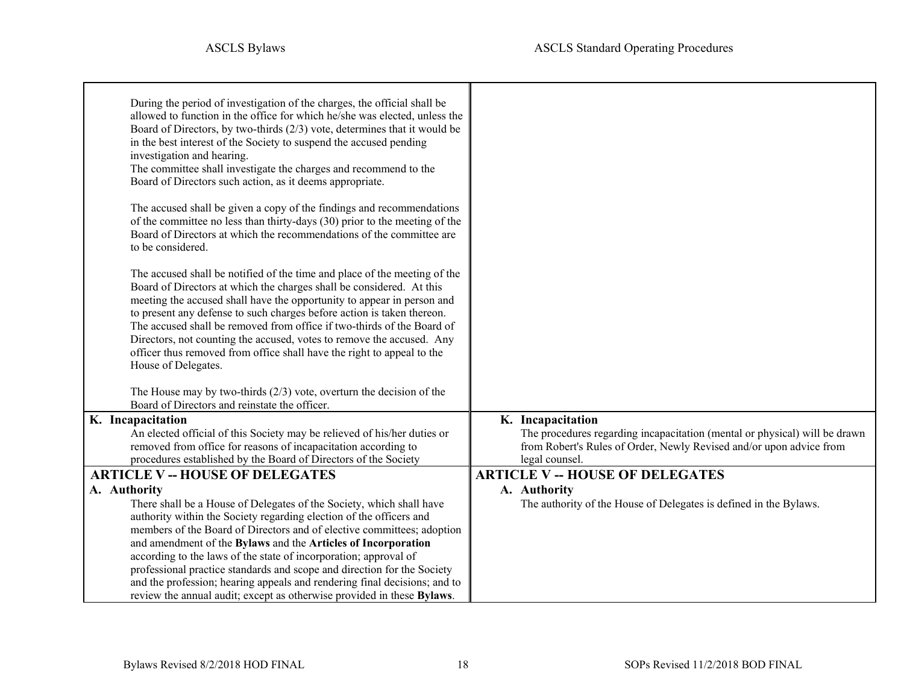<span id="page-17-2"></span><span id="page-17-1"></span><span id="page-17-0"></span>

| During the period of investigation of the charges, the official shall be<br>allowed to function in the office for which he/she was elected, unless the |                                                                            |
|--------------------------------------------------------------------------------------------------------------------------------------------------------|----------------------------------------------------------------------------|
| Board of Directors, by two-thirds $(2/3)$ vote, determines that it would be                                                                            |                                                                            |
| in the best interest of the Society to suspend the accused pending                                                                                     |                                                                            |
| investigation and hearing.                                                                                                                             |                                                                            |
| The committee shall investigate the charges and recommend to the                                                                                       |                                                                            |
| Board of Directors such action, as it deems appropriate.                                                                                               |                                                                            |
| The accused shall be given a copy of the findings and recommendations                                                                                  |                                                                            |
| of the committee no less than thirty-days (30) prior to the meeting of the                                                                             |                                                                            |
| Board of Directors at which the recommendations of the committee are                                                                                   |                                                                            |
| to be considered.                                                                                                                                      |                                                                            |
| The accused shall be notified of the time and place of the meeting of the                                                                              |                                                                            |
| Board of Directors at which the charges shall be considered. At this                                                                                   |                                                                            |
| meeting the accused shall have the opportunity to appear in person and                                                                                 |                                                                            |
| to present any defense to such charges before action is taken thereon.                                                                                 |                                                                            |
| The accused shall be removed from office if two-thirds of the Board of                                                                                 |                                                                            |
| Directors, not counting the accused, votes to remove the accused. Any                                                                                  |                                                                            |
| officer thus removed from office shall have the right to appeal to the                                                                                 |                                                                            |
| House of Delegates.                                                                                                                                    |                                                                            |
| The House may by two-thirds $(2/3)$ vote, overturn the decision of the                                                                                 |                                                                            |
| Board of Directors and reinstate the officer.                                                                                                          |                                                                            |
| K. Incapacitation                                                                                                                                      | K. Incapacitation                                                          |
| An elected official of this Society may be relieved of his/her duties or                                                                               | The procedures regarding incapacitation (mental or physical) will be drawn |
| removed from office for reasons of incapacitation according to                                                                                         | from Robert's Rules of Order, Newly Revised and/or upon advice from        |
| procedures established by the Board of Directors of the Society                                                                                        | legal counsel.                                                             |
| <b>ARTICLE V -- HOUSE OF DELEGATES</b>                                                                                                                 | <b>ARTICLE V -- HOUSE OF DELEGATES</b>                                     |
| A. Authority                                                                                                                                           | A. Authority                                                               |
| There shall be a House of Delegates of the Society, which shall have                                                                                   | The authority of the House of Delegates is defined in the Bylaws.          |
| authority within the Society regarding election of the officers and                                                                                    |                                                                            |
| members of the Board of Directors and of elective committees; adoption                                                                                 |                                                                            |
| and amendment of the Bylaws and the Articles of Incorporation                                                                                          |                                                                            |
| according to the laws of the state of incorporation; approval of<br>professional practice standards and scope and direction for the Society            |                                                                            |
| and the profession; hearing appeals and rendering final decisions; and to                                                                              |                                                                            |
| review the annual audit; except as otherwise provided in these Bylaws.                                                                                 |                                                                            |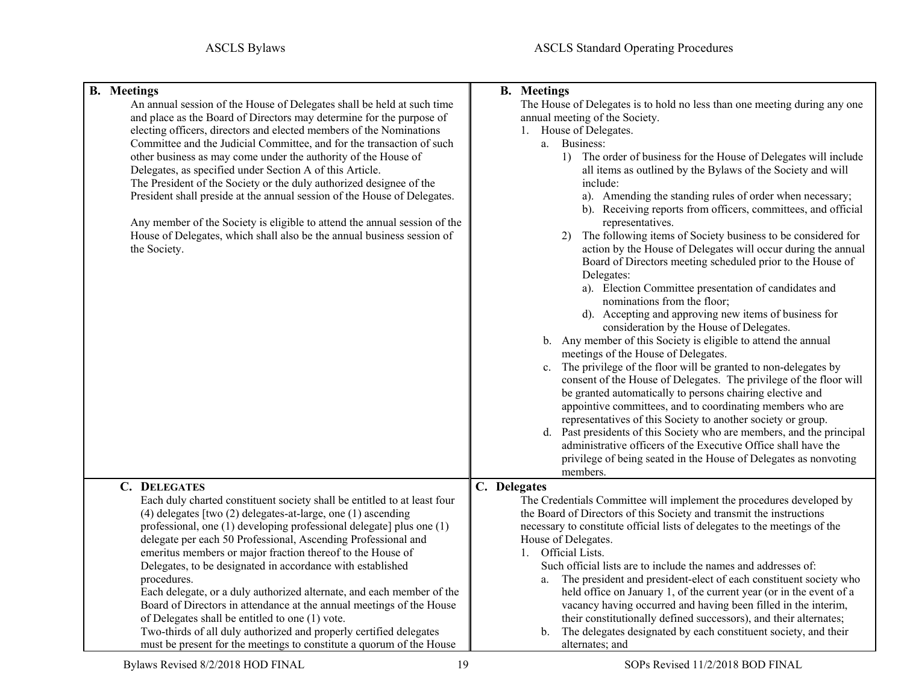<span id="page-18-3"></span><span id="page-18-2"></span><span id="page-18-1"></span><span id="page-18-0"></span>

| <b>B.</b> Meetings<br>An annual session of the House of Delegates shall be held at such time<br>and place as the Board of Directors may determine for the purpose of<br>electing officers, directors and elected members of the Nominations<br>Committee and the Judicial Committee, and for the transaction of such<br>other business as may come under the authority of the House of<br>Delegates, as specified under Section A of this Article.<br>The President of the Society or the duly authorized designee of the<br>President shall preside at the annual session of the House of Delegates.<br>Any member of the Society is eligible to attend the annual session of the<br>House of Delegates, which shall also be the annual business session of<br>the Society.                   | <b>B.</b> Meetings<br>The House of Delegates is to hold no less than one meeting during any one<br>annual meeting of the Society.<br>1. House of Delegates.<br>a. Business:<br>1) The order of business for the House of Delegates will include<br>all items as outlined by the Bylaws of the Society and will<br>include:<br>a). Amending the standing rules of order when necessary;<br>b). Receiving reports from officers, committees, and official<br>representatives.<br>The following items of Society business to be considered for<br>2)<br>action by the House of Delegates will occur during the annual<br>Board of Directors meeting scheduled prior to the House of<br>Delegates:<br>a). Election Committee presentation of candidates and<br>nominations from the floor;<br>d). Accepting and approving new items of business for<br>consideration by the House of Delegates.<br>b. Any member of this Society is eligible to attend the annual<br>meetings of the House of Delegates.<br>c. The privilege of the floor will be granted to non-delegates by<br>consent of the House of Delegates. The privilege of the floor will<br>be granted automatically to persons chairing elective and<br>appointive committees, and to coordinating members who are<br>representatives of this Society to another society or group.<br>d. Past presidents of this Society who are members, and the principal<br>administrative officers of the Executive Office shall have the<br>privilege of being seated in the House of Delegates as nonvoting<br>members. |
|------------------------------------------------------------------------------------------------------------------------------------------------------------------------------------------------------------------------------------------------------------------------------------------------------------------------------------------------------------------------------------------------------------------------------------------------------------------------------------------------------------------------------------------------------------------------------------------------------------------------------------------------------------------------------------------------------------------------------------------------------------------------------------------------|-----------------------------------------------------------------------------------------------------------------------------------------------------------------------------------------------------------------------------------------------------------------------------------------------------------------------------------------------------------------------------------------------------------------------------------------------------------------------------------------------------------------------------------------------------------------------------------------------------------------------------------------------------------------------------------------------------------------------------------------------------------------------------------------------------------------------------------------------------------------------------------------------------------------------------------------------------------------------------------------------------------------------------------------------------------------------------------------------------------------------------------------------------------------------------------------------------------------------------------------------------------------------------------------------------------------------------------------------------------------------------------------------------------------------------------------------------------------------------------------------------------------------------------------------------------------------|
| C. DELEGATES<br>Each duly charted constituent society shall be entitled to at least four<br>(4) delegates [two (2) delegates-at-large, one (1) ascending<br>professional, one (1) developing professional delegate] plus one (1)<br>delegate per each 50 Professional, Ascending Professional and<br>emeritus members or major fraction thereof to the House of<br>Delegates, to be designated in accordance with established<br>procedures.<br>Each delegate, or a duly authorized alternate, and each member of the<br>Board of Directors in attendance at the annual meetings of the House<br>of Delegates shall be entitled to one (1) vote.<br>Two-thirds of all duly authorized and properly certified delegates<br>must be present for the meetings to constitute a quorum of the House | C. Delegates<br>The Credentials Committee will implement the procedures developed by<br>the Board of Directors of this Society and transmit the instructions<br>necessary to constitute official lists of delegates to the meetings of the<br>House of Delegates.<br>1. Official Lists.<br>Such official lists are to include the names and addresses of:<br>The president and president-elect of each constituent society who<br>a.<br>held office on January 1, of the current year (or in the event of a<br>vacancy having occurred and having been filled in the interim,<br>their constitutionally defined successors), and their alternates;<br>b. The delegates designated by each constituent society, and their<br>alternates; and                                                                                                                                                                                                                                                                                                                                                                                                                                                                                                                                                                                                                                                                                                                                                                                                                           |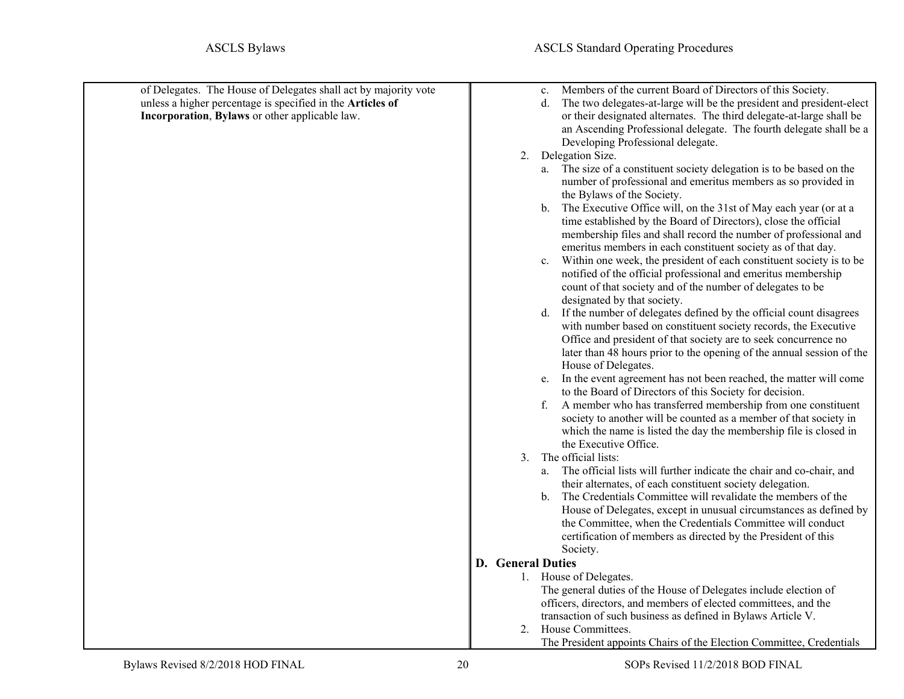<span id="page-19-4"></span><span id="page-19-3"></span><span id="page-19-2"></span><span id="page-19-1"></span><span id="page-19-0"></span>

| of Delegates. The House of Delegates shall act by majority vote<br>unless a higher percentage is specified in the Articles of<br>Incorporation, Bylaws or other applicable law. | Members of the current Board of Directors of this Society.<br>c.<br>The two delegates-at-large will be the president and president-elect<br>d.<br>or their designated alternates. The third delegate-at-large shall be<br>an Ascending Professional delegate. The fourth delegate shall be a<br>Developing Professional delegate.                                                                                                                                                                                                                                                                                                                                                                                                                                                                                                                                                                                        |
|---------------------------------------------------------------------------------------------------------------------------------------------------------------------------------|--------------------------------------------------------------------------------------------------------------------------------------------------------------------------------------------------------------------------------------------------------------------------------------------------------------------------------------------------------------------------------------------------------------------------------------------------------------------------------------------------------------------------------------------------------------------------------------------------------------------------------------------------------------------------------------------------------------------------------------------------------------------------------------------------------------------------------------------------------------------------------------------------------------------------|
|                                                                                                                                                                                 | 2. Delegation Size.                                                                                                                                                                                                                                                                                                                                                                                                                                                                                                                                                                                                                                                                                                                                                                                                                                                                                                      |
|                                                                                                                                                                                 | a. The size of a constituent society delegation is to be based on the<br>number of professional and emeritus members as so provided in<br>the Bylaws of the Society.<br>b. The Executive Office will, on the 31st of May each year (or at a<br>time established by the Board of Directors), close the official<br>membership files and shall record the number of professional and<br>emeritus members in each constituent society as of that day.<br>Within one week, the president of each constituent society is to be<br>$\mathbf{c}$ .<br>notified of the official professional and emeritus membership<br>count of that society and of the number of delegates to be<br>designated by that society.<br>d. If the number of delegates defined by the official count disagrees<br>with number based on constituent society records, the Executive<br>Office and president of that society are to seek concurrence no |
|                                                                                                                                                                                 | later than 48 hours prior to the opening of the annual session of the<br>House of Delegates.                                                                                                                                                                                                                                                                                                                                                                                                                                                                                                                                                                                                                                                                                                                                                                                                                             |
|                                                                                                                                                                                 | In the event agreement has not been reached, the matter will come<br>e.<br>to the Board of Directors of this Society for decision.                                                                                                                                                                                                                                                                                                                                                                                                                                                                                                                                                                                                                                                                                                                                                                                       |
|                                                                                                                                                                                 | f. A member who has transferred membership from one constituent<br>society to another will be counted as a member of that society in<br>which the name is listed the day the membership file is closed in<br>the Executive Office.                                                                                                                                                                                                                                                                                                                                                                                                                                                                                                                                                                                                                                                                                       |
|                                                                                                                                                                                 | 3. The official lists:                                                                                                                                                                                                                                                                                                                                                                                                                                                                                                                                                                                                                                                                                                                                                                                                                                                                                                   |
|                                                                                                                                                                                 | a. The official lists will further indicate the chair and co-chair, and                                                                                                                                                                                                                                                                                                                                                                                                                                                                                                                                                                                                                                                                                                                                                                                                                                                  |
|                                                                                                                                                                                 | their alternates, of each constituent society delegation.<br>b. The Credentials Committee will revalidate the members of the                                                                                                                                                                                                                                                                                                                                                                                                                                                                                                                                                                                                                                                                                                                                                                                             |
|                                                                                                                                                                                 | House of Delegates, except in unusual circumstances as defined by                                                                                                                                                                                                                                                                                                                                                                                                                                                                                                                                                                                                                                                                                                                                                                                                                                                        |
|                                                                                                                                                                                 | the Committee, when the Credentials Committee will conduct                                                                                                                                                                                                                                                                                                                                                                                                                                                                                                                                                                                                                                                                                                                                                                                                                                                               |
|                                                                                                                                                                                 | certification of members as directed by the President of this                                                                                                                                                                                                                                                                                                                                                                                                                                                                                                                                                                                                                                                                                                                                                                                                                                                            |
|                                                                                                                                                                                 | Society.                                                                                                                                                                                                                                                                                                                                                                                                                                                                                                                                                                                                                                                                                                                                                                                                                                                                                                                 |
|                                                                                                                                                                                 | <b>D.</b> General Duties                                                                                                                                                                                                                                                                                                                                                                                                                                                                                                                                                                                                                                                                                                                                                                                                                                                                                                 |
|                                                                                                                                                                                 | 1. House of Delegates.<br>The general duties of the House of Delegates include election of                                                                                                                                                                                                                                                                                                                                                                                                                                                                                                                                                                                                                                                                                                                                                                                                                               |
|                                                                                                                                                                                 | officers, directors, and members of elected committees, and the                                                                                                                                                                                                                                                                                                                                                                                                                                                                                                                                                                                                                                                                                                                                                                                                                                                          |
|                                                                                                                                                                                 | transaction of such business as defined in Bylaws Article V.                                                                                                                                                                                                                                                                                                                                                                                                                                                                                                                                                                                                                                                                                                                                                                                                                                                             |
|                                                                                                                                                                                 | 2. House Committees.                                                                                                                                                                                                                                                                                                                                                                                                                                                                                                                                                                                                                                                                                                                                                                                                                                                                                                     |
|                                                                                                                                                                                 | The President appoints Chairs of the Election Committee, Credentials                                                                                                                                                                                                                                                                                                                                                                                                                                                                                                                                                                                                                                                                                                                                                                                                                                                     |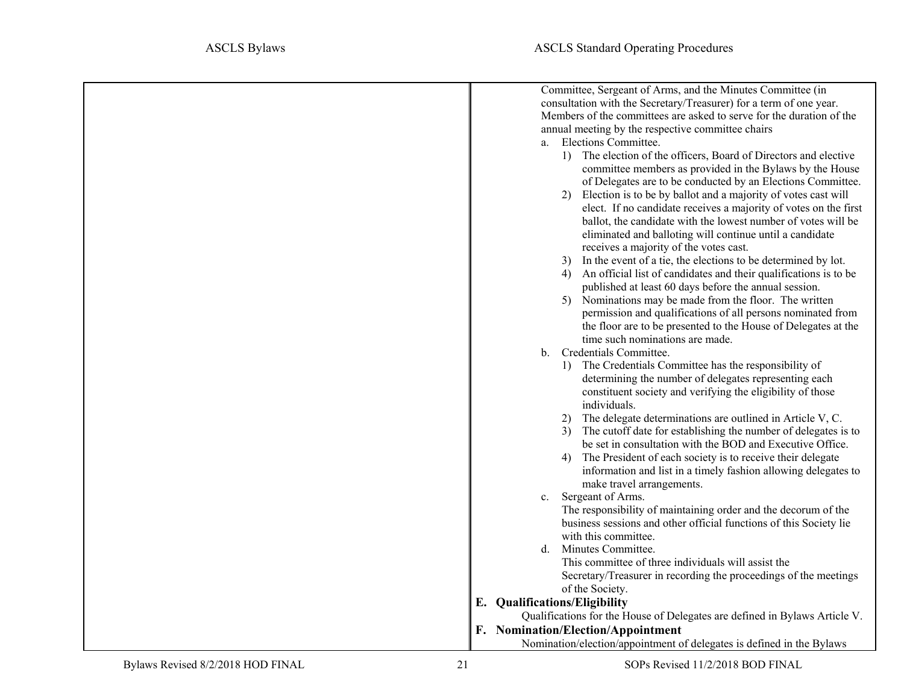<span id="page-20-1"></span><span id="page-20-0"></span>

| Committee, Sergeant of Arms, and the Minutes Committee (in                 |
|----------------------------------------------------------------------------|
| consultation with the Secretary/Treasurer) for a term of one year.         |
| Members of the committees are asked to serve for the duration of the       |
| annual meeting by the respective committee chairs                          |
| a. Elections Committee.                                                    |
| 1) The election of the officers, Board of Directors and elective           |
| committee members as provided in the Bylaws by the House                   |
| of Delegates are to be conducted by an Elections Committee.                |
| 2) Election is to be by ballot and a majority of votes cast will           |
| elect. If no candidate receives a majority of votes on the first           |
| ballot, the candidate with the lowest number of votes will be              |
| eliminated and balloting will continue until a candidate                   |
| receives a majority of the votes cast.                                     |
| 3) In the event of a tie, the elections to be determined by lot.           |
| An official list of candidates and their qualifications is to be<br>4)     |
| published at least 60 days before the annual session.                      |
| Nominations may be made from the floor. The written<br>5)                  |
| permission and qualifications of all persons nominated from                |
| the floor are to be presented to the House of Delegates at the             |
| time such nominations are made.                                            |
| Credentials Committee.<br>b.                                               |
| 1) The Credentials Committee has the responsibility of                     |
| determining the number of delegates representing each                      |
| constituent society and verifying the eligibility of those                 |
| individuals.                                                               |
| 2) The delegate determinations are outlined in Article V, C.               |
| The cutoff date for establishing the number of delegates is to             |
| be set in consultation with the BOD and Executive Office.                  |
| The President of each society is to receive their delegate<br>4)           |
| information and list in a timely fashion allowing delegates to             |
| make travel arrangements.                                                  |
| Sergeant of Arms.<br>c.                                                    |
| The responsibility of maintaining order and the decorum of the             |
| business sessions and other official functions of this Society lie         |
| with this committee.                                                       |
| Minutes Committee.<br>d.                                                   |
| This committee of three individuals will assist the                        |
| Secretary/Treasurer in recording the proceedings of the meetings           |
| of the Society.                                                            |
| E. Qualifications/Eligibility                                              |
| Qualifications for the House of Delegates are defined in Bylaws Article V. |
| F. Nomination/Election/Appointment                                         |
| Nomination/election/appointment of delegates is defined in the Bylaws      |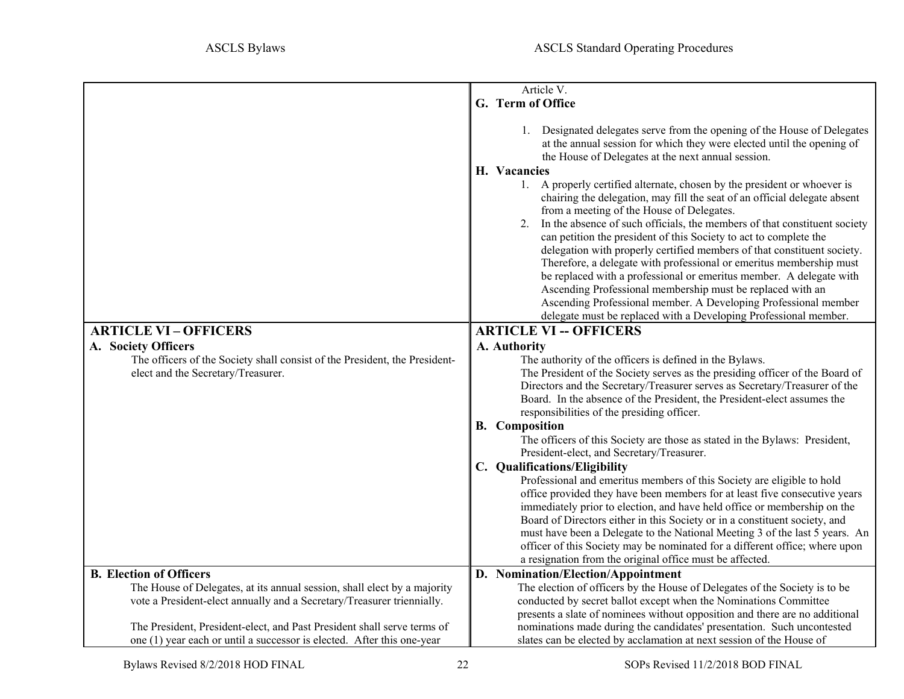<span id="page-21-6"></span><span id="page-21-5"></span><span id="page-21-4"></span><span id="page-21-3"></span><span id="page-21-2"></span><span id="page-21-1"></span><span id="page-21-0"></span>

|                                                                            | Article V.                                                                                                                                                                                                                                                                                                                                                                                                                                                                                                                                                                                                                                                                                                        |
|----------------------------------------------------------------------------|-------------------------------------------------------------------------------------------------------------------------------------------------------------------------------------------------------------------------------------------------------------------------------------------------------------------------------------------------------------------------------------------------------------------------------------------------------------------------------------------------------------------------------------------------------------------------------------------------------------------------------------------------------------------------------------------------------------------|
|                                                                            | G. Term of Office                                                                                                                                                                                                                                                                                                                                                                                                                                                                                                                                                                                                                                                                                                 |
|                                                                            |                                                                                                                                                                                                                                                                                                                                                                                                                                                                                                                                                                                                                                                                                                                   |
|                                                                            | 1. Designated delegates serve from the opening of the House of Delegates<br>at the annual session for which they were elected until the opening of<br>the House of Delegates at the next annual session.                                                                                                                                                                                                                                                                                                                                                                                                                                                                                                          |
|                                                                            | H. Vacancies                                                                                                                                                                                                                                                                                                                                                                                                                                                                                                                                                                                                                                                                                                      |
|                                                                            | 1. A properly certified alternate, chosen by the president or whoever is<br>chairing the delegation, may fill the seat of an official delegate absent<br>from a meeting of the House of Delegates.<br>2. In the absence of such officials, the members of that constituent society<br>can petition the president of this Society to act to complete the<br>delegation with properly certified members of that constituent society.<br>Therefore, a delegate with professional or emeritus membership must<br>be replaced with a professional or emeritus member. A delegate with<br>Ascending Professional membership must be replaced with an<br>Ascending Professional member. A Developing Professional member |
|                                                                            | delegate must be replaced with a Developing Professional member.                                                                                                                                                                                                                                                                                                                                                                                                                                                                                                                                                                                                                                                  |
| <b>ARTICLE VI-OFFICERS</b>                                                 | <b>ARTICLE VI -- OFFICERS</b>                                                                                                                                                                                                                                                                                                                                                                                                                                                                                                                                                                                                                                                                                     |
| A. Society Officers                                                        | A. Authority                                                                                                                                                                                                                                                                                                                                                                                                                                                                                                                                                                                                                                                                                                      |
| The officers of the Society shall consist of the President, the President- | The authority of the officers is defined in the Bylaws.                                                                                                                                                                                                                                                                                                                                                                                                                                                                                                                                                                                                                                                           |
| elect and the Secretary/Treasurer.                                         | The President of the Society serves as the presiding officer of the Board of                                                                                                                                                                                                                                                                                                                                                                                                                                                                                                                                                                                                                                      |
|                                                                            | Directors and the Secretary/Treasurer serves as Secretary/Treasurer of the                                                                                                                                                                                                                                                                                                                                                                                                                                                                                                                                                                                                                                        |
|                                                                            | Board. In the absence of the President, the President-elect assumes the                                                                                                                                                                                                                                                                                                                                                                                                                                                                                                                                                                                                                                           |
|                                                                            | responsibilities of the presiding officer.                                                                                                                                                                                                                                                                                                                                                                                                                                                                                                                                                                                                                                                                        |
|                                                                            | <b>B.</b> Composition                                                                                                                                                                                                                                                                                                                                                                                                                                                                                                                                                                                                                                                                                             |
|                                                                            | The officers of this Society are those as stated in the Bylaws: President,                                                                                                                                                                                                                                                                                                                                                                                                                                                                                                                                                                                                                                        |
|                                                                            | President-elect, and Secretary/Treasurer.                                                                                                                                                                                                                                                                                                                                                                                                                                                                                                                                                                                                                                                                         |
|                                                                            | C. Qualifications/Eligibility                                                                                                                                                                                                                                                                                                                                                                                                                                                                                                                                                                                                                                                                                     |
|                                                                            | Professional and emeritus members of this Society are eligible to hold                                                                                                                                                                                                                                                                                                                                                                                                                                                                                                                                                                                                                                            |
|                                                                            | office provided they have been members for at least five consecutive years                                                                                                                                                                                                                                                                                                                                                                                                                                                                                                                                                                                                                                        |
|                                                                            | immediately prior to election, and have held office or membership on the                                                                                                                                                                                                                                                                                                                                                                                                                                                                                                                                                                                                                                          |
|                                                                            | Board of Directors either in this Society or in a constituent society, and                                                                                                                                                                                                                                                                                                                                                                                                                                                                                                                                                                                                                                        |
|                                                                            | must have been a Delegate to the National Meeting 3 of the last 5 years. An                                                                                                                                                                                                                                                                                                                                                                                                                                                                                                                                                                                                                                       |
|                                                                            | officer of this Society may be nominated for a different office; where upon                                                                                                                                                                                                                                                                                                                                                                                                                                                                                                                                                                                                                                       |
|                                                                            | a resignation from the original office must be affected.                                                                                                                                                                                                                                                                                                                                                                                                                                                                                                                                                                                                                                                          |
| <b>B.</b> Election of Officers                                             | D. Nomination/Election/Appointment                                                                                                                                                                                                                                                                                                                                                                                                                                                                                                                                                                                                                                                                                |
| The House of Delegates, at its annual session, shall elect by a majority   | The election of officers by the House of Delegates of the Society is to be                                                                                                                                                                                                                                                                                                                                                                                                                                                                                                                                                                                                                                        |
| vote a President-elect annually and a Secretary/Treasurer triennially.     | conducted by secret ballot except when the Nominations Committee                                                                                                                                                                                                                                                                                                                                                                                                                                                                                                                                                                                                                                                  |
|                                                                            | presents a slate of nominees without opposition and there are no additional                                                                                                                                                                                                                                                                                                                                                                                                                                                                                                                                                                                                                                       |
| The President, President-elect, and Past President shall serve terms of    | nominations made during the candidates' presentation. Such uncontested                                                                                                                                                                                                                                                                                                                                                                                                                                                                                                                                                                                                                                            |
| one (1) year each or until a successor is elected. After this one-year     | slates can be elected by acclamation at next session of the House of                                                                                                                                                                                                                                                                                                                                                                                                                                                                                                                                                                                                                                              |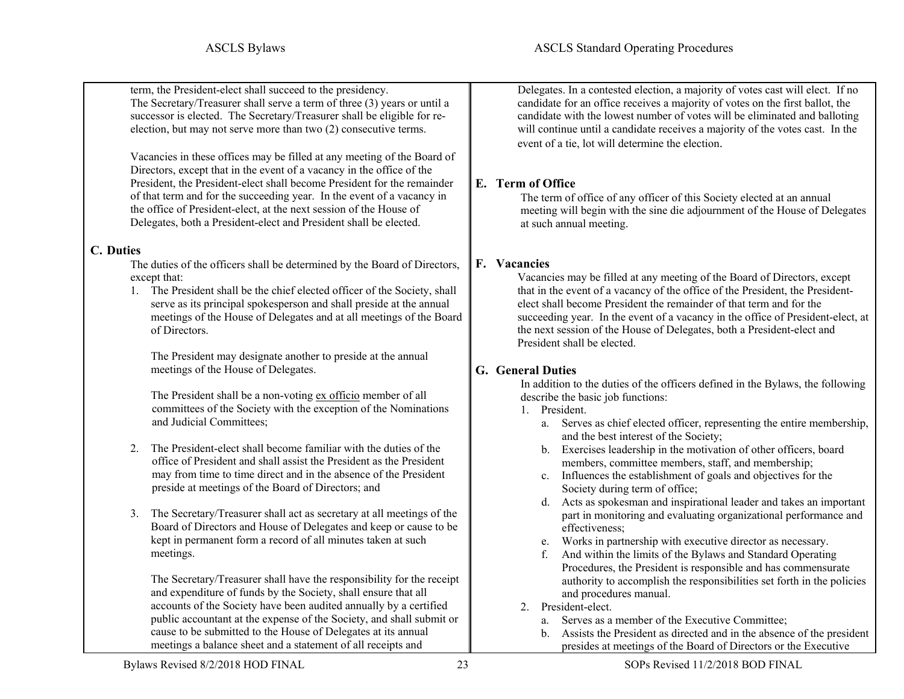term, the President-elect shall succeed to the presidency. The Secretary/Treasurer shall serve a term of three (3) years or until a successor is elected. The Secretary/Treasurer shall be eligible for reelection, but may not serve more than two (2) consecutive terms.

Vacancies in these offices may be filled at any meeting of the Board of Directors, except that in the event of a vacancy in the office of the President, the President-elect shall become President for the remainder of that term and for the succeeding year. In the event of a vacancy in the office of President-elect, at the next session of the House of Delegates, both a President-elect and President shall be elected.

#### **C. Duties**

The duties of the officers shall be determined by the Board of Directors, except that:

1. The President shall be the chief elected officer of the Society, shall serve as its principal spokesperson and shall preside at the annual meetings of the House of Delegates and at all meetings of the Board of Directors.

The President may designate another to preside at the annual meetings of the House of Delegates.

The President shall be a non-voting ex officio member of all committees of the Society with the exception of the Nominations and Judicial Committees;

- 2. The President-elect shall become familiar with the duties of the office of President and shall assist the President as the President may from time to time direct and in the absence of the President preside at meetings of the Board of Directors; and
- 3. The Secretary/Treasurer shall act as secretary at all meetings of the Board of Directors and House of Delegates and keep or cause to be kept in permanent form a record of all minutes taken at such meetings.

The Secretary/Treasurer shall have the responsibility for the receipt and expenditure of funds by the Society, shall ensure that all accounts of the Society have been audited annually by a certified public accountant at the expense of the Society, and shall submit or cause to be submitted to the House of Delegates at its annual meetings a balance sheet and a statement of all receipts and

Delegates. In a contested election, a majority of votes cast will elect. If no candidate for an office receives a majority of votes on the first ballot, the candidate with the lowest number of votes will be eliminated and balloting will continue until a candidate receives a majority of the votes cast. In the event of a tie, lot will determine the election.

### <span id="page-22-0"></span>**E. Term of Office**

The term of office of any officer of this Society elected at an annual meeting will begin with the sine die adjournment of the House of Delegates at such annual meeting.

#### <span id="page-22-1"></span>**F. Vacancies**

Vacancies may be filled at any meeting of the Board of Directors, except that in the event of a vacancy of the office of the President, the Presidentelect shall become President the remainder of that term and for the succeeding year. In the event of a vacancy in the office of President-elect, at the next session of the House of Delegates, both a President-elect and President shall be elected.

#### <span id="page-22-3"></span><span id="page-22-2"></span>**G. General Duties**

In addition to the duties of the officers defined in the Bylaws, the following describe the basic job functions:

- 1. President.
	- a. Serves as chief elected officer, representing the entire membership, and the best interest of the Society;
	- b. Exercises leadership in the motivation of other officers, board members, committee members, staff, and membership;
	- c. Influences the establishment of goals and objectives for the Society during term of office;
	- d. Acts as spokesman and inspirational leader and takes an important part in monitoring and evaluating organizational performance and effectiveness;
	- e. Works in partnership with executive director as necessary.
	- f. And within the limits of the Bylaws and Standard Operating Procedures, the President is responsible and has commensurate authority to accomplish the responsibilities set forth in the policies and procedures manual.
- <span id="page-22-4"></span>2. President-elect.
	- a. Serves as a member of the Executive Committee;
	- b. Assists the President as directed and in the absence of the president presides at meetings of the Board of Directors or the Executive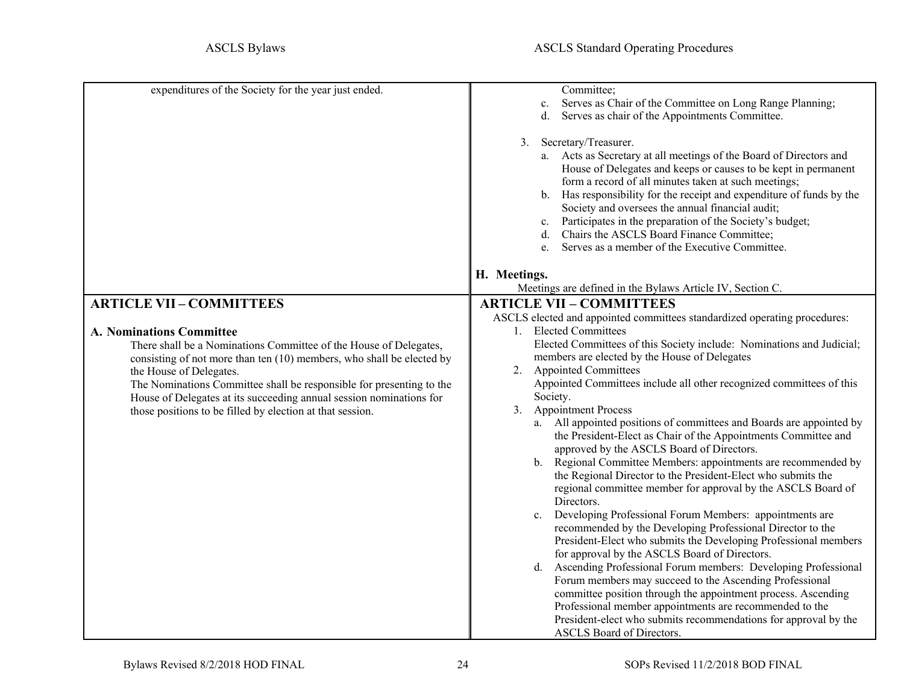<span id="page-23-5"></span><span id="page-23-4"></span><span id="page-23-3"></span><span id="page-23-2"></span><span id="page-23-1"></span><span id="page-23-0"></span>

| expenditures of the Society for the year just ended.                  | Committee;                                                                |
|-----------------------------------------------------------------------|---------------------------------------------------------------------------|
|                                                                       | Serves as Chair of the Committee on Long Range Planning;<br>c.            |
|                                                                       | Serves as chair of the Appointments Committee.<br>d.                      |
|                                                                       |                                                                           |
|                                                                       | Secretary/Treasurer.<br>3.                                                |
|                                                                       |                                                                           |
|                                                                       | a. Acts as Secretary at all meetings of the Board of Directors and        |
|                                                                       | House of Delegates and keeps or causes to be kept in permanent            |
|                                                                       | form a record of all minutes taken at such meetings;                      |
|                                                                       | b. Has responsibility for the receipt and expenditure of funds by the     |
|                                                                       | Society and oversees the annual financial audit;                          |
|                                                                       | Participates in the preparation of the Society's budget;<br>c.            |
|                                                                       | Chairs the ASCLS Board Finance Committee;<br>d.                           |
|                                                                       | Serves as a member of the Executive Committee.                            |
|                                                                       | e.                                                                        |
|                                                                       |                                                                           |
|                                                                       | H. Meetings.                                                              |
|                                                                       | Meetings are defined in the Bylaws Article IV, Section C.                 |
| <b>ARTICLE VII-COMMITTEES</b>                                         | <b>ARTICLE VII - COMMITTEES</b>                                           |
|                                                                       | ASCLS elected and appointed committees standardized operating procedures: |
| <b>A. Nominations Committee</b>                                       | <b>Elected Committees</b><br>$1_{\cdot}$                                  |
| There shall be a Nominations Committee of the House of Delegates,     | Elected Committees of this Society include: Nominations and Judicial;     |
| consisting of not more than ten (10) members, who shall be elected by | members are elected by the House of Delegates                             |
|                                                                       | <b>Appointed Committees</b><br>2.                                         |
| the House of Delegates.                                               |                                                                           |
| The Nominations Committee shall be responsible for presenting to the  | Appointed Committees include all other recognized committees of this      |
| House of Delegates at its succeeding annual session nominations for   | Society.                                                                  |
| those positions to be filled by election at that session.             | <b>Appointment Process</b><br>3.                                          |
|                                                                       | a. All appointed positions of committees and Boards are appointed by      |
|                                                                       | the President-Elect as Chair of the Appointments Committee and            |
|                                                                       | approved by the ASCLS Board of Directors.                                 |
|                                                                       | Regional Committee Members: appointments are recommended by<br>b.         |
|                                                                       | the Regional Director to the President-Elect who submits the              |
|                                                                       | regional committee member for approval by the ASCLS Board of              |
|                                                                       | Directors.                                                                |
|                                                                       |                                                                           |
|                                                                       | Developing Professional Forum Members: appointments are<br>c.             |
|                                                                       | recommended by the Developing Professional Director to the                |
|                                                                       | President-Elect who submits the Developing Professional members           |
|                                                                       | for approval by the ASCLS Board of Directors.                             |
|                                                                       | Ascending Professional Forum members: Developing Professional<br>d.       |
|                                                                       | Forum members may succeed to the Ascending Professional                   |
|                                                                       | committee position through the appointment process. Ascending             |
|                                                                       | Professional member appointments are recommended to the                   |
|                                                                       |                                                                           |
|                                                                       | President-elect who submits recommendations for approval by the           |
|                                                                       | ASCLS Board of Directors.                                                 |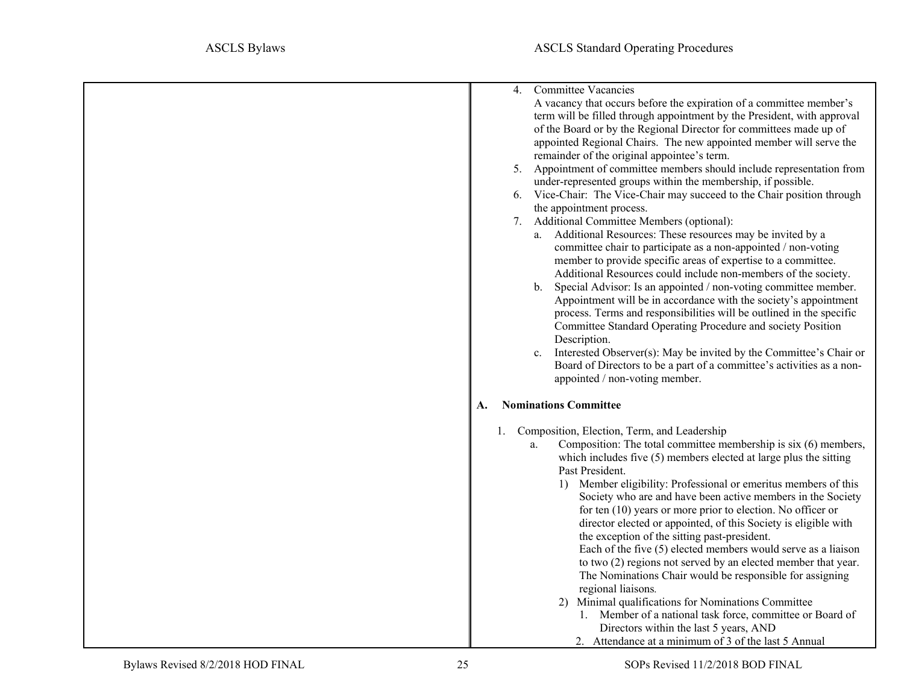<span id="page-24-0"></span>

| <b>Committee Vacancies</b><br>4.<br>A vacancy that occurs before the expiration of a committee member's<br>term will be filled through appointment by the President, with approval<br>of the Board or by the Regional Director for committees made up of<br>appointed Regional Chairs. The new appointed member will serve the<br>remainder of the original appointee's term.<br>Appointment of committee members should include representation from<br>5.<br>under-represented groups within the membership, if possible.<br>Vice-Chair: The Vice-Chair may succeed to the Chair position through<br>6.<br>the appointment process.<br>7. Additional Committee Members (optional):<br>a. Additional Resources: These resources may be invited by a<br>committee chair to participate as a non-appointed / non-voting<br>member to provide specific areas of expertise to a committee.<br>Additional Resources could include non-members of the society.<br>Special Advisor: Is an appointed / non-voting committee member.<br>b.<br>Appointment will be in accordance with the society's appointment<br>process. Terms and responsibilities will be outlined in the specific<br>Committee Standard Operating Procedure and society Position<br>Description.<br>Interested Observer(s): May be invited by the Committee's Chair or<br>c.<br>Board of Directors to be a part of a committee's activities as a non-<br>appointed / non-voting member. |
|-----------------------------------------------------------------------------------------------------------------------------------------------------------------------------------------------------------------------------------------------------------------------------------------------------------------------------------------------------------------------------------------------------------------------------------------------------------------------------------------------------------------------------------------------------------------------------------------------------------------------------------------------------------------------------------------------------------------------------------------------------------------------------------------------------------------------------------------------------------------------------------------------------------------------------------------------------------------------------------------------------------------------------------------------------------------------------------------------------------------------------------------------------------------------------------------------------------------------------------------------------------------------------------------------------------------------------------------------------------------------------------------------------------------------------------------------------|
| <b>Nominations Committee</b><br>А.                                                                                                                                                                                                                                                                                                                                                                                                                                                                                                                                                                                                                                                                                                                                                                                                                                                                                                                                                                                                                                                                                                                                                                                                                                                                                                                                                                                                                  |
| 1. Composition, Election, Term, and Leadership<br>Composition: The total committee membership is six (6) members,<br>a.<br>which includes five (5) members elected at large plus the sitting<br>Past President.<br>1) Member eligibility: Professional or emeritus members of this<br>Society who are and have been active members in the Society<br>for ten $(10)$ years or more prior to election. No officer or<br>director elected or appointed, of this Society is eligible with<br>the exception of the sitting past-president.<br>Each of the five $(5)$ elected members would serve as a liaison<br>to two (2) regions not served by an elected member that year.<br>The Nominations Chair would be responsible for assigning<br>regional liaisons.<br>2) Minimal qualifications for Nominations Committee<br>1. Member of a national task force, committee or Board of<br>Directors within the last 5 years, AND<br>2. Attendance at a minimum of 3 of the last 5 Annual                                                                                                                                                                                                                                                                                                                                                                                                                                                                   |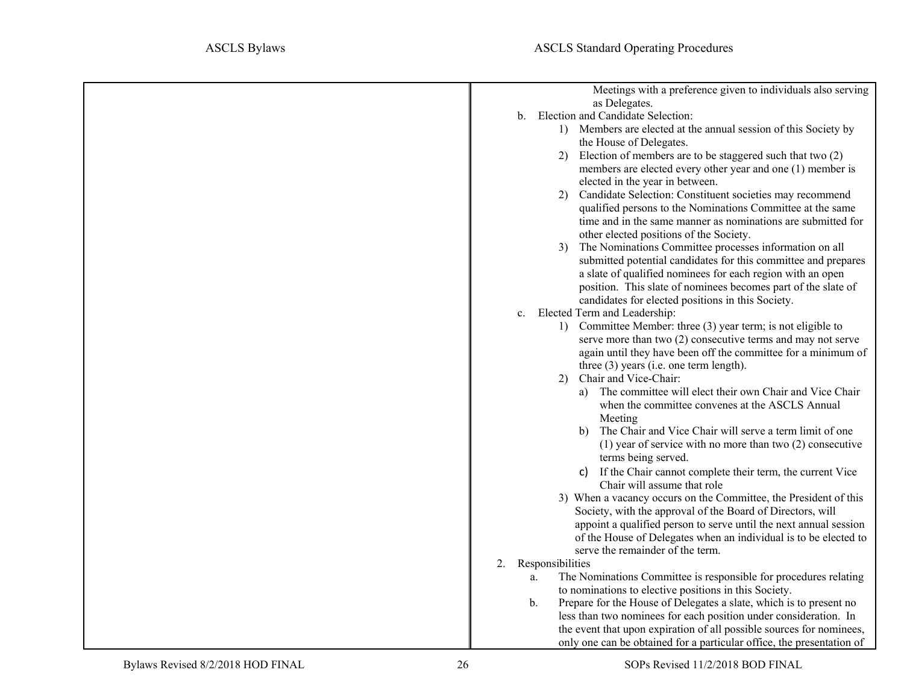| Meetings with a preference given to individuals also serving<br>as Delegates.                  |
|------------------------------------------------------------------------------------------------|
| Election and Candidate Selection:<br>b.                                                        |
| 1) Members are elected at the annual session of this Society by                                |
| the House of Delegates.                                                                        |
| Election of members are to be staggered such that two (2)<br>2)                                |
| members are elected every other year and one (1) member is                                     |
| elected in the year in between.                                                                |
| Candidate Selection: Constituent societies may recommend<br>2)                                 |
| qualified persons to the Nominations Committee at the same                                     |
| time and in the same manner as nominations are submitted for                                   |
| other elected positions of the Society.                                                        |
| The Nominations Committee processes information on all<br>3)                                   |
| submitted potential candidates for this committee and prepares                                 |
| a slate of qualified nominees for each region with an open                                     |
| position. This slate of nominees becomes part of the slate of                                  |
| candidates for elected positions in this Society.                                              |
| Elected Term and Leadership:<br>$c_{\cdot}$                                                    |
| 1) Committee Member: three (3) year term; is not eligible to                                   |
| serve more than two $(2)$ consecutive terms and may not serve                                  |
| again until they have been off the committee for a minimum of                                  |
| three $(3)$ years (i.e. one term length).                                                      |
| Chair and Vice-Chair:<br>2)                                                                    |
| The committee will elect their own Chair and Vice Chair<br>a)                                  |
| when the committee convenes at the ASCLS Annual                                                |
| Meeting                                                                                        |
| The Chair and Vice Chair will serve a term limit of one<br>b)                                  |
| (1) year of service with no more than two $(2)$ consecutive                                    |
| terms being served.                                                                            |
| If the Chair cannot complete their term, the current Vice<br>C)<br>Chair will assume that role |
| 3) When a vacancy occurs on the Committee, the President of this                               |
| Society, with the approval of the Board of Directors, will                                     |
| appoint a qualified person to serve until the next annual session                              |
| of the House of Delegates when an individual is to be elected to                               |
| serve the remainder of the term.                                                               |
| 2.<br>Responsibilities                                                                         |
| The Nominations Committee is responsible for procedures relating<br>a.                         |
| to nominations to elective positions in this Society.                                          |
| Prepare for the House of Delegates a slate, which is to present no<br>b.                       |
| less than two nominees for each position under consideration. In                               |
| the event that upon expiration of all possible sources for nominees,                           |
| only one can be obtained for a particular office, the presentation of                          |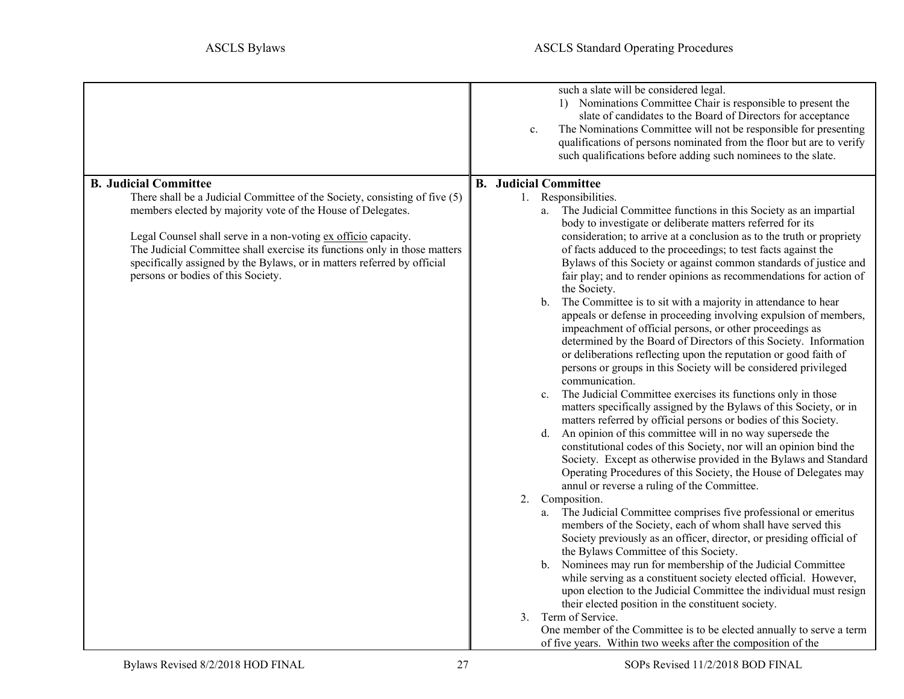<span id="page-26-3"></span><span id="page-26-2"></span><span id="page-26-1"></span><span id="page-26-0"></span>

|                                                                                                                                                                                                                                                                                                                                                                                                                                           | such a slate will be considered legal.<br>1) Nominations Committee Chair is responsible to present the<br>slate of candidates to the Board of Directors for acceptance<br>The Nominations Committee will not be responsible for presenting<br>c.<br>qualifications of persons nominated from the floor but are to verify<br>such qualifications before adding such nominees to the slate.                                                                                                                                                                                                                                                                                                                                                                                                                                                                                                                                                                                                                                                                                                                                                                                                                                                                                                                                                                                                                                                                                                                                                                                               |
|-------------------------------------------------------------------------------------------------------------------------------------------------------------------------------------------------------------------------------------------------------------------------------------------------------------------------------------------------------------------------------------------------------------------------------------------|-----------------------------------------------------------------------------------------------------------------------------------------------------------------------------------------------------------------------------------------------------------------------------------------------------------------------------------------------------------------------------------------------------------------------------------------------------------------------------------------------------------------------------------------------------------------------------------------------------------------------------------------------------------------------------------------------------------------------------------------------------------------------------------------------------------------------------------------------------------------------------------------------------------------------------------------------------------------------------------------------------------------------------------------------------------------------------------------------------------------------------------------------------------------------------------------------------------------------------------------------------------------------------------------------------------------------------------------------------------------------------------------------------------------------------------------------------------------------------------------------------------------------------------------------------------------------------------------|
|                                                                                                                                                                                                                                                                                                                                                                                                                                           |                                                                                                                                                                                                                                                                                                                                                                                                                                                                                                                                                                                                                                                                                                                                                                                                                                                                                                                                                                                                                                                                                                                                                                                                                                                                                                                                                                                                                                                                                                                                                                                         |
| <b>B. Judicial Committee</b><br>There shall be a Judicial Committee of the Society, consisting of five (5)<br>members elected by majority vote of the House of Delegates.<br>Legal Counsel shall serve in a non-voting ex officio capacity.<br>The Judicial Committee shall exercise its functions only in those matters<br>specifically assigned by the Bylaws, or in matters referred by official<br>persons or bodies of this Society. | <b>B.</b> Judicial Committee<br>1. Responsibilities.<br>a. The Judicial Committee functions in this Society as an impartial<br>body to investigate or deliberate matters referred for its<br>consideration; to arrive at a conclusion as to the truth or propriety<br>of facts adduced to the proceedings; to test facts against the<br>Bylaws of this Society or against common standards of justice and<br>fair play; and to render opinions as recommendations for action of<br>the Society.<br>The Committee is to sit with a majority in attendance to hear<br>b.<br>appeals or defense in proceeding involving expulsion of members,<br>impeachment of official persons, or other proceedings as<br>determined by the Board of Directors of this Society. Information<br>or deliberations reflecting upon the reputation or good faith of<br>persons or groups in this Society will be considered privileged<br>communication.<br>The Judicial Committee exercises its functions only in those<br>$c_{\cdot}$<br>matters specifically assigned by the Bylaws of this Society, or in<br>matters referred by official persons or bodies of this Society.<br>An opinion of this committee will in no way supersede the<br>d.<br>constitutional codes of this Society, nor will an opinion bind the<br>Society. Except as otherwise provided in the Bylaws and Standard<br>Operating Procedures of this Society, the House of Delegates may<br>annul or reverse a ruling of the Committee.<br>2. Composition.<br>The Judicial Committee comprises five professional or emeritus<br>a. |
|                                                                                                                                                                                                                                                                                                                                                                                                                                           | members of the Society, each of whom shall have served this<br>Society previously as an officer, director, or presiding official of<br>the Bylaws Committee of this Society.<br>b. Nominees may run for membership of the Judicial Committee<br>while serving as a constituent society elected official. However,<br>upon election to the Judicial Committee the individual must resign<br>their elected position in the constituent society.<br>Term of Service.<br>3.<br>One member of the Committee is to be elected annually to serve a term<br>of five years. Within two weeks after the composition of the                                                                                                                                                                                                                                                                                                                                                                                                                                                                                                                                                                                                                                                                                                                                                                                                                                                                                                                                                                        |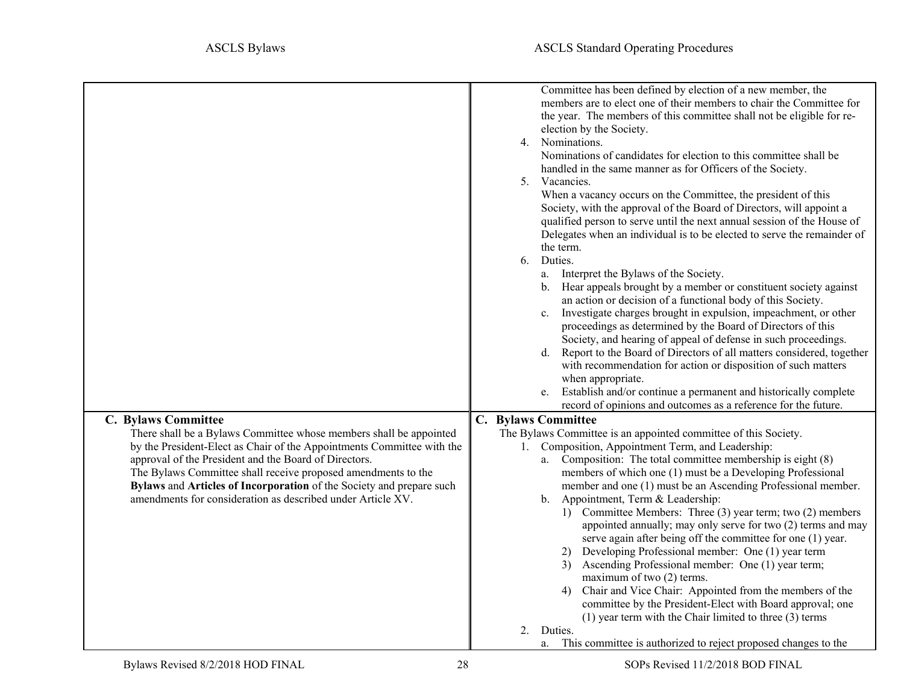<span id="page-27-5"></span><span id="page-27-4"></span><span id="page-27-3"></span><span id="page-27-2"></span><span id="page-27-1"></span><span id="page-27-0"></span>

|                                                                                                                                                                                                                                                                                                                                                                                                               | Committee has been defined by election of a new member, the<br>members are to elect one of their members to chair the Committee for<br>the year. The members of this committee shall not be eligible for re-<br>election by the Society.<br>4. Nominations.<br>Nominations of candidates for election to this committee shall be<br>handled in the same manner as for Officers of the Society.<br>5. Vacancies.<br>When a vacancy occurs on the Committee, the president of this<br>Society, with the approval of the Board of Directors, will appoint a<br>qualified person to serve until the next annual session of the House of<br>Delegates when an individual is to be elected to serve the remainder of<br>the term.<br>Duties.<br>6.<br>a. Interpret the Bylaws of the Society.<br>b. Hear appeals brought by a member or constituent society against<br>an action or decision of a functional body of this Society.<br>Investigate charges brought in expulsion, impeachment, or other<br>$c_{\cdot}$<br>proceedings as determined by the Board of Directors of this<br>Society, and hearing of appeal of defense in such proceedings.<br>d. Report to the Board of Directors of all matters considered, together<br>with recommendation for action or disposition of such matters<br>when appropriate.<br>Establish and/or continue a permanent and historically complete<br>e. |
|---------------------------------------------------------------------------------------------------------------------------------------------------------------------------------------------------------------------------------------------------------------------------------------------------------------------------------------------------------------------------------------------------------------|-------------------------------------------------------------------------------------------------------------------------------------------------------------------------------------------------------------------------------------------------------------------------------------------------------------------------------------------------------------------------------------------------------------------------------------------------------------------------------------------------------------------------------------------------------------------------------------------------------------------------------------------------------------------------------------------------------------------------------------------------------------------------------------------------------------------------------------------------------------------------------------------------------------------------------------------------------------------------------------------------------------------------------------------------------------------------------------------------------------------------------------------------------------------------------------------------------------------------------------------------------------------------------------------------------------------------------------------------------------------------------------------|
|                                                                                                                                                                                                                                                                                                                                                                                                               | record of opinions and outcomes as a reference for the future.                                                                                                                                                                                                                                                                                                                                                                                                                                                                                                                                                                                                                                                                                                                                                                                                                                                                                                                                                                                                                                                                                                                                                                                                                                                                                                                            |
| C. Bylaws Committee                                                                                                                                                                                                                                                                                                                                                                                           | C. Bylaws Committee                                                                                                                                                                                                                                                                                                                                                                                                                                                                                                                                                                                                                                                                                                                                                                                                                                                                                                                                                                                                                                                                                                                                                                                                                                                                                                                                                                       |
| There shall be a Bylaws Committee whose members shall be appointed<br>by the President-Elect as Chair of the Appointments Committee with the<br>approval of the President and the Board of Directors.<br>The Bylaws Committee shall receive proposed amendments to the<br>Bylaws and Articles of Incorporation of the Society and prepare such<br>amendments for consideration as described under Article XV. | The Bylaws Committee is an appointed committee of this Society.<br>1. Composition, Appointment Term, and Leadership:<br>a. Composition: The total committee membership is eight (8)<br>members of which one (1) must be a Developing Professional<br>member and one (1) must be an Ascending Professional member.<br>b. Appointment, Term & Leadership:<br>1) Committee Members: Three (3) year term; two (2) members<br>appointed annually; may only serve for two (2) terms and may<br>serve again after being off the committee for one (1) year.<br>2) Developing Professional member: One (1) year term<br>Ascending Professional member: One (1) year term;<br>3)<br>maximum of two (2) terms.<br>4) Chair and Vice Chair: Appointed from the members of the<br>committee by the President-Elect with Board approval; one<br>$(1)$ year term with the Chair limited to three $(3)$ terms<br>2.<br>Duties.<br>This committee is authorized to reject proposed changes to the<br>a.                                                                                                                                                                                                                                                                                                                                                                                                   |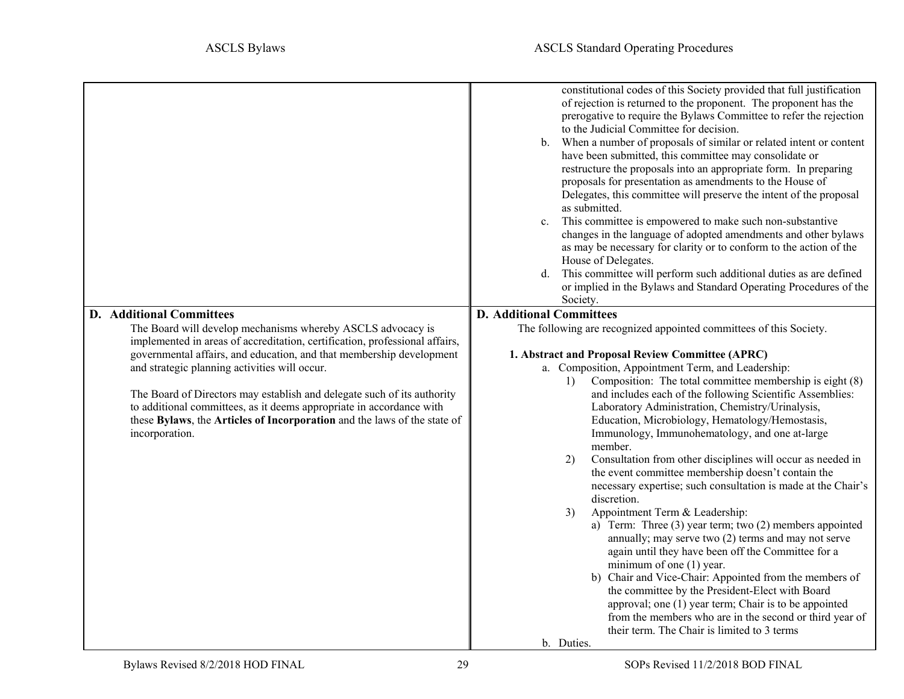<span id="page-28-1"></span><span id="page-28-0"></span>

|                                                                                                                                                                                                                                                                                                                                                                                                                                                                                                                                                         | constitutional codes of this Society provided that full justification<br>of rejection is returned to the proponent. The proponent has the<br>prerogative to require the Bylaws Committee to refer the rejection<br>to the Judicial Committee for decision.<br>b. When a number of proposals of similar or related intent or content<br>have been submitted, this committee may consolidate or<br>restructure the proposals into an appropriate form. In preparing<br>proposals for presentation as amendments to the House of<br>Delegates, this committee will preserve the intent of the proposal<br>as submitted.<br>This committee is empowered to make such non-substantive<br>$\mathbf{c}$ .<br>changes in the language of adopted amendments and other bylaws<br>as may be necessary for clarity or to conform to the action of the<br>House of Delegates.<br>This committee will perform such additional duties as are defined<br>d.<br>or implied in the Bylaws and Standard Operating Procedures of the<br>Society.            |
|---------------------------------------------------------------------------------------------------------------------------------------------------------------------------------------------------------------------------------------------------------------------------------------------------------------------------------------------------------------------------------------------------------------------------------------------------------------------------------------------------------------------------------------------------------|------------------------------------------------------------------------------------------------------------------------------------------------------------------------------------------------------------------------------------------------------------------------------------------------------------------------------------------------------------------------------------------------------------------------------------------------------------------------------------------------------------------------------------------------------------------------------------------------------------------------------------------------------------------------------------------------------------------------------------------------------------------------------------------------------------------------------------------------------------------------------------------------------------------------------------------------------------------------------------------------------------------------------------------|
| <b>D.</b> Additional Committees<br>The Board will develop mechanisms whereby ASCLS advocacy is<br>implemented in areas of accreditation, certification, professional affairs,<br>governmental affairs, and education, and that membership development<br>and strategic planning activities will occur.<br>The Board of Directors may establish and delegate such of its authority<br>to additional committees, as it deems appropriate in accordance with<br>these Bylaws, the Articles of Incorporation and the laws of the state of<br>incorporation. | <b>D.</b> Additional Committees<br>The following are recognized appointed committees of this Society.<br>1. Abstract and Proposal Review Committee (APRC)<br>a. Composition, Appointment Term, and Leadership:<br>Composition: The total committee membership is eight $(8)$<br>1)<br>and includes each of the following Scientific Assemblies:<br>Laboratory Administration, Chemistry/Urinalysis,<br>Education, Microbiology, Hematology/Hemostasis,<br>Immunology, Immunohematology, and one at-large<br>member.<br>Consultation from other disciplines will occur as needed in<br>2)<br>the event committee membership doesn't contain the<br>necessary expertise; such consultation is made at the Chair's<br>discretion.<br>Appointment Term & Leadership:<br>3)<br>a) Term: Three $(3)$ year term; two $(2)$ members appointed<br>annually; may serve two (2) terms and may not serve<br>again until they have been off the Committee for a<br>minimum of one (1) year.<br>b) Chair and Vice-Chair: Appointed from the members of |
|                                                                                                                                                                                                                                                                                                                                                                                                                                                                                                                                                         | the committee by the President-Elect with Board<br>approval; one (1) year term; Chair is to be appointed<br>from the members who are in the second or third year of<br>their term. The Chair is limited to 3 terms<br>b. Duties.                                                                                                                                                                                                                                                                                                                                                                                                                                                                                                                                                                                                                                                                                                                                                                                                         |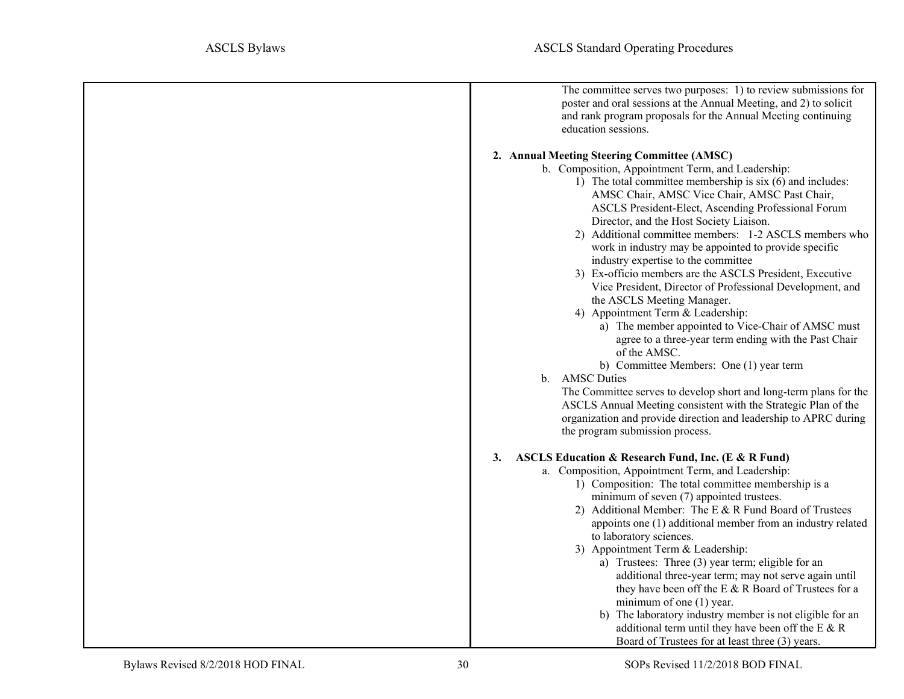<span id="page-29-1"></span><span id="page-29-0"></span>

| The committee serves two purposes: 1) to review submissions for<br>poster and oral sessions at the Annual Meeting, and 2) to solicit<br>and rank program proposals for the Annual Meeting continuing<br>education sessions.                                                                                                                                                                                                                                                                                                                                                                                                                                                                                                                                                                                                                                                                                                                                                                                                                                                                                       |
|-------------------------------------------------------------------------------------------------------------------------------------------------------------------------------------------------------------------------------------------------------------------------------------------------------------------------------------------------------------------------------------------------------------------------------------------------------------------------------------------------------------------------------------------------------------------------------------------------------------------------------------------------------------------------------------------------------------------------------------------------------------------------------------------------------------------------------------------------------------------------------------------------------------------------------------------------------------------------------------------------------------------------------------------------------------------------------------------------------------------|
| 2. Annual Meeting Steering Committee (AMSC)<br>b. Composition, Appointment Term, and Leadership:<br>1) The total committee membership is six (6) and includes:<br>AMSC Chair, AMSC Vice Chair, AMSC Past Chair,<br>ASCLS President-Elect, Ascending Professional Forum<br>Director, and the Host Society Liaison.<br>2) Additional committee members: 1-2 ASCLS members who<br>work in industry may be appointed to provide specific<br>industry expertise to the committee<br>3) Ex-officio members are the ASCLS President, Executive<br>Vice President, Director of Professional Development, and<br>the ASCLS Meeting Manager.<br>4) Appointment Term & Leadership:<br>a) The member appointed to Vice-Chair of AMSC must<br>agree to a three-year term ending with the Past Chair<br>of the AMSC.<br>b) Committee Members: One (1) year term<br>b. AMSC Duties<br>The Committee serves to develop short and long-term plans for the<br>ASCLS Annual Meeting consistent with the Strategic Plan of the<br>organization and provide direction and leadership to APRC during<br>the program submission process. |
| ASCLS Education & Research Fund, Inc. (E & R Fund)<br>3.<br>a. Composition, Appointment Term, and Leadership:<br>1) Composition: The total committee membership is a<br>minimum of seven (7) appointed trustees.<br>2) Additional Member: The E & R Fund Board of Trustees<br>appoints one (1) additional member from an industry related<br>to laboratory sciences.<br>3) Appointment Term & Leadership:<br>a) Trustees: Three (3) year term; eligible for an<br>additional three-year term; may not serve again until<br>they have been off the E & R Board of Trustees for a<br>minimum of one (1) year.<br>b) The laboratory industry member is not eligible for an<br>additional term until they have been off the E & R<br>Board of Trustees for at least three (3) years.                                                                                                                                                                                                                                                                                                                                  |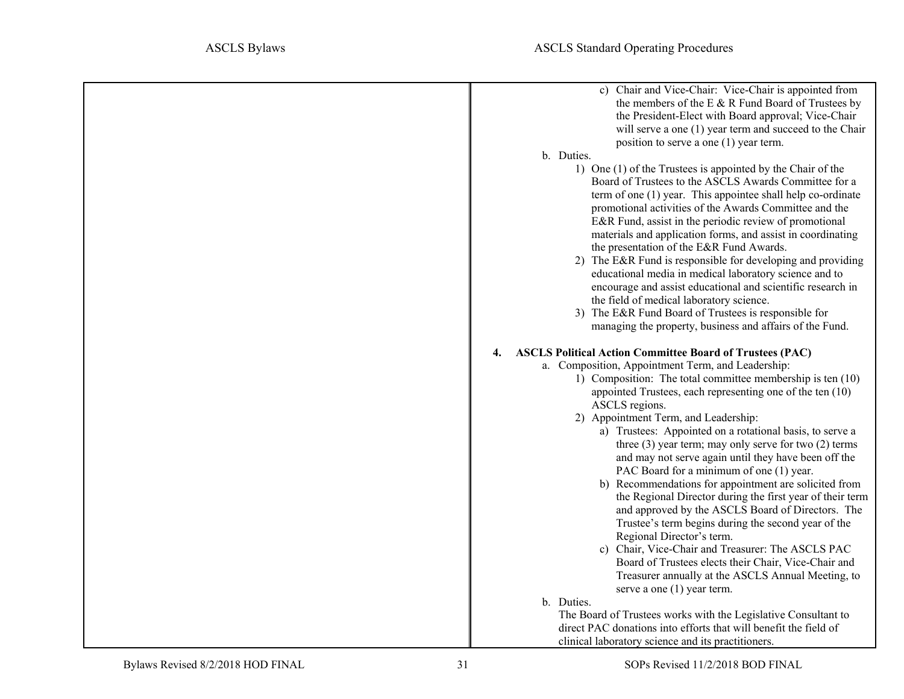<span id="page-30-0"></span>

| c) Chair and Vice-Chair: Vice-Chair is appointed from                 |
|-----------------------------------------------------------------------|
| the members of the E & R Fund Board of Trustees by                    |
| the President-Elect with Board approval; Vice-Chair                   |
| will serve a one (1) year term and succeed to the Chair               |
|                                                                       |
| position to serve a one (1) year term.                                |
| b. Duties.                                                            |
| 1) One (1) of the Trustees is appointed by the Chair of the           |
| Board of Trustees to the ASCLS Awards Committee for a                 |
| term of one (1) year. This appointee shall help co-ordinate           |
| promotional activities of the Awards Committee and the                |
| E&R Fund, assist in the periodic review of promotional                |
| materials and application forms, and assist in coordinating           |
| the presentation of the E&R Fund Awards.                              |
| 2) The E&R Fund is responsible for developing and providing           |
| educational media in medical laboratory science and to                |
|                                                                       |
| encourage and assist educational and scientific research in           |
| the field of medical laboratory science.                              |
| 3) The E&R Fund Board of Trustees is responsible for                  |
| managing the property, business and affairs of the Fund.              |
| <b>ASCLS Political Action Committee Board of Trustees (PAC)</b><br>4. |
| a. Composition, Appointment Term, and Leadership:                     |
| 1) Composition: The total committee membership is ten (10)            |
| appointed Trustees, each representing one of the ten (10)             |
| ASCLS regions.                                                        |
| 2) Appointment Term, and Leadership:                                  |
| a) Trustees: Appointed on a rotational basis, to serve a              |
| three $(3)$ year term; may only serve for two $(2)$ terms             |
| and may not serve again until they have been off the                  |
| PAC Board for a minimum of one (1) year.                              |
| b) Recommendations for appointment are solicited from                 |
|                                                                       |
| the Regional Director during the first year of their term             |
| and approved by the ASCLS Board of Directors. The                     |
| Trustee's term begins during the second year of the                   |
| Regional Director's term.                                             |
| c) Chair, Vice-Chair and Treasurer: The ASCLS PAC                     |
| Board of Trustees elects their Chair, Vice-Chair and                  |
| Treasurer annually at the ASCLS Annual Meeting, to                    |
| serve a one $(1)$ year term.                                          |
| b. Duties.                                                            |
| The Board of Trustees works with the Legislative Consultant to        |
| direct PAC donations into efforts that will benefit the field of      |
| clinical laboratory science and its practitioners.                    |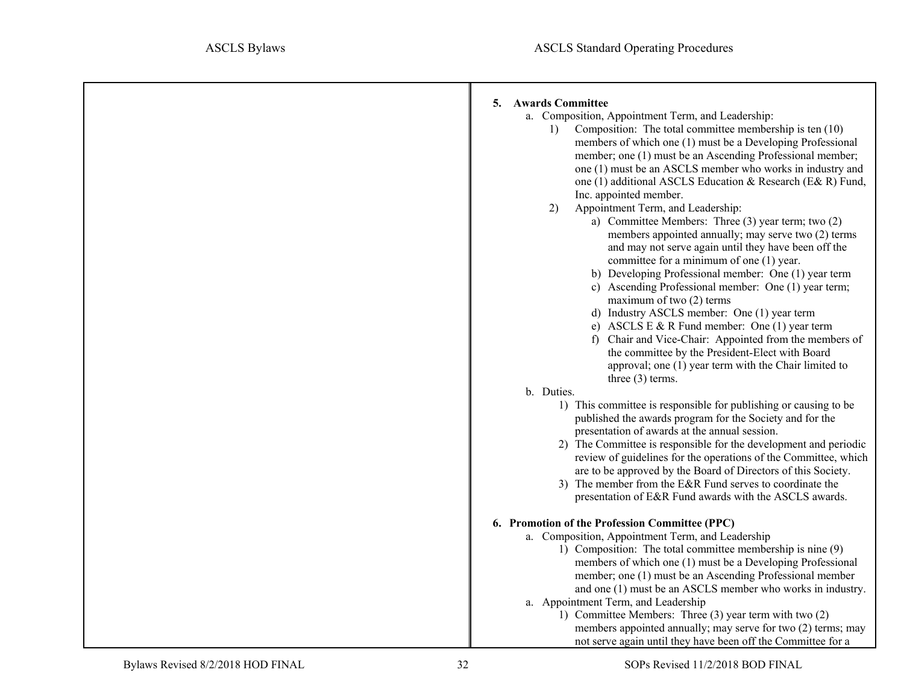<span id="page-31-0"></span>

| <b>Awards Committee</b><br>5.<br>a. Composition, Appointment Term, and Leadership:<br>Composition: The total committee membership is ten $(10)$<br>1)<br>members of which one (1) must be a Developing Professional<br>member; one (1) must be an Ascending Professional member;<br>one (1) must be an ASCLS member who works in industry and<br>one (1) additional ASCLS Education & Research (E& R) Fund,<br>Inc. appointed member.<br>Appointment Term, and Leadership:<br>2)<br>a) Committee Members: Three (3) year term; two (2)<br>members appointed annually; may serve two (2) terms<br>and may not serve again until they have been off the<br>committee for a minimum of one (1) year.<br>b) Developing Professional member: One (1) year term<br>c) Ascending Professional member: One (1) year term;<br>maximum of two (2) terms<br>d) Industry ASCLS member: One (1) year term<br>e) ASCLS E & R Fund member: One $(1)$ year term<br>f) Chair and Vice-Chair: Appointed from the members of<br>the committee by the President-Elect with Board<br>approval; one (1) year term with the Chair limited to<br>three $(3)$ terms.<br>b. Duties.<br>1) This committee is responsible for publishing or causing to be<br>published the awards program for the Society and for the |
|-------------------------------------------------------------------------------------------------------------------------------------------------------------------------------------------------------------------------------------------------------------------------------------------------------------------------------------------------------------------------------------------------------------------------------------------------------------------------------------------------------------------------------------------------------------------------------------------------------------------------------------------------------------------------------------------------------------------------------------------------------------------------------------------------------------------------------------------------------------------------------------------------------------------------------------------------------------------------------------------------------------------------------------------------------------------------------------------------------------------------------------------------------------------------------------------------------------------------------------------------------------------------------------------|
|                                                                                                                                                                                                                                                                                                                                                                                                                                                                                                                                                                                                                                                                                                                                                                                                                                                                                                                                                                                                                                                                                                                                                                                                                                                                                           |
|                                                                                                                                                                                                                                                                                                                                                                                                                                                                                                                                                                                                                                                                                                                                                                                                                                                                                                                                                                                                                                                                                                                                                                                                                                                                                           |
|                                                                                                                                                                                                                                                                                                                                                                                                                                                                                                                                                                                                                                                                                                                                                                                                                                                                                                                                                                                                                                                                                                                                                                                                                                                                                           |
|                                                                                                                                                                                                                                                                                                                                                                                                                                                                                                                                                                                                                                                                                                                                                                                                                                                                                                                                                                                                                                                                                                                                                                                                                                                                                           |
|                                                                                                                                                                                                                                                                                                                                                                                                                                                                                                                                                                                                                                                                                                                                                                                                                                                                                                                                                                                                                                                                                                                                                                                                                                                                                           |
|                                                                                                                                                                                                                                                                                                                                                                                                                                                                                                                                                                                                                                                                                                                                                                                                                                                                                                                                                                                                                                                                                                                                                                                                                                                                                           |
|                                                                                                                                                                                                                                                                                                                                                                                                                                                                                                                                                                                                                                                                                                                                                                                                                                                                                                                                                                                                                                                                                                                                                                                                                                                                                           |
|                                                                                                                                                                                                                                                                                                                                                                                                                                                                                                                                                                                                                                                                                                                                                                                                                                                                                                                                                                                                                                                                                                                                                                                                                                                                                           |
|                                                                                                                                                                                                                                                                                                                                                                                                                                                                                                                                                                                                                                                                                                                                                                                                                                                                                                                                                                                                                                                                                                                                                                                                                                                                                           |
|                                                                                                                                                                                                                                                                                                                                                                                                                                                                                                                                                                                                                                                                                                                                                                                                                                                                                                                                                                                                                                                                                                                                                                                                                                                                                           |
|                                                                                                                                                                                                                                                                                                                                                                                                                                                                                                                                                                                                                                                                                                                                                                                                                                                                                                                                                                                                                                                                                                                                                                                                                                                                                           |
|                                                                                                                                                                                                                                                                                                                                                                                                                                                                                                                                                                                                                                                                                                                                                                                                                                                                                                                                                                                                                                                                                                                                                                                                                                                                                           |
|                                                                                                                                                                                                                                                                                                                                                                                                                                                                                                                                                                                                                                                                                                                                                                                                                                                                                                                                                                                                                                                                                                                                                                                                                                                                                           |
|                                                                                                                                                                                                                                                                                                                                                                                                                                                                                                                                                                                                                                                                                                                                                                                                                                                                                                                                                                                                                                                                                                                                                                                                                                                                                           |
|                                                                                                                                                                                                                                                                                                                                                                                                                                                                                                                                                                                                                                                                                                                                                                                                                                                                                                                                                                                                                                                                                                                                                                                                                                                                                           |
|                                                                                                                                                                                                                                                                                                                                                                                                                                                                                                                                                                                                                                                                                                                                                                                                                                                                                                                                                                                                                                                                                                                                                                                                                                                                                           |
|                                                                                                                                                                                                                                                                                                                                                                                                                                                                                                                                                                                                                                                                                                                                                                                                                                                                                                                                                                                                                                                                                                                                                                                                                                                                                           |
|                                                                                                                                                                                                                                                                                                                                                                                                                                                                                                                                                                                                                                                                                                                                                                                                                                                                                                                                                                                                                                                                                                                                                                                                                                                                                           |
|                                                                                                                                                                                                                                                                                                                                                                                                                                                                                                                                                                                                                                                                                                                                                                                                                                                                                                                                                                                                                                                                                                                                                                                                                                                                                           |
|                                                                                                                                                                                                                                                                                                                                                                                                                                                                                                                                                                                                                                                                                                                                                                                                                                                                                                                                                                                                                                                                                                                                                                                                                                                                                           |
|                                                                                                                                                                                                                                                                                                                                                                                                                                                                                                                                                                                                                                                                                                                                                                                                                                                                                                                                                                                                                                                                                                                                                                                                                                                                                           |
|                                                                                                                                                                                                                                                                                                                                                                                                                                                                                                                                                                                                                                                                                                                                                                                                                                                                                                                                                                                                                                                                                                                                                                                                                                                                                           |
|                                                                                                                                                                                                                                                                                                                                                                                                                                                                                                                                                                                                                                                                                                                                                                                                                                                                                                                                                                                                                                                                                                                                                                                                                                                                                           |
|                                                                                                                                                                                                                                                                                                                                                                                                                                                                                                                                                                                                                                                                                                                                                                                                                                                                                                                                                                                                                                                                                                                                                                                                                                                                                           |
|                                                                                                                                                                                                                                                                                                                                                                                                                                                                                                                                                                                                                                                                                                                                                                                                                                                                                                                                                                                                                                                                                                                                                                                                                                                                                           |
| presentation of awards at the annual session.                                                                                                                                                                                                                                                                                                                                                                                                                                                                                                                                                                                                                                                                                                                                                                                                                                                                                                                                                                                                                                                                                                                                                                                                                                             |
| 2) The Committee is responsible for the development and periodic                                                                                                                                                                                                                                                                                                                                                                                                                                                                                                                                                                                                                                                                                                                                                                                                                                                                                                                                                                                                                                                                                                                                                                                                                          |
| review of guidelines for the operations of the Committee, which                                                                                                                                                                                                                                                                                                                                                                                                                                                                                                                                                                                                                                                                                                                                                                                                                                                                                                                                                                                                                                                                                                                                                                                                                           |
| are to be approved by the Board of Directors of this Society.                                                                                                                                                                                                                                                                                                                                                                                                                                                                                                                                                                                                                                                                                                                                                                                                                                                                                                                                                                                                                                                                                                                                                                                                                             |
| 3) The member from the E&R Fund serves to coordinate the                                                                                                                                                                                                                                                                                                                                                                                                                                                                                                                                                                                                                                                                                                                                                                                                                                                                                                                                                                                                                                                                                                                                                                                                                                  |
| presentation of E&R Fund awards with the ASCLS awards.                                                                                                                                                                                                                                                                                                                                                                                                                                                                                                                                                                                                                                                                                                                                                                                                                                                                                                                                                                                                                                                                                                                                                                                                                                    |
| 6. Promotion of the Profession Committee (PPC)                                                                                                                                                                                                                                                                                                                                                                                                                                                                                                                                                                                                                                                                                                                                                                                                                                                                                                                                                                                                                                                                                                                                                                                                                                            |
| a. Composition, Appointment Term, and Leadership                                                                                                                                                                                                                                                                                                                                                                                                                                                                                                                                                                                                                                                                                                                                                                                                                                                                                                                                                                                                                                                                                                                                                                                                                                          |
| 1) Composition: The total committee membership is nine (9)                                                                                                                                                                                                                                                                                                                                                                                                                                                                                                                                                                                                                                                                                                                                                                                                                                                                                                                                                                                                                                                                                                                                                                                                                                |
| members of which one (1) must be a Developing Professional                                                                                                                                                                                                                                                                                                                                                                                                                                                                                                                                                                                                                                                                                                                                                                                                                                                                                                                                                                                                                                                                                                                                                                                                                                |
| member; one (1) must be an Ascending Professional member                                                                                                                                                                                                                                                                                                                                                                                                                                                                                                                                                                                                                                                                                                                                                                                                                                                                                                                                                                                                                                                                                                                                                                                                                                  |
| and one (1) must be an ASCLS member who works in industry.                                                                                                                                                                                                                                                                                                                                                                                                                                                                                                                                                                                                                                                                                                                                                                                                                                                                                                                                                                                                                                                                                                                                                                                                                                |
| a. Appointment Term, and Leadership                                                                                                                                                                                                                                                                                                                                                                                                                                                                                                                                                                                                                                                                                                                                                                                                                                                                                                                                                                                                                                                                                                                                                                                                                                                       |
| 1) Committee Members: Three (3) year term with two (2)                                                                                                                                                                                                                                                                                                                                                                                                                                                                                                                                                                                                                                                                                                                                                                                                                                                                                                                                                                                                                                                                                                                                                                                                                                    |
| members appointed annually; may serve for two (2) terms; may                                                                                                                                                                                                                                                                                                                                                                                                                                                                                                                                                                                                                                                                                                                                                                                                                                                                                                                                                                                                                                                                                                                                                                                                                              |
| not serve again until they have been off the Committee for a                                                                                                                                                                                                                                                                                                                                                                                                                                                                                                                                                                                                                                                                                                                                                                                                                                                                                                                                                                                                                                                                                                                                                                                                                              |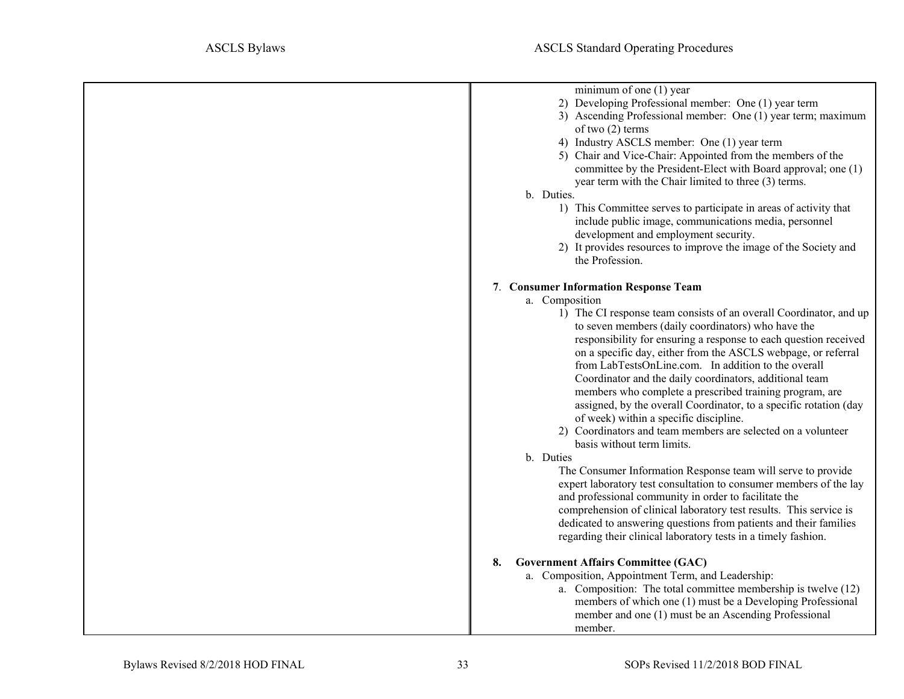<span id="page-32-1"></span><span id="page-32-0"></span>

| minimum of one $(1)$ year                                          |
|--------------------------------------------------------------------|
| 2) Developing Professional member: One (1) year term               |
| 3) Ascending Professional member: One (1) year term; maximum       |
| of two $(2)$ terms                                                 |
| 4) Industry ASCLS member: One (1) year term                        |
| 5) Chair and Vice-Chair: Appointed from the members of the         |
| committee by the President-Elect with Board approval; one (1)      |
| year term with the Chair limited to three (3) terms.               |
| b. Duties.                                                         |
| 1) This Committee serves to participate in areas of activity that  |
| include public image, communications media, personnel              |
| development and employment security.                               |
| 2) It provides resources to improve the image of the Society and   |
| the Profession.                                                    |
| 7. Consumer Information Response Team                              |
| a. Composition                                                     |
| 1) The CI response team consists of an overall Coordinator, and up |
| to seven members (daily coordinators) who have the                 |
| responsibility for ensuring a response to each question received   |
| on a specific day, either from the ASCLS webpage, or referral      |
| from LabTestsOnLine.com. In addition to the overall                |
| Coordinator and the daily coordinators, additional team            |
| members who complete a prescribed training program, are            |
| assigned, by the overall Coordinator, to a specific rotation (day  |
| of week) within a specific discipline.                             |
| 2) Coordinators and team members are selected on a volunteer       |
| basis without term limits.                                         |
| b. Duties                                                          |
| The Consumer Information Response team will serve to provide       |
| expert laboratory test consultation to consumer members of the lay |
| and professional community in order to facilitate the              |
| comprehension of clinical laboratory test results. This service is |
| dedicated to answering questions from patients and their families  |
| regarding their clinical laboratory tests in a timely fashion.     |
|                                                                    |
| <b>Government Affairs Committee (GAC)</b><br>8.                    |
| a. Composition, Appointment Term, and Leadership:                  |
| a. Composition: The total committee membership is twelve (12)      |
| members of which one (1) must be a Developing Professional         |
| member and one (1) must be an Ascending Professional               |
| member.                                                            |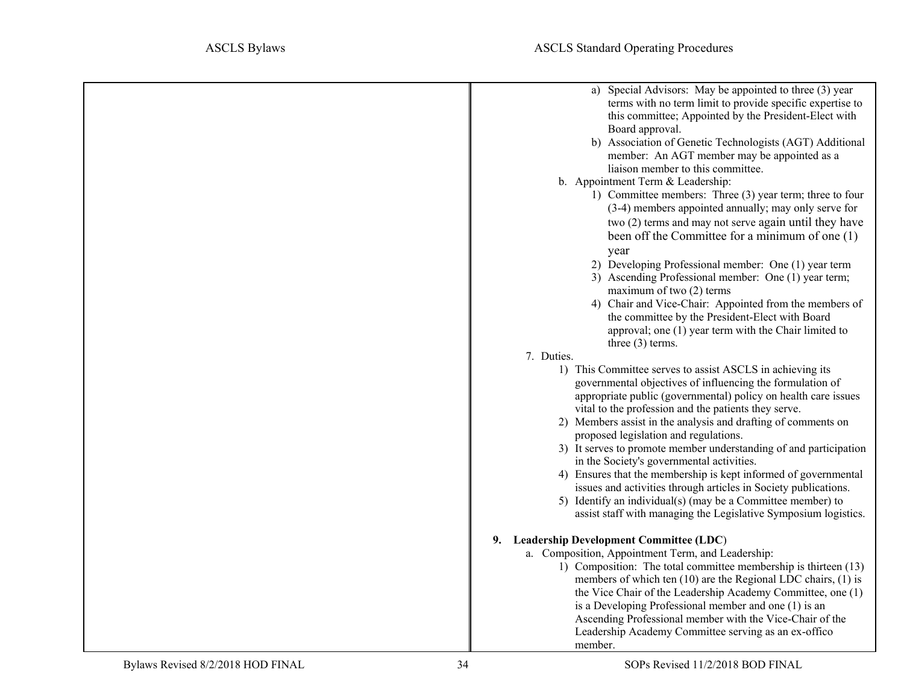<span id="page-33-0"></span>

| a) Special Advisors: May be appointed to three (3) year<br>terms with no term limit to provide specific expertise to<br>this committee; Appointed by the President-Elect with<br>Board approval.<br>b) Association of Genetic Technologists (AGT) Additional<br>member: An AGT member may be appointed as a<br>liaison member to this committee. |
|--------------------------------------------------------------------------------------------------------------------------------------------------------------------------------------------------------------------------------------------------------------------------------------------------------------------------------------------------|
| b. Appointment Term & Leadership:<br>1) Committee members: Three (3) year term; three to four                                                                                                                                                                                                                                                    |
| (3-4) members appointed annually; may only serve for                                                                                                                                                                                                                                                                                             |
| two (2) terms and may not serve again until they have<br>been off the Committee for a minimum of one (1)                                                                                                                                                                                                                                         |
| year                                                                                                                                                                                                                                                                                                                                             |
| 2) Developing Professional member: One (1) year term                                                                                                                                                                                                                                                                                             |
| 3) Ascending Professional member: One (1) year term;<br>maximum of two (2) terms                                                                                                                                                                                                                                                                 |
| 4) Chair and Vice-Chair: Appointed from the members of<br>the committee by the President-Elect with Board                                                                                                                                                                                                                                        |
| approval; one (1) year term with the Chair limited to                                                                                                                                                                                                                                                                                            |
| three $(3)$ terms.                                                                                                                                                                                                                                                                                                                               |
| 7. Duties.                                                                                                                                                                                                                                                                                                                                       |
| 1) This Committee serves to assist ASCLS in achieving its                                                                                                                                                                                                                                                                                        |
| governmental objectives of influencing the formulation of                                                                                                                                                                                                                                                                                        |
| appropriate public (governmental) policy on health care issues<br>vital to the profession and the patients they serve.                                                                                                                                                                                                                           |
| 2) Members assist in the analysis and drafting of comments on                                                                                                                                                                                                                                                                                    |
| proposed legislation and regulations.                                                                                                                                                                                                                                                                                                            |
| 3) It serves to promote member understanding of and participation                                                                                                                                                                                                                                                                                |
| in the Society's governmental activities.                                                                                                                                                                                                                                                                                                        |
| 4) Ensures that the membership is kept informed of governmental                                                                                                                                                                                                                                                                                  |
| issues and activities through articles in Society publications.                                                                                                                                                                                                                                                                                  |
| 5) Identify an individual(s) (may be a Committee member) to<br>assist staff with managing the Legislative Symposium logistics.                                                                                                                                                                                                                   |
| 9. Leadership Development Committee (LDC)                                                                                                                                                                                                                                                                                                        |
| a. Composition, Appointment Term, and Leadership:                                                                                                                                                                                                                                                                                                |
| 1) Composition: The total committee membership is thirteen (13)                                                                                                                                                                                                                                                                                  |
| members of which ten (10) are the Regional LDC chairs, (1) is                                                                                                                                                                                                                                                                                    |
| the Vice Chair of the Leadership Academy Committee, one (1)                                                                                                                                                                                                                                                                                      |
| is a Developing Professional member and one (1) is an<br>Ascending Professional member with the Vice-Chair of the                                                                                                                                                                                                                                |
| Leadership Academy Committee serving as an ex-offico                                                                                                                                                                                                                                                                                             |
| member.                                                                                                                                                                                                                                                                                                                                          |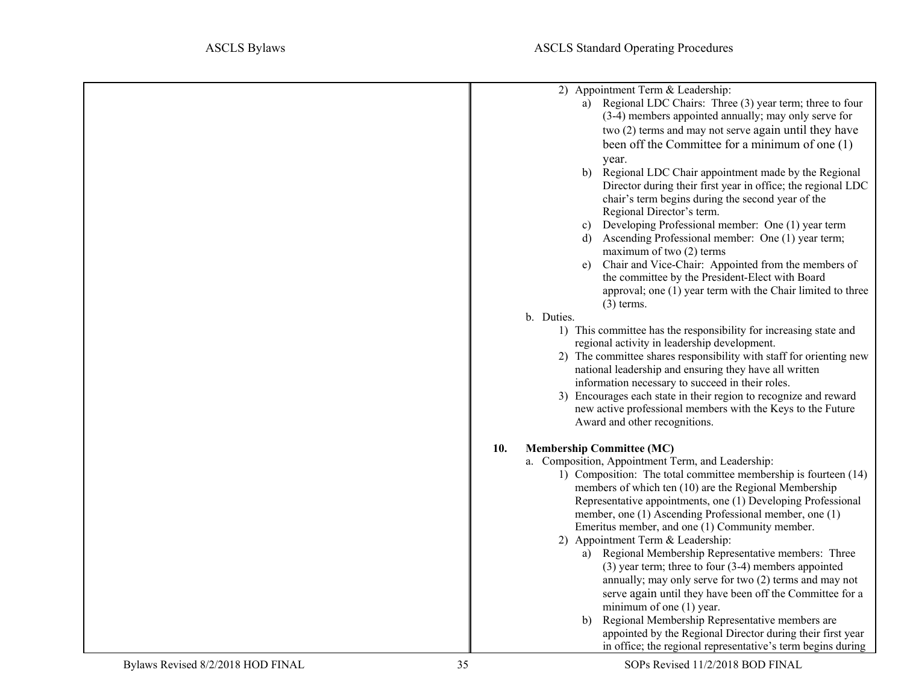<span id="page-34-0"></span>

|     | 2) Appointment Term & Leadership:                                                                        |
|-----|----------------------------------------------------------------------------------------------------------|
|     | a) Regional LDC Chairs: Three (3) year term; three to four                                               |
|     | (3-4) members appointed annually; may only serve for                                                     |
|     | two (2) terms and may not serve again until they have                                                    |
|     | been off the Committee for a minimum of one (1)                                                          |
|     | year.                                                                                                    |
|     | Regional LDC Chair appointment made by the Regional<br>b)                                                |
|     | Director during their first year in office; the regional LDC                                             |
|     | chair's term begins during the second year of the                                                        |
|     | Regional Director's term.                                                                                |
|     | Developing Professional member: One (1) year term<br>c)                                                  |
|     | d) Ascending Professional member: One (1) year term;                                                     |
|     | maximum of two $(2)$ terms<br>Chair and Vice-Chair: Appointed from the members of                        |
|     | e)<br>the committee by the President-Elect with Board                                                    |
|     | approval; one (1) year term with the Chair limited to three                                              |
|     | $(3)$ terms.                                                                                             |
|     | b. Duties.                                                                                               |
|     | 1) This committee has the responsibility for increasing state and                                        |
|     | regional activity in leadership development.                                                             |
|     | 2) The committee shares responsibility with staff for orienting new                                      |
|     | national leadership and ensuring they have all written                                                   |
|     | information necessary to succeed in their roles.                                                         |
|     | 3) Encourages each state in their region to recognize and reward                                         |
|     | new active professional members with the Keys to the Future                                              |
|     | Award and other recognitions.                                                                            |
| 10. | <b>Membership Committee (MC)</b>                                                                         |
|     | a. Composition, Appointment Term, and Leadership:                                                        |
|     | 1) Composition: The total committee membership is fourteen (14)                                          |
|     | members of which ten (10) are the Regional Membership                                                    |
|     | Representative appointments, one (1) Developing Professional                                             |
|     | member, one (1) Ascending Professional member, one (1)<br>Emeritus member, and one (1) Community member. |
|     | 2) Appointment Term & Leadership:                                                                        |
|     | a) Regional Membership Representative members: Three                                                     |
|     | $(3)$ year term; three to four $(3-4)$ members appointed                                                 |
|     | annually; may only serve for two (2) terms and may not                                                   |
|     | serve again until they have been off the Committee for a                                                 |
|     | minimum of one $(1)$ year.                                                                               |
|     | Regional Membership Representative members are<br>b)                                                     |
|     | appointed by the Regional Director during their first year                                               |
|     | in office; the regional representative's term begins during                                              |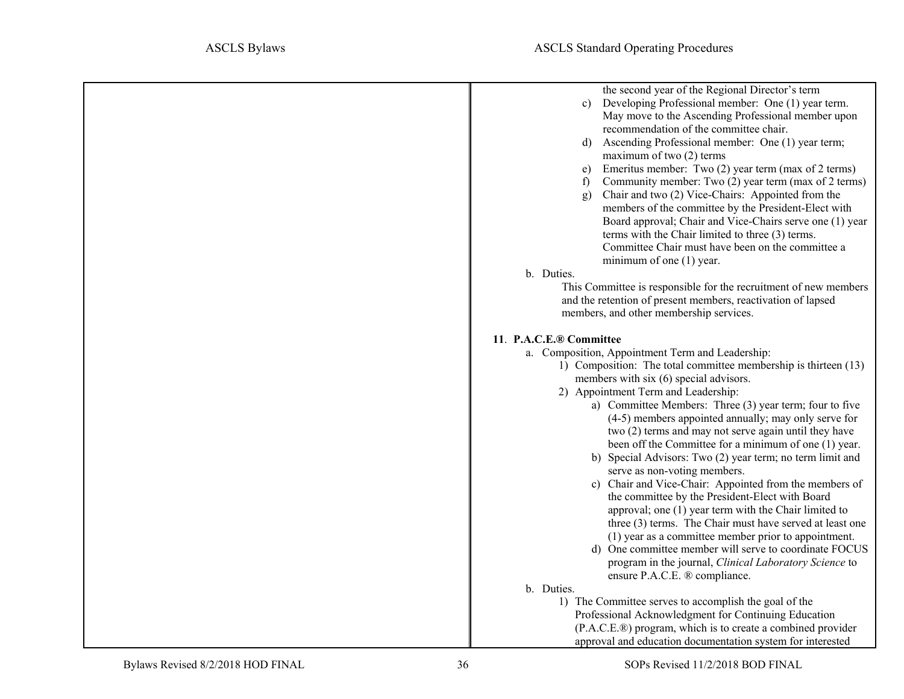<span id="page-35-0"></span>

| the second year of the Regional Director's term                                                           |
|-----------------------------------------------------------------------------------------------------------|
| Developing Professional member: One (1) year term.<br>$\mathbf{c}$                                        |
| May move to the Ascending Professional member upon                                                        |
| recommendation of the committee chair.                                                                    |
| Ascending Professional member: One (1) year term;<br>maximum of two $(2)$ terms                           |
| Emeritus member: Two (2) year term (max of 2 terms)<br>e)                                                 |
| Community member: Two (2) year term (max of 2 terms)<br>f                                                 |
| Chair and two (2) Vice-Chairs: Appointed from the<br>$\mathbf{g}$                                         |
| members of the committee by the President-Elect with                                                      |
| Board approval; Chair and Vice-Chairs serve one (1) year                                                  |
| terms with the Chair limited to three (3) terms.                                                          |
| Committee Chair must have been on the committee a                                                         |
| minimum of one (1) year.                                                                                  |
| b. Duties.                                                                                                |
| This Committee is responsible for the recruitment of new members                                          |
| and the retention of present members, reactivation of lapsed                                              |
| members, and other membership services.                                                                   |
| 11. P.A.C.E.® Committee                                                                                   |
| a. Composition, Appointment Term and Leadership:                                                          |
| 1) Composition: The total committee membership is thirteen (13)                                           |
| members with six (6) special advisors.                                                                    |
| 2) Appointment Term and Leadership:                                                                       |
| a) Committee Members: Three (3) year term; four to five                                                   |
| (4-5) members appointed annually; may only serve for                                                      |
| two (2) terms and may not serve again until they have                                                     |
| been off the Committee for a minimum of one (1) year.                                                     |
| b) Special Advisors: Two (2) year term; no term limit and                                                 |
| serve as non-voting members.                                                                              |
| c) Chair and Vice-Chair: Appointed from the members of<br>the committee by the President-Elect with Board |
| approval; one (1) year term with the Chair limited to                                                     |
| three (3) terms. The Chair must have served at least one                                                  |
| (1) year as a committee member prior to appointment.                                                      |
| d) One committee member will serve to coordinate FOCUS                                                    |
| program in the journal, Clinical Laboratory Science to                                                    |
| ensure P.A.C.E. ® compliance.                                                                             |
| b. Duties.                                                                                                |
| 1) The Committee serves to accomplish the goal of the                                                     |
| Professional Acknowledgment for Continuing Education                                                      |
| (P.A.C.E.®) program, which is to create a combined provider                                               |
| approval and education documentation system for interested                                                |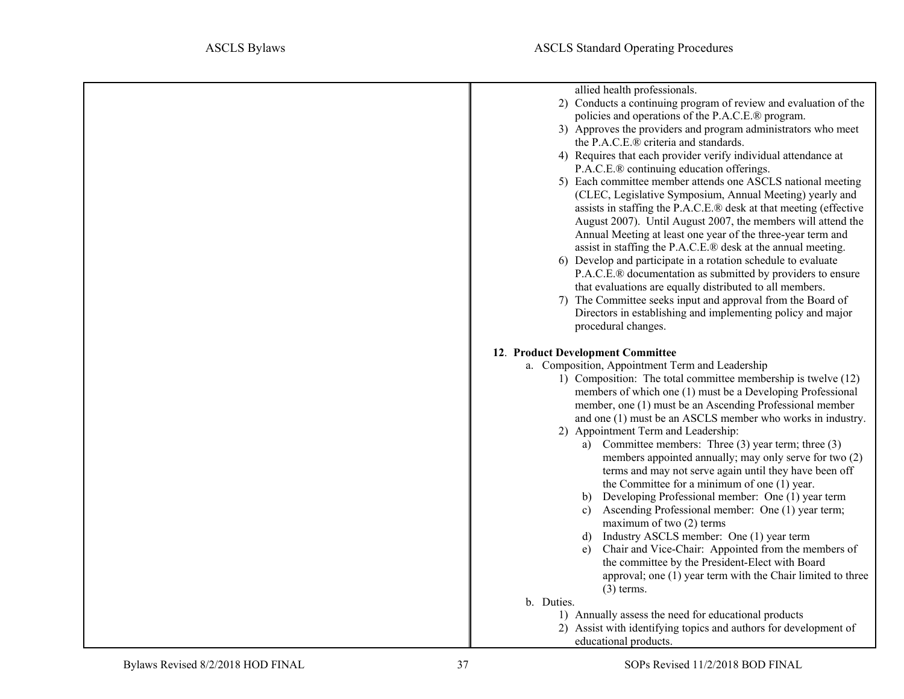<span id="page-36-0"></span>

| allied health professionals.                                                                                            |
|-------------------------------------------------------------------------------------------------------------------------|
| 2) Conducts a continuing program of review and evaluation of the<br>policies and operations of the P.A.C.E.® program.   |
| 3) Approves the providers and program administrators who meet                                                           |
| the P.A.C.E.® criteria and standards.                                                                                   |
| 4) Requires that each provider verify individual attendance at                                                          |
| P.A.C.E.® continuing education offerings.                                                                               |
| 5) Each committee member attends one ASCLS national meeting                                                             |
| (CLEC, Legislative Symposium, Annual Meeting) yearly and                                                                |
| assists in staffing the P.A.C.E.® desk at that meeting (effective                                                       |
| August 2007). Until August 2007, the members will attend the                                                            |
| Annual Meeting at least one year of the three-year term and                                                             |
| assist in staffing the P.A.C.E.® desk at the annual meeting.                                                            |
| 6) Develop and participate in a rotation schedule to evaluate                                                           |
| P.A.C.E.® documentation as submitted by providers to ensure<br>that evaluations are equally distributed to all members. |
| 7) The Committee seeks input and approval from the Board of                                                             |
| Directors in establishing and implementing policy and major                                                             |
| procedural changes.                                                                                                     |
|                                                                                                                         |
| 12. Product Development Committee                                                                                       |
| a. Composition, Appointment Term and Leadership                                                                         |
| 1) Composition: The total committee membership is twelve (12)                                                           |
| members of which one (1) must be a Developing Professional                                                              |
| member, one (1) must be an Ascending Professional member                                                                |
| and one (1) must be an ASCLS member who works in industry.                                                              |
| 2) Appointment Term and Leadership:<br>a) Committee members: Three $(3)$ year term; three $(3)$                         |
| members appointed annually; may only serve for two (2)                                                                  |
| terms and may not serve again until they have been off                                                                  |
| the Committee for a minimum of one (1) year.                                                                            |
| Developing Professional member: One (1) year term<br>b)                                                                 |
| Ascending Professional member: One (1) year term;<br>C)                                                                 |
| maximum of two $(2)$ terms                                                                                              |
| Industry ASCLS member: One (1) year term<br>d)                                                                          |
| Chair and Vice-Chair: Appointed from the members of<br>e)                                                               |
| the committee by the President-Elect with Board                                                                         |
| approval; one (1) year term with the Chair limited to three                                                             |
| $(3)$ terms.                                                                                                            |
| b. Duties.                                                                                                              |
| 1) Annually assess the need for educational products                                                                    |
| 2) Assist with identifying topics and authors for development of<br>educational products.                               |
|                                                                                                                         |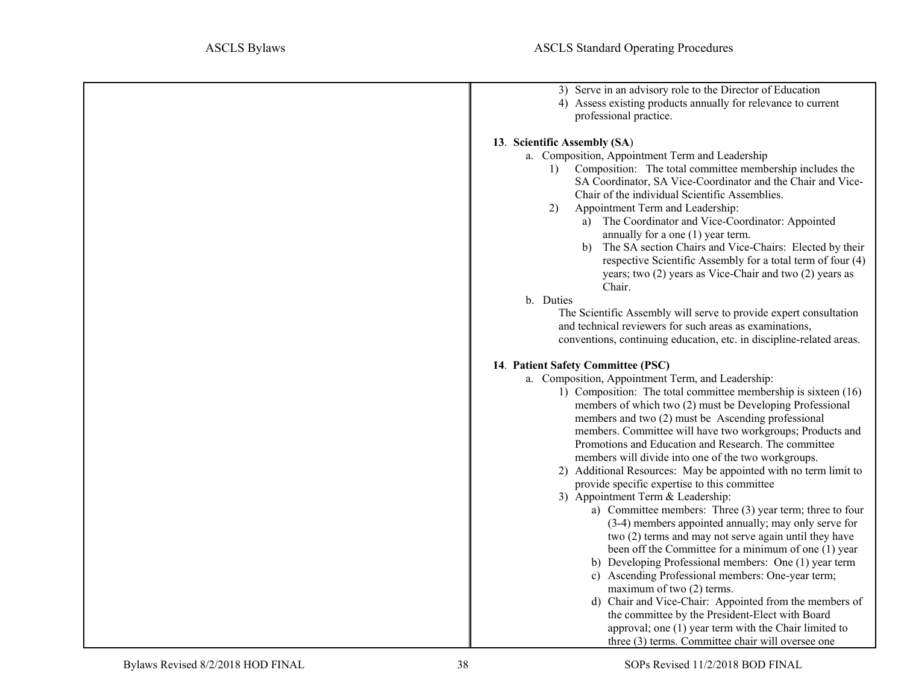<span id="page-37-1"></span><span id="page-37-0"></span>

| 3) Serve in an advisory role to the Director of Education            |
|----------------------------------------------------------------------|
| 4) Assess existing products annually for relevance to current        |
| professional practice.                                               |
|                                                                      |
| 13. Scientific Assembly (SA)                                         |
| a. Composition, Appointment Term and Leadership                      |
| Composition: The total committee membership includes the<br>1)       |
| SA Coordinator, SA Vice-Coordinator and the Chair and Vice-          |
|                                                                      |
| Chair of the individual Scientific Assemblies.                       |
| Appointment Term and Leadership:<br>2)                               |
| The Coordinator and Vice-Coordinator: Appointed<br>a)                |
| annually for a one $(1)$ year term.                                  |
| The SA section Chairs and Vice-Chairs: Elected by their<br>b)        |
| respective Scientific Assembly for a total term of four (4)          |
| years; two (2) years as Vice-Chair and two (2) years as              |
| Chair.                                                               |
| b. Duties                                                            |
|                                                                      |
| The Scientific Assembly will serve to provide expert consultation    |
| and technical reviewers for such areas as examinations,              |
| conventions, continuing education, etc. in discipline-related areas. |
|                                                                      |
| 14. Patient Safety Committee (PSC)                                   |
| a. Composition, Appointment Term, and Leadership:                    |
| 1) Composition: The total committee membership is sixteen (16)       |
| members of which two (2) must be Developing Professional             |
| members and two (2) must be Ascending professional                   |
| members. Committee will have two workgroups; Products and            |
| Promotions and Education and Research. The committee                 |
|                                                                      |
| members will divide into one of the two workgroups.                  |
| 2) Additional Resources: May be appointed with no term limit to      |
| provide specific expertise to this committee                         |
| 3) Appointment Term & Leadership:                                    |
| a) Committee members: Three (3) year term; three to four             |
| (3-4) members appointed annually; may only serve for                 |
| two (2) terms and may not serve again until they have                |
| been off the Committee for a minimum of one (1) year                 |
| b) Developing Professional members: One (1) year term                |
| c) Ascending Professional members: One-year term;                    |
| maximum of two (2) terms.                                            |
|                                                                      |
| d) Chair and Vice-Chair: Appointed from the members of               |
| the committee by the President-Elect with Board                      |
| approval; one (1) year term with the Chair limited to                |
| three (3) terms. Committee chair will oversee one                    |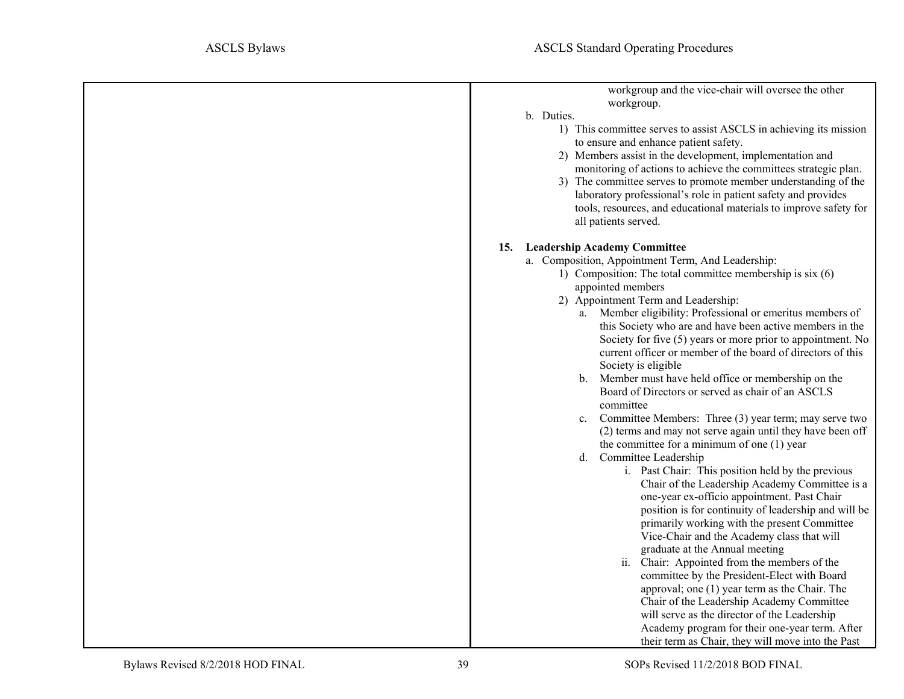| workgroup and the vice-chair will oversee the other                                                        |
|------------------------------------------------------------------------------------------------------------|
| workgroup.                                                                                                 |
| b. Duties.                                                                                                 |
| 1) This committee serves to assist ASCLS in achieving its mission<br>to ensure and enhance patient safety. |
| 2) Members assist in the development, implementation and                                                   |
| monitoring of actions to achieve the committees strategic plan.                                            |
| 3) The committee serves to promote member understanding of the                                             |
| laboratory professional's role in patient safety and provides                                              |
| tools, resources, and educational materials to improve safety for                                          |
| all patients served.                                                                                       |
| <b>Leadership Academy Committee</b><br><b>15.</b>                                                          |
| a. Composition, Appointment Term, And Leadership:                                                          |
| 1) Composition: The total committee membership is six (6)                                                  |
| appointed members                                                                                          |
| 2) Appointment Term and Leadership:                                                                        |
| a. Member eligibility: Professional or emeritus members of                                                 |
| this Society who are and have been active members in the                                                   |
| Society for five (5) years or more prior to appointment. No                                                |
| current officer or member of the board of directors of this                                                |
| Society is eligible                                                                                        |
| b. Member must have held office or membership on the                                                       |
| Board of Directors or served as chair of an ASCLS                                                          |
| committee                                                                                                  |
| c. Committee Members: Three (3) year term; may serve two                                                   |
| (2) terms and may not serve again until they have been off                                                 |
| the committee for a minimum of one $(1)$ year                                                              |
| d. Committee Leadership                                                                                    |
| i. Past Chair: This position held by the previous                                                          |
| Chair of the Leadership Academy Committee is a                                                             |
| one-year ex-officio appointment. Past Chair                                                                |
| position is for continuity of leadership and will be                                                       |
| primarily working with the present Committee                                                               |
| Vice-Chair and the Academy class that will                                                                 |
| graduate at the Annual meeting                                                                             |
| ii. Chair: Appointed from the members of the                                                               |
| committee by the President-Elect with Board                                                                |
| approval; one (1) year term as the Chair. The                                                              |
| Chair of the Leadership Academy Committee                                                                  |
| will serve as the director of the Leadership                                                               |
| Academy program for their one-year term. After                                                             |
| their term as Chair, they will move into the Past                                                          |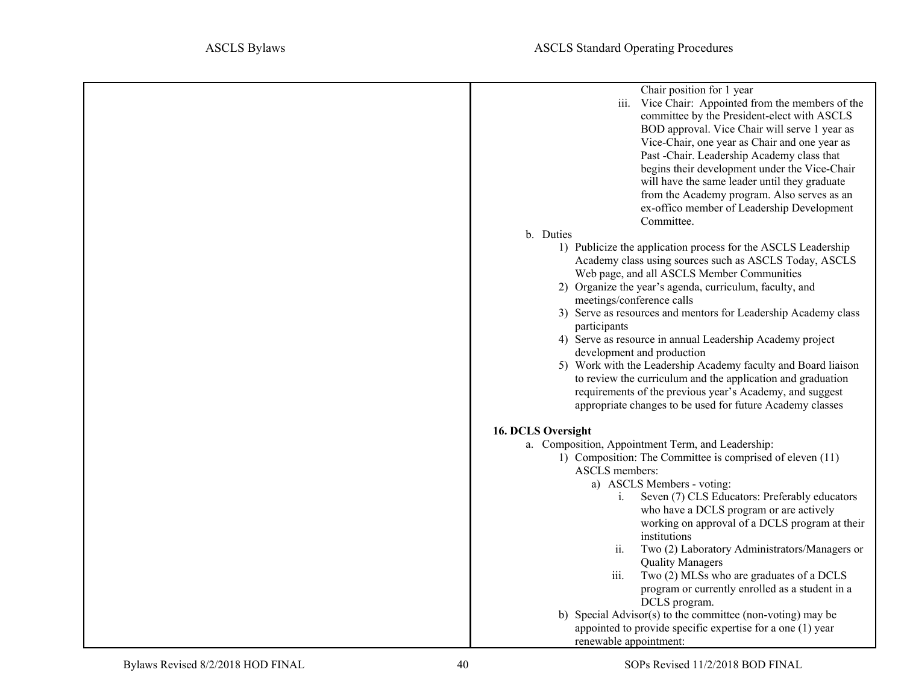| Chair position for 1 year<br>iii. Vice Chair: Appointed from the members of the<br>committee by the President-elect with ASCLS<br>BOD approval. Vice Chair will serve 1 year as<br>Vice-Chair, one year as Chair and one year as<br>Past -Chair. Leadership Academy class that<br>begins their development under the Vice-Chair<br>will have the same leader until they graduate<br>from the Academy program. Also serves as an<br>ex-offico member of Leadership Development                                                                                                                                                                                                                       |
|-----------------------------------------------------------------------------------------------------------------------------------------------------------------------------------------------------------------------------------------------------------------------------------------------------------------------------------------------------------------------------------------------------------------------------------------------------------------------------------------------------------------------------------------------------------------------------------------------------------------------------------------------------------------------------------------------------|
| Committee.                                                                                                                                                                                                                                                                                                                                                                                                                                                                                                                                                                                                                                                                                          |
| b. Duties                                                                                                                                                                                                                                                                                                                                                                                                                                                                                                                                                                                                                                                                                           |
| 1) Publicize the application process for the ASCLS Leadership<br>Academy class using sources such as ASCLS Today, ASCLS<br>Web page, and all ASCLS Member Communities<br>2) Organize the year's agenda, curriculum, faculty, and<br>meetings/conference calls<br>3) Serve as resources and mentors for Leadership Academy class<br>participants<br>4) Serve as resource in annual Leadership Academy project<br>development and production<br>5) Work with the Leadership Academy faculty and Board liaison<br>to review the curriculum and the application and graduation<br>requirements of the previous year's Academy, and suggest<br>appropriate changes to be used for future Academy classes |
| 16. DCLS Oversight                                                                                                                                                                                                                                                                                                                                                                                                                                                                                                                                                                                                                                                                                  |
| a. Composition, Appointment Term, and Leadership:                                                                                                                                                                                                                                                                                                                                                                                                                                                                                                                                                                                                                                                   |
| 1) Composition: The Committee is comprised of eleven (11)<br><b>ASCLS</b> members:<br>a) ASCLS Members - voting:<br>Seven (7) CLS Educators: Preferably educators<br>i.<br>who have a DCLS program or are actively<br>working on approval of a DCLS program at their<br>institutions<br>Two (2) Laboratory Administrators/Managers or<br>ii.<br><b>Quality Managers</b><br>Two (2) MLSs who are graduates of a DCLS<br>iii.<br>program or currently enrolled as a student in a                                                                                                                                                                                                                      |
|                                                                                                                                                                                                                                                                                                                                                                                                                                                                                                                                                                                                                                                                                                     |
| DCLS program.                                                                                                                                                                                                                                                                                                                                                                                                                                                                                                                                                                                                                                                                                       |
| b) Special Advisor(s) to the committee (non-voting) may be                                                                                                                                                                                                                                                                                                                                                                                                                                                                                                                                                                                                                                          |
| appointed to provide specific expertise for a one (1) year                                                                                                                                                                                                                                                                                                                                                                                                                                                                                                                                                                                                                                          |
| renewable appointment:                                                                                                                                                                                                                                                                                                                                                                                                                                                                                                                                                                                                                                                                              |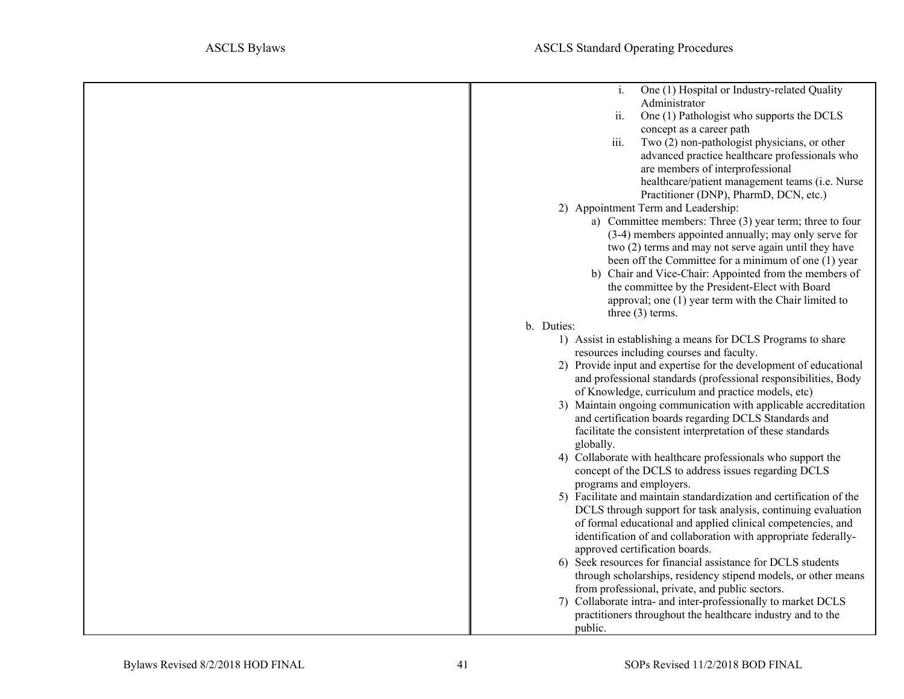| i.<br>One (1) Hospital or Industry-related Quality                                             |
|------------------------------------------------------------------------------------------------|
| Administrator                                                                                  |
| ii.<br>One (1) Pathologist who supports the DCLS                                               |
| concept as a career path                                                                       |
| Two (2) non-pathologist physicians, or other<br>iii.                                           |
| advanced practice healthcare professionals who                                                 |
| are members of interprofessional                                                               |
| healthcare/patient management teams (i.e. Nurse                                                |
| Practitioner (DNP), PharmD, DCN, etc.)                                                         |
| 2) Appointment Term and Leadership:                                                            |
| a) Committee members: Three (3) year term; three to four                                       |
| (3-4) members appointed annually; may only serve for                                           |
| two (2) terms and may not serve again until they have                                          |
| been off the Committee for a minimum of one (1) year                                           |
| b) Chair and Vice-Chair: Appointed from the members of                                         |
| the committee by the President-Elect with Board                                                |
| approval; one (1) year term with the Chair limited to                                          |
| three $(3)$ terms.                                                                             |
| b. Duties:                                                                                     |
| 1) Assist in establishing a means for DCLS Programs to share                                   |
| resources including courses and faculty.                                                       |
| 2) Provide input and expertise for the development of educational                              |
| and professional standards (professional responsibilities, Body                                |
| of Knowledge, curriculum and practice models, etc)                                             |
| 3) Maintain ongoing communication with applicable accreditation                                |
| and certification boards regarding DCLS Standards and                                          |
| facilitate the consistent interpretation of these standards                                    |
| globally.                                                                                      |
| 4) Collaborate with healthcare professionals who support the                                   |
| concept of the DCLS to address issues regarding DCLS                                           |
| programs and employers.                                                                        |
| 5) Facilitate and maintain standardization and certification of the                            |
| DCLS through support for task analysis, continuing evaluation                                  |
| of formal educational and applied clinical competencies, and                                   |
| identification of and collaboration with appropriate federally-                                |
| approved certification boards.<br>6) Seek resources for financial assistance for DCLS students |
| through scholarships, residency stipend models, or other means                                 |
| from professional, private, and public sectors.                                                |
| 7) Collaborate intra- and inter-professionally to market DCLS                                  |
| practitioners throughout the healthcare industry and to the                                    |
| public.                                                                                        |
|                                                                                                |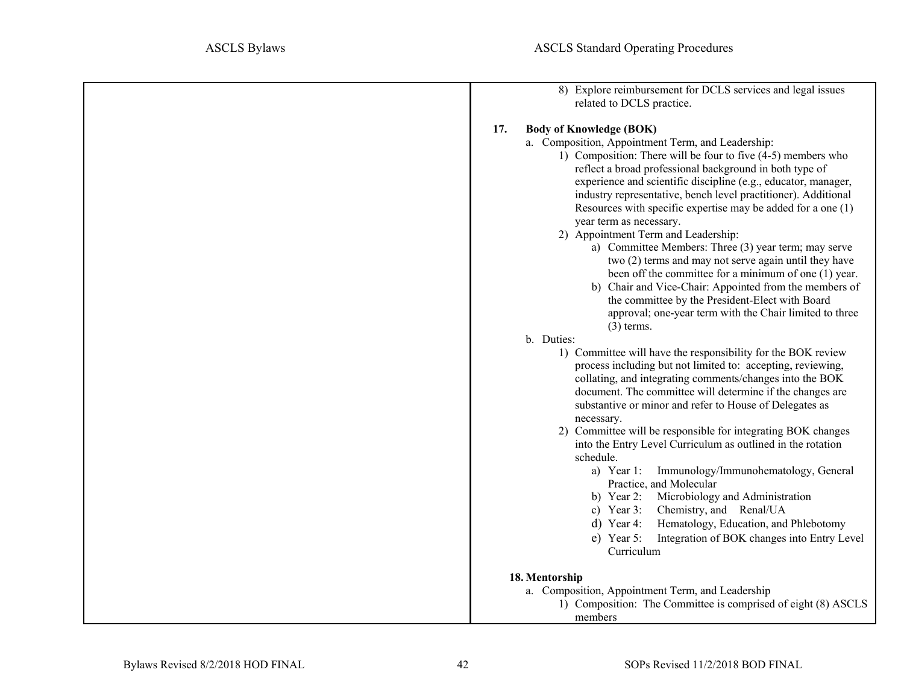| 8) Explore reimbursement for DCLS services and legal issues<br>related to DCLS practice. |
|------------------------------------------------------------------------------------------|
| <b>Body of Knowledge (BOK)</b><br>17.                                                    |
|                                                                                          |
| a. Composition, Appointment Term, and Leadership:                                        |
| 1) Composition: There will be four to five (4-5) members who                             |
| reflect a broad professional background in both type of                                  |
| experience and scientific discipline (e.g., educator, manager,                           |
| industry representative, bench level practitioner). Additional                           |
| Resources with specific expertise may be added for a one (1)                             |
| year term as necessary.                                                                  |
| 2) Appointment Term and Leadership:                                                      |
| a) Committee Members: Three (3) year term; may serve                                     |
| two (2) terms and may not serve again until they have                                    |
| been off the committee for a minimum of one (1) year.                                    |
| b) Chair and Vice-Chair: Appointed from the members of                                   |
| the committee by the President-Elect with Board                                          |
| approval; one-year term with the Chair limited to three                                  |
| $(3)$ terms.                                                                             |
| b. Duties:                                                                               |
| 1) Committee will have the responsibility for the BOK review                             |
| process including but not limited to: accepting, reviewing,                              |
| collating, and integrating comments/changes into the BOK                                 |
| document. The committee will determine if the changes are                                |
| substantive or minor and refer to House of Delegates as                                  |
| necessary.                                                                               |
| 2) Committee will be responsible for integrating BOK changes                             |
| into the Entry Level Curriculum as outlined in the rotation                              |
| schedule.                                                                                |
| a) Year 1: Immunology/Immunohematology, General                                          |
| Practice, and Molecular                                                                  |
| Microbiology and Administration<br>b) Year 2:                                            |
| Chemistry, and Renal/UA<br>c) Year 3:                                                    |
|                                                                                          |
| Hematology, Education, and Phlebotomy<br>d) Year 4:                                      |
| Integration of BOK changes into Entry Level<br>$e)$ Year 5:                              |
| Curriculum                                                                               |
| 18. Mentorship                                                                           |
| a. Composition, Appointment Term, and Leadership                                         |
| 1) Composition: The Committee is comprised of eight (8) ASCLS                            |
| members                                                                                  |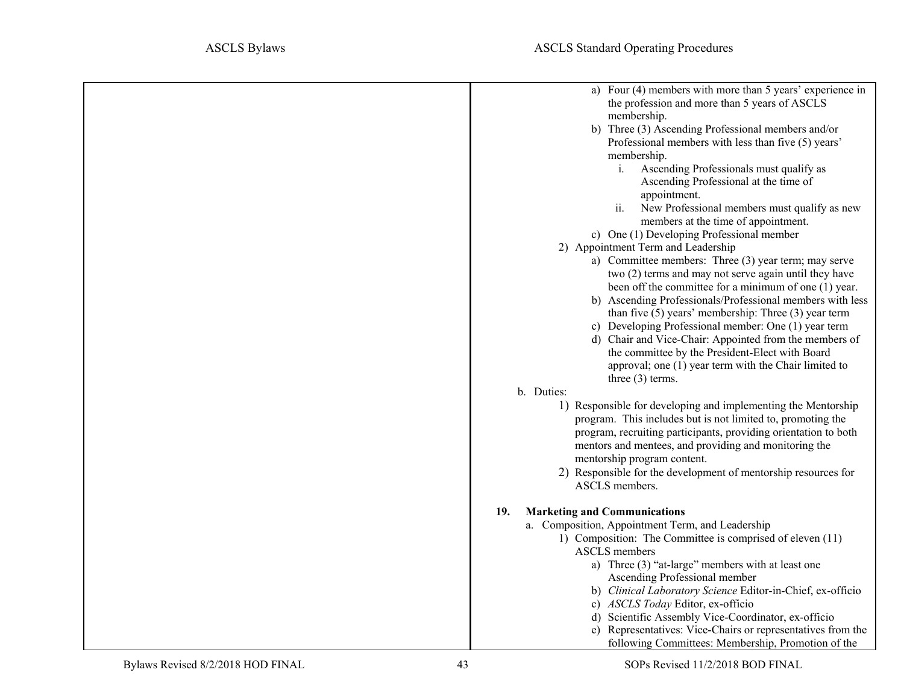<span id="page-42-0"></span>

| a) Four (4) members with more than 5 years' experience in                        |
|----------------------------------------------------------------------------------|
| the profession and more than 5 years of ASCLS                                    |
| membership.                                                                      |
| b) Three (3) Ascending Professional members and/or                               |
| Professional members with less than five (5) years'                              |
| membership.                                                                      |
| $i$ .<br>Ascending Professionals must qualify as                                 |
| Ascending Professional at the time of                                            |
| appointment.                                                                     |
| ii.<br>New Professional members must qualify as new                              |
| members at the time of appointment.                                              |
| c) One (1) Developing Professional member                                        |
| 2) Appointment Term and Leadership                                               |
| a) Committee members: Three (3) year term; may serve                             |
| two (2) terms and may not serve again until they have                            |
| been off the committee for a minimum of one (1) year.                            |
| b) Ascending Professionals/Professional members with less                        |
| than five $(5)$ years' membership: Three $(3)$ year term                         |
| c) Developing Professional member: One (1) year term                             |
| d) Chair and Vice-Chair: Appointed from the members of                           |
| the committee by the President-Elect with Board                                  |
| approval; one (1) year term with the Chair limited to                            |
| three $(3)$ terms.                                                               |
| b. Duties:                                                                       |
| 1) Responsible for developing and implementing the Mentorship                    |
| program. This includes but is not limited to, promoting the                      |
| program, recruiting participants, providing orientation to both                  |
| mentors and mentees, and providing and monitoring the                            |
| mentorship program content.                                                      |
| 2) Responsible for the development of mentorship resources for<br>ASCLS members. |
|                                                                                  |
| <b>Marketing and Communications</b><br>19.                                       |
| a. Composition, Appointment Term, and Leadership                                 |
| 1) Composition: The Committee is comprised of eleven (11)                        |
| ASCLS members                                                                    |
| a) Three (3) "at-large" members with at least one                                |
| Ascending Professional member                                                    |
| b) Clinical Laboratory Science Editor-in-Chief, ex-officio                       |
| c) ASCLS Today Editor, ex-officio                                                |
| d) Scientific Assembly Vice-Coordinator, ex-officio                              |
| e) Representatives: Vice-Chairs or representatives from the                      |
| following Committees: Membership, Promotion of the                               |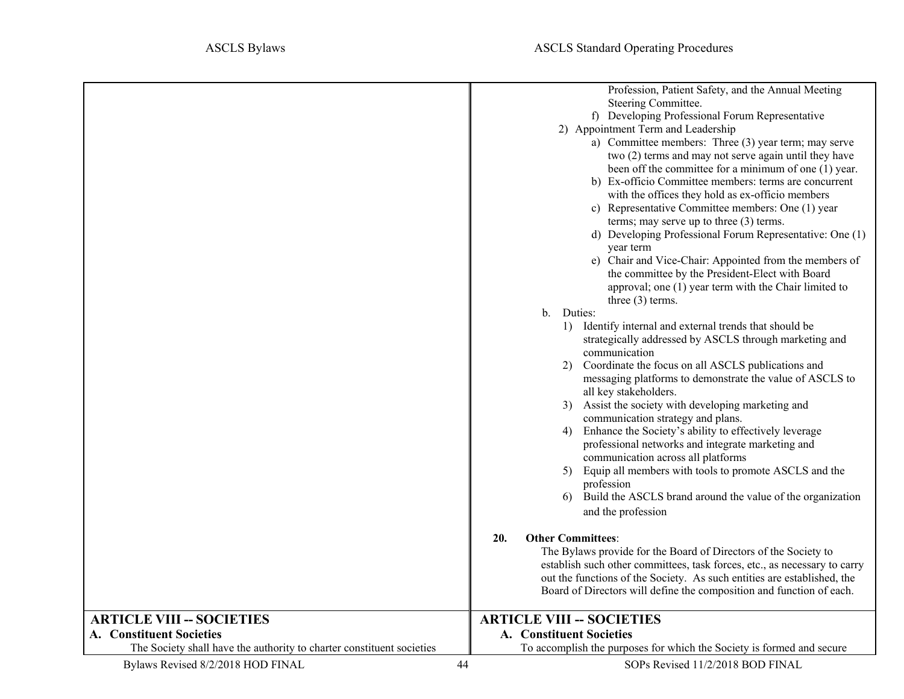<span id="page-43-2"></span><span id="page-43-1"></span><span id="page-43-0"></span>

|                                                                       | Profession, Patient Safety, and the Annual Meeting<br>Steering Committee.<br>f) Developing Professional Forum Representative<br>2) Appointment Term and Leadership<br>a) Committee members: Three (3) year term; may serve<br>two (2) terms and may not serve again until they have<br>been off the committee for a minimum of one (1) year.<br>b) Ex-officio Committee members: terms are concurrent<br>with the offices they hold as ex-officio members<br>c) Representative Committee members: One (1) year<br>terms; may serve up to three (3) terms.<br>d) Developing Professional Forum Representative: One (1)<br>year term<br>e) Chair and Vice-Chair: Appointed from the members of<br>the committee by the President-Elect with Board<br>approval; one (1) year term with the Chair limited to<br>three $(3)$ terms.<br>b. Duties:<br>Identify internal and external trends that should be<br>1)<br>strategically addressed by ASCLS through marketing and<br>communication<br>Coordinate the focus on all ASCLS publications and<br>2)<br>messaging platforms to demonstrate the value of ASCLS to<br>all key stakeholders.<br>3) Assist the society with developing marketing and<br>communication strategy and plans.<br>Enhance the Society's ability to effectively leverage<br>4)<br>professional networks and integrate marketing and<br>communication across all platforms<br>5) Equip all members with tools to promote ASCLS and the<br>profession<br>Build the ASCLS brand around the value of the organization<br>6)<br>and the profession<br><b>Other Committees:</b><br>20.<br>The Bylaws provide for the Board of Directors of the Society to<br>establish such other committees, task forces, etc., as necessary to carry<br>out the functions of the Society. As such entities are established, the<br>Board of Directors will define the composition and function of each. |
|-----------------------------------------------------------------------|--------------------------------------------------------------------------------------------------------------------------------------------------------------------------------------------------------------------------------------------------------------------------------------------------------------------------------------------------------------------------------------------------------------------------------------------------------------------------------------------------------------------------------------------------------------------------------------------------------------------------------------------------------------------------------------------------------------------------------------------------------------------------------------------------------------------------------------------------------------------------------------------------------------------------------------------------------------------------------------------------------------------------------------------------------------------------------------------------------------------------------------------------------------------------------------------------------------------------------------------------------------------------------------------------------------------------------------------------------------------------------------------------------------------------------------------------------------------------------------------------------------------------------------------------------------------------------------------------------------------------------------------------------------------------------------------------------------------------------------------------------------------------------------------------------------------------------------------------------------------------------------------------------|
|                                                                       |                                                                                                                                                                                                                                                                                                                                                                                                                                                                                                                                                                                                                                                                                                                                                                                                                                                                                                                                                                                                                                                                                                                                                                                                                                                                                                                                                                                                                                                                                                                                                                                                                                                                                                                                                                                                                                                                                                        |
| <b>ARTICLE VIII -- SOCIETIES</b>                                      | <b>ARTICLE VIII -- SOCIETIES</b>                                                                                                                                                                                                                                                                                                                                                                                                                                                                                                                                                                                                                                                                                                                                                                                                                                                                                                                                                                                                                                                                                                                                                                                                                                                                                                                                                                                                                                                                                                                                                                                                                                                                                                                                                                                                                                                                       |
| A. Constituent Societies                                              | A. Constituent Societies                                                                                                                                                                                                                                                                                                                                                                                                                                                                                                                                                                                                                                                                                                                                                                                                                                                                                                                                                                                                                                                                                                                                                                                                                                                                                                                                                                                                                                                                                                                                                                                                                                                                                                                                                                                                                                                                               |
| The Society shall have the authority to charter constituent societies | To accomplish the purposes for which the Society is formed and secure                                                                                                                                                                                                                                                                                                                                                                                                                                                                                                                                                                                                                                                                                                                                                                                                                                                                                                                                                                                                                                                                                                                                                                                                                                                                                                                                                                                                                                                                                                                                                                                                                                                                                                                                                                                                                                  |
| Bylaws Revised 8/2/2018 HOD FINAL                                     | 44<br>SOPs Revised 11/2/2018 BOD FINAL                                                                                                                                                                                                                                                                                                                                                                                                                                                                                                                                                                                                                                                                                                                                                                                                                                                                                                                                                                                                                                                                                                                                                                                                                                                                                                                                                                                                                                                                                                                                                                                                                                                                                                                                                                                                                                                                 |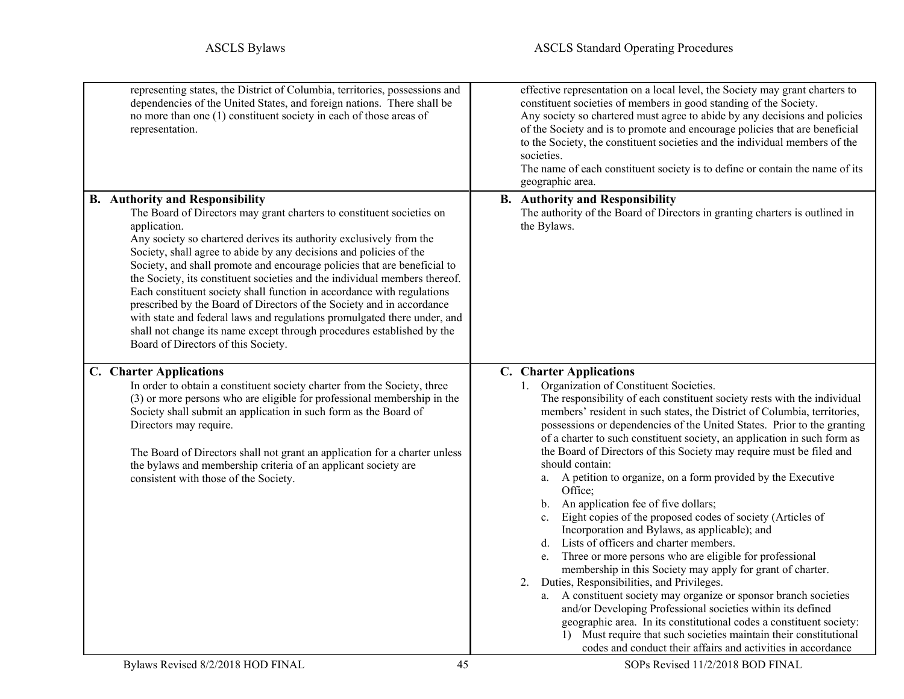<span id="page-44-3"></span><span id="page-44-2"></span><span id="page-44-1"></span><span id="page-44-0"></span>

| representing states, the District of Columbia, territories, possessions and<br>dependencies of the United States, and foreign nations. There shall be<br>no more than one (1) constituent society in each of those areas of<br>representation.                                                                                                                                                                                                                                                                                                                                                                                                                                                                                                                                         | effective representation on a local level, the Society may grant charters to<br>constituent societies of members in good standing of the Society.<br>Any society so chartered must agree to abide by any decisions and policies<br>of the Society and is to promote and encourage policies that are beneficial<br>to the Society, the constituent societies and the individual members of the<br>societies.<br>The name of each constituent society is to define or contain the name of its<br>geographic area.                                                                                                                                                                                                                                                                                                                                                                                                                                                                                                                                                                                                                                                                                                                                                                                                       |
|----------------------------------------------------------------------------------------------------------------------------------------------------------------------------------------------------------------------------------------------------------------------------------------------------------------------------------------------------------------------------------------------------------------------------------------------------------------------------------------------------------------------------------------------------------------------------------------------------------------------------------------------------------------------------------------------------------------------------------------------------------------------------------------|-----------------------------------------------------------------------------------------------------------------------------------------------------------------------------------------------------------------------------------------------------------------------------------------------------------------------------------------------------------------------------------------------------------------------------------------------------------------------------------------------------------------------------------------------------------------------------------------------------------------------------------------------------------------------------------------------------------------------------------------------------------------------------------------------------------------------------------------------------------------------------------------------------------------------------------------------------------------------------------------------------------------------------------------------------------------------------------------------------------------------------------------------------------------------------------------------------------------------------------------------------------------------------------------------------------------------|
| <b>B.</b> Authority and Responsibility<br>The Board of Directors may grant charters to constituent societies on<br>application.<br>Any society so chartered derives its authority exclusively from the<br>Society, shall agree to abide by any decisions and policies of the<br>Society, and shall promote and encourage policies that are beneficial to<br>the Society, its constituent societies and the individual members thereof.<br>Each constituent society shall function in accordance with regulations<br>prescribed by the Board of Directors of the Society and in accordance<br>with state and federal laws and regulations promulgated there under, and<br>shall not change its name except through procedures established by the<br>Board of Directors of this Society. | <b>B.</b> Authority and Responsibility<br>The authority of the Board of Directors in granting charters is outlined in<br>the Bylaws.                                                                                                                                                                                                                                                                                                                                                                                                                                                                                                                                                                                                                                                                                                                                                                                                                                                                                                                                                                                                                                                                                                                                                                                  |
| C. Charter Applications<br>In order to obtain a constituent society charter from the Society, three<br>(3) or more persons who are eligible for professional membership in the<br>Society shall submit an application in such form as the Board of<br>Directors may require.<br>The Board of Directors shall not grant an application for a charter unless<br>the bylaws and membership criteria of an applicant society are<br>consistent with those of the Society.                                                                                                                                                                                                                                                                                                                  | C. Charter Applications<br>Organization of Constituent Societies.<br>1.<br>The responsibility of each constituent society rests with the individual<br>members' resident in such states, the District of Columbia, territories,<br>possessions or dependencies of the United States. Prior to the granting<br>of a charter to such constituent society, an application in such form as<br>the Board of Directors of this Society may require must be filed and<br>should contain:<br>a. A petition to organize, on a form provided by the Executive<br>Office:<br>b. An application fee of five dollars;<br>Eight copies of the proposed codes of society (Articles of<br>$c_{\cdot}$<br>Incorporation and Bylaws, as applicable); and<br>d. Lists of officers and charter members.<br>Three or more persons who are eligible for professional<br>e.<br>membership in this Society may apply for grant of charter.<br>2. Duties, Responsibilities, and Privileges.<br>A constituent society may organize or sponsor branch societies<br>a.<br>and/or Developing Professional societies within its defined<br>geographic area. In its constitutional codes a constituent society:<br>1) Must require that such societies maintain their constitutional<br>codes and conduct their affairs and activities in accordance |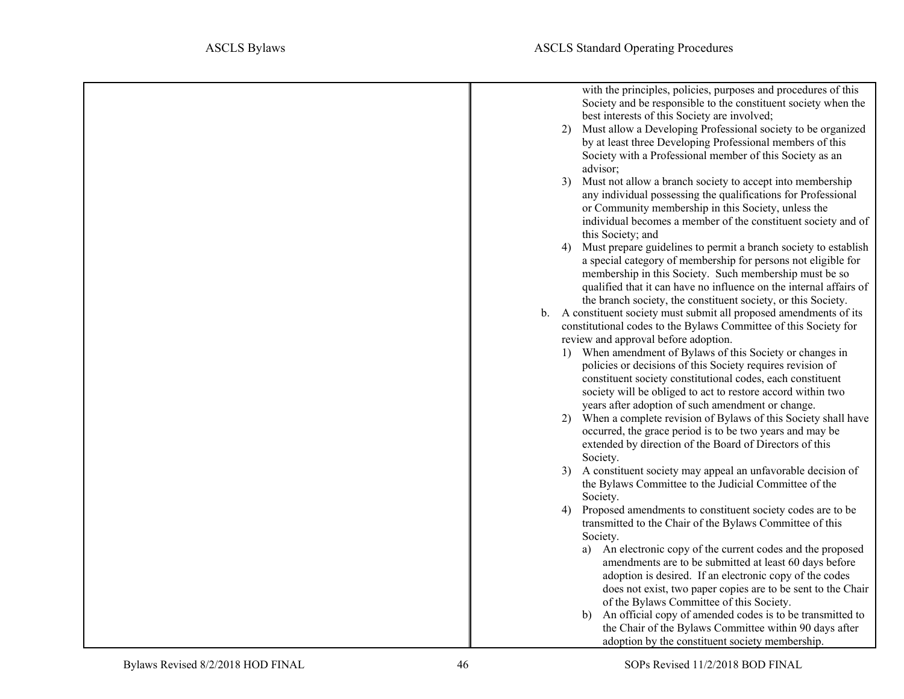| with the principles, policies, purposes and procedures of this<br>Society and be responsible to the constituent society when the<br>best interests of this Society are involved;<br>2) Must allow a Developing Professional society to be organized<br>by at least three Developing Professional members of this<br>Society with a Professional member of this Society as an<br>advisor;<br>Must not allow a branch society to accept into membership<br>3)<br>any individual possessing the qualifications for Professional<br>or Community membership in this Society, unless the<br>individual becomes a member of the constituent society and of<br>this Society; and<br>Must prepare guidelines to permit a branch society to establish<br>4)<br>a special category of membership for persons not eligible for<br>membership in this Society. Such membership must be so<br>qualified that it can have no influence on the internal affairs of<br>the branch society, the constituent society, or this Society.<br>b. A constituent society must submit all proposed amendments of its<br>constitutional codes to the Bylaws Committee of this Society for<br>review and approval before adoption.<br>1) When amendment of Bylaws of this Society or changes in<br>policies or decisions of this Society requires revision of<br>constituent society constitutional codes, each constituent<br>society will be obliged to act to restore accord within two<br>years after adoption of such amendment or change.<br>When a complete revision of Bylaws of this Society shall have<br>2)<br>occurred, the grace period is to be two years and may be<br>extended by direction of the Board of Directors of this<br>Society.<br>3) A constituent society may appeal an unfavorable decision of<br>the Bylaws Committee to the Judicial Committee of the<br>Society.<br>Proposed amendments to constituent society codes are to be<br>4)<br>transmitted to the Chair of the Bylaws Committee of this<br>Society.<br>An electronic copy of the current codes and the proposed<br>amendments are to be submitted at least 60 days before<br>adoption is desired. If an electronic copy of the codes |
|----------------------------------------------------------------------------------------------------------------------------------------------------------------------------------------------------------------------------------------------------------------------------------------------------------------------------------------------------------------------------------------------------------------------------------------------------------------------------------------------------------------------------------------------------------------------------------------------------------------------------------------------------------------------------------------------------------------------------------------------------------------------------------------------------------------------------------------------------------------------------------------------------------------------------------------------------------------------------------------------------------------------------------------------------------------------------------------------------------------------------------------------------------------------------------------------------------------------------------------------------------------------------------------------------------------------------------------------------------------------------------------------------------------------------------------------------------------------------------------------------------------------------------------------------------------------------------------------------------------------------------------------------------------------------------------------------------------------------------------------------------------------------------------------------------------------------------------------------------------------------------------------------------------------------------------------------------------------------------------------------------------------------------------------------------------------------------------------------------------------------------------------------------------------------------------------------|
| does not exist, two paper copies are to be sent to the Chair                                                                                                                                                                                                                                                                                                                                                                                                                                                                                                                                                                                                                                                                                                                                                                                                                                                                                                                                                                                                                                                                                                                                                                                                                                                                                                                                                                                                                                                                                                                                                                                                                                                                                                                                                                                                                                                                                                                                                                                                                                                                                                                                       |
| of the Bylaws Committee of this Society.<br>An official copy of amended codes is to be transmitted to<br>b)                                                                                                                                                                                                                                                                                                                                                                                                                                                                                                                                                                                                                                                                                                                                                                                                                                                                                                                                                                                                                                                                                                                                                                                                                                                                                                                                                                                                                                                                                                                                                                                                                                                                                                                                                                                                                                                                                                                                                                                                                                                                                        |
| the Chair of the Bylaws Committee within 90 days after<br>adoption by the constituent society membership.                                                                                                                                                                                                                                                                                                                                                                                                                                                                                                                                                                                                                                                                                                                                                                                                                                                                                                                                                                                                                                                                                                                                                                                                                                                                                                                                                                                                                                                                                                                                                                                                                                                                                                                                                                                                                                                                                                                                                                                                                                                                                          |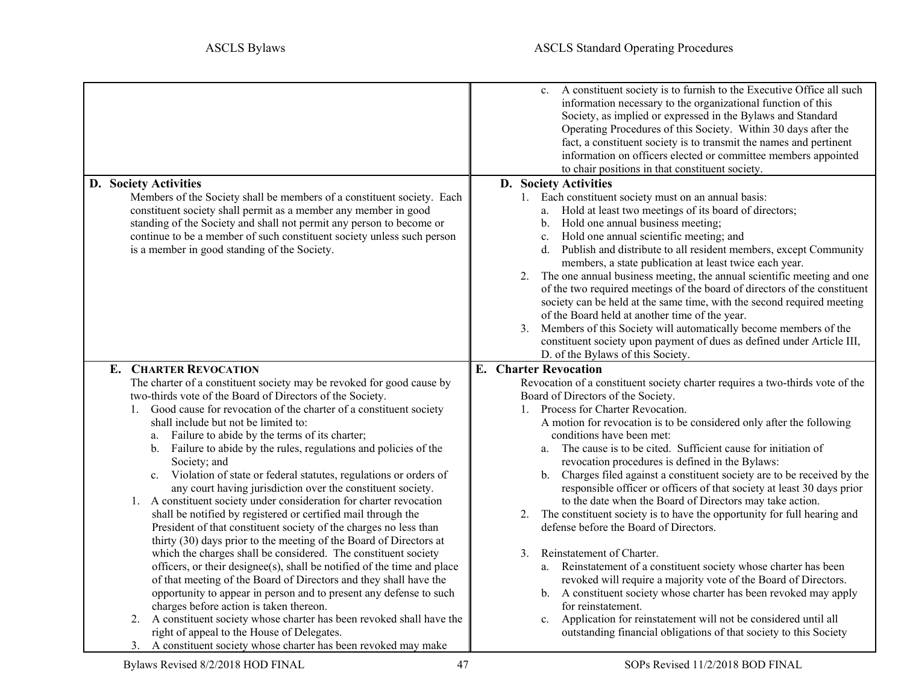<span id="page-46-3"></span><span id="page-46-2"></span><span id="page-46-1"></span><span id="page-46-0"></span>

|                                                                                                                                                                                                                                                                                                                                                                                                                                                                                                                                                                                                                                                                                                                                                                                                                               | c. A constituent society is to furnish to the Executive Office all such<br>information necessary to the organizational function of this<br>Society, as implied or expressed in the Bylaws and Standard<br>Operating Procedures of this Society. Within 30 days after the<br>fact, a constituent society is to transmit the names and pertinent<br>information on officers elected or committee members appointed<br>to chair positions in that constituent society.                                                                                                                                                                                                                                                                                                                                                       |
|-------------------------------------------------------------------------------------------------------------------------------------------------------------------------------------------------------------------------------------------------------------------------------------------------------------------------------------------------------------------------------------------------------------------------------------------------------------------------------------------------------------------------------------------------------------------------------------------------------------------------------------------------------------------------------------------------------------------------------------------------------------------------------------------------------------------------------|---------------------------------------------------------------------------------------------------------------------------------------------------------------------------------------------------------------------------------------------------------------------------------------------------------------------------------------------------------------------------------------------------------------------------------------------------------------------------------------------------------------------------------------------------------------------------------------------------------------------------------------------------------------------------------------------------------------------------------------------------------------------------------------------------------------------------|
| D. Society Activities                                                                                                                                                                                                                                                                                                                                                                                                                                                                                                                                                                                                                                                                                                                                                                                                         | D. Society Activities                                                                                                                                                                                                                                                                                                                                                                                                                                                                                                                                                                                                                                                                                                                                                                                                     |
| Members of the Society shall be members of a constituent society. Each<br>constituent society shall permit as a member any member in good<br>standing of the Society and shall not permit any person to become or<br>continue to be a member of such constituent society unless such person<br>is a member in good standing of the Society.                                                                                                                                                                                                                                                                                                                                                                                                                                                                                   | 1. Each constituent society must on an annual basis:<br>a. Hold at least two meetings of its board of directors;<br>Hold one annual business meeting;<br>b.<br>Hold one annual scientific meeting; and<br>c.<br>d. Publish and distribute to all resident members, except Community<br>members, a state publication at least twice each year.<br>2. The one annual business meeting, the annual scientific meeting and one<br>of the two required meetings of the board of directors of the constituent<br>society can be held at the same time, with the second required meeting<br>of the Board held at another time of the year.<br>3. Members of this Society will automatically become members of the<br>constituent society upon payment of dues as defined under Article III,<br>D. of the Bylaws of this Society. |
| <b>E. CHARTER REVOCATION</b>                                                                                                                                                                                                                                                                                                                                                                                                                                                                                                                                                                                                                                                                                                                                                                                                  | <b>E.</b> Charter Revocation                                                                                                                                                                                                                                                                                                                                                                                                                                                                                                                                                                                                                                                                                                                                                                                              |
| The charter of a constituent society may be revoked for good cause by<br>two-thirds vote of the Board of Directors of the Society.<br>Good cause for revocation of the charter of a constituent society<br>1.<br>shall include but not be limited to:<br>Failure to abide by the terms of its charter;<br>a.<br>b. Failure to abide by the rules, regulations and policies of the<br>Society; and<br>Violation of state or federal statutes, regulations or orders of<br>c.<br>any court having jurisdiction over the constituent society.<br>1. A constituent society under consideration for charter revocation<br>shall be notified by registered or certified mail through the<br>President of that constituent society of the charges no less than<br>thirty (30) days prior to the meeting of the Board of Directors at | Revocation of a constituent society charter requires a two-thirds vote of the<br>Board of Directors of the Society.<br>1. Process for Charter Revocation.<br>A motion for revocation is to be considered only after the following<br>conditions have been met:<br>The cause is to be cited. Sufficient cause for initiation of<br>a.<br>revocation procedures is defined in the Bylaws:<br>b. Charges filed against a constituent society are to be received by the<br>responsible officer or officers of that society at least 30 days prior<br>to the date when the Board of Directors may take action.<br>The constituent society is to have the opportunity for full hearing and<br>2.<br>defense before the Board of Directors.                                                                                      |
| which the charges shall be considered. The constituent society<br>officers, or their designee(s), shall be notified of the time and place<br>of that meeting of the Board of Directors and they shall have the<br>opportunity to appear in person and to present any defense to such<br>charges before action is taken thereon.<br>A constituent society whose charter has been revoked shall have the<br>2.                                                                                                                                                                                                                                                                                                                                                                                                                  | Reinstatement of Charter.<br>3.<br>a. Reinstatement of a constituent society whose charter has been<br>revoked will require a majority vote of the Board of Directors.<br>b. A constituent society whose charter has been revoked may apply<br>for reinstatement.                                                                                                                                                                                                                                                                                                                                                                                                                                                                                                                                                         |
| right of appeal to the House of Delegates.                                                                                                                                                                                                                                                                                                                                                                                                                                                                                                                                                                                                                                                                                                                                                                                    | Application for reinstatement will not be considered until all<br>c.<br>outstanding financial obligations of that society to this Society                                                                                                                                                                                                                                                                                                                                                                                                                                                                                                                                                                                                                                                                                 |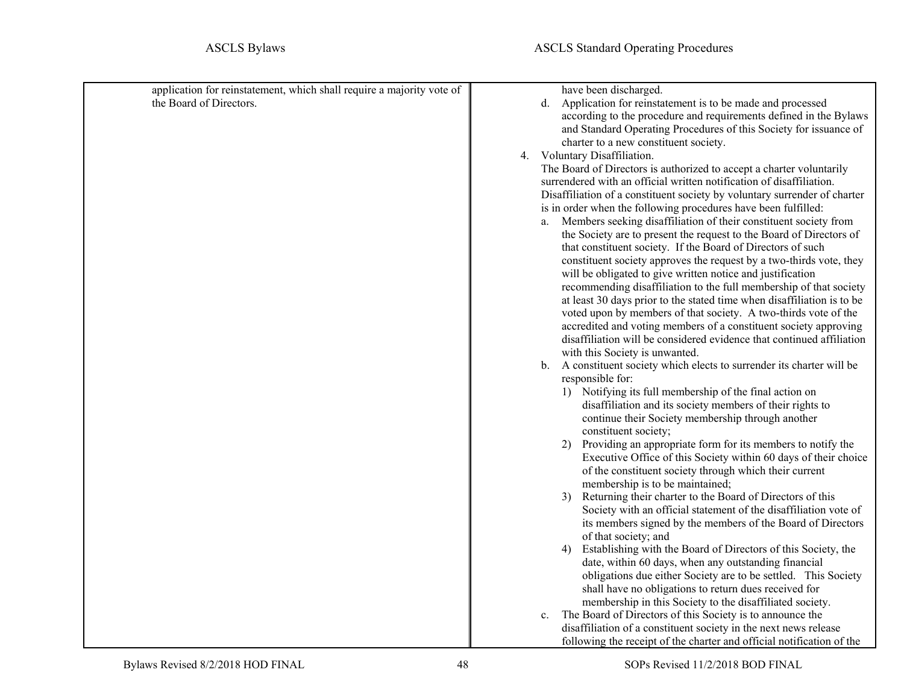<span id="page-47-0"></span>

| application for reinstatement, which shall require a majority vote of | have been discharged.                                                               |
|-----------------------------------------------------------------------|-------------------------------------------------------------------------------------|
| the Board of Directors.                                               | Application for reinstatement is to be made and processed<br>d.                     |
|                                                                       | according to the procedure and requirements defined in the Bylaws                   |
|                                                                       | and Standard Operating Procedures of this Society for issuance of                   |
|                                                                       | charter to a new constituent society.                                               |
|                                                                       | 4. Voluntary Disaffiliation.                                                        |
|                                                                       | The Board of Directors is authorized to accept a charter voluntarily                |
|                                                                       | surrendered with an official written notification of disaffiliation.                |
|                                                                       | Disaffiliation of a constituent society by voluntary surrender of charter           |
|                                                                       | is in order when the following procedures have been fulfilled:                      |
|                                                                       | Members seeking disaffiliation of their constituent society from<br>a.              |
|                                                                       | the Society are to present the request to the Board of Directors of                 |
|                                                                       | that constituent society. If the Board of Directors of such                         |
|                                                                       | constituent society approves the request by a two-thirds vote, they                 |
|                                                                       | will be obligated to give written notice and justification                          |
|                                                                       | recommending disaffiliation to the full membership of that society                  |
|                                                                       | at least 30 days prior to the stated time when disaffiliation is to be              |
|                                                                       | voted upon by members of that society. A two-thirds vote of the                     |
|                                                                       | accredited and voting members of a constituent society approving                    |
|                                                                       | disaffiliation will be considered evidence that continued affiliation               |
|                                                                       | with this Society is unwanted.                                                      |
|                                                                       | b. A constituent society which elects to surrender its charter will be              |
|                                                                       | responsible for:                                                                    |
|                                                                       | 1) Notifying its full membership of the final action on                             |
|                                                                       | disaffiliation and its society members of their rights to                           |
|                                                                       | continue their Society membership through another                                   |
|                                                                       | constituent society;                                                                |
|                                                                       | Providing an appropriate form for its members to notify the<br>2)                   |
|                                                                       | Executive Office of this Society within 60 days of their choice                     |
|                                                                       | of the constituent society through which their current                              |
|                                                                       | membership is to be maintained;                                                     |
|                                                                       | Returning their charter to the Board of Directors of this<br>3)                     |
|                                                                       | Society with an official statement of the disaffiliation vote of                    |
|                                                                       | its members signed by the members of the Board of Directors<br>of that society; and |
|                                                                       | Establishing with the Board of Directors of this Society, the<br>4)                 |
|                                                                       | date, within 60 days, when any outstanding financial                                |
|                                                                       | obligations due either Society are to be settled. This Society                      |
|                                                                       | shall have no obligations to return dues received for                               |
|                                                                       | membership in this Society to the disaffiliated society.                            |
|                                                                       | The Board of Directors of this Society is to announce the<br>c.                     |
|                                                                       | disaffiliation of a constituent society in the next news release                    |
|                                                                       | following the receipt of the charter and official notification of the               |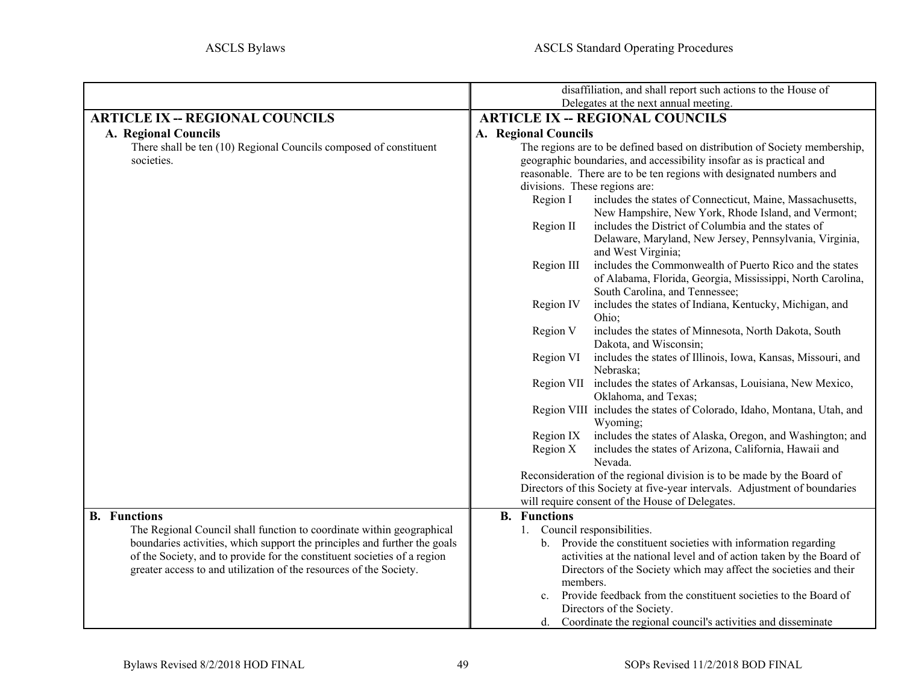<span id="page-48-3"></span><span id="page-48-2"></span><span id="page-48-1"></span><span id="page-48-0"></span>

|                                                                           | disaffiliation, and shall report such actions to the House of                                               |
|---------------------------------------------------------------------------|-------------------------------------------------------------------------------------------------------------|
|                                                                           | Delegates at the next annual meeting.                                                                       |
| <b>ARTICLE IX -- REGIONAL COUNCILS</b>                                    | <b>ARTICLE IX -- REGIONAL COUNCILS</b>                                                                      |
| A. Regional Councils                                                      | A. Regional Councils                                                                                        |
| There shall be ten (10) Regional Councils composed of constituent         | The regions are to be defined based on distribution of Society membership,                                  |
| societies.                                                                | geographic boundaries, and accessibility insofar as is practical and                                        |
|                                                                           | reasonable. There are to be ten regions with designated numbers and                                         |
|                                                                           | divisions. These regions are:                                                                               |
|                                                                           | includes the states of Connecticut, Maine, Massachusetts,<br>Region I                                       |
|                                                                           | New Hampshire, New York, Rhode Island, and Vermont;                                                         |
|                                                                           | includes the District of Columbia and the states of<br>Region II                                            |
|                                                                           | Delaware, Maryland, New Jersey, Pennsylvania, Virginia,                                                     |
|                                                                           | and West Virginia;                                                                                          |
|                                                                           | includes the Commonwealth of Puerto Rico and the states<br>Region III                                       |
|                                                                           | of Alabama, Florida, Georgia, Mississippi, North Carolina,                                                  |
|                                                                           | South Carolina, and Tennessee;                                                                              |
|                                                                           | includes the states of Indiana, Kentucky, Michigan, and<br>Region IV                                        |
|                                                                           | Ohio;                                                                                                       |
|                                                                           | Region V<br>includes the states of Minnesota, North Dakota, South                                           |
|                                                                           | Dakota, and Wisconsin;                                                                                      |
|                                                                           | includes the states of Illinois, Iowa, Kansas, Missouri, and<br>Region VI                                   |
|                                                                           | Nebraska;                                                                                                   |
|                                                                           | Region VII includes the states of Arkansas, Louisiana, New Mexico,                                          |
|                                                                           | Oklahoma, and Texas;                                                                                        |
|                                                                           | Region VIII includes the states of Colorado, Idaho, Montana, Utah, and                                      |
|                                                                           | Wyoming;                                                                                                    |
|                                                                           | includes the states of Alaska, Oregon, and Washington; and<br>Region IX                                     |
|                                                                           | includes the states of Arizona, California, Hawaii and<br>Region X                                          |
|                                                                           | Nevada.                                                                                                     |
|                                                                           | Reconsideration of the regional division is to be made by the Board of                                      |
|                                                                           | Directors of this Society at five-year intervals. Adjustment of boundaries                                  |
|                                                                           | will require consent of the House of Delegates.                                                             |
| <b>B.</b> Functions                                                       | <b>B.</b> Functions                                                                                         |
| The Regional Council shall function to coordinate within geographical     | 1. Council responsibilities.                                                                                |
| boundaries activities, which support the principles and further the goals | b. Provide the constituent societies with information regarding                                             |
| of the Society, and to provide for the constituent societies of a region  | activities at the national level and of action taken by the Board of                                        |
| greater access to and utilization of the resources of the Society.        | Directors of the Society which may affect the societies and their                                           |
|                                                                           | members.                                                                                                    |
|                                                                           | Provide feedback from the constituent societies to the Board of<br>$c_{\cdot}$<br>Directors of the Society. |
|                                                                           | d. Coordinate the regional council's activities and disseminate                                             |
|                                                                           |                                                                                                             |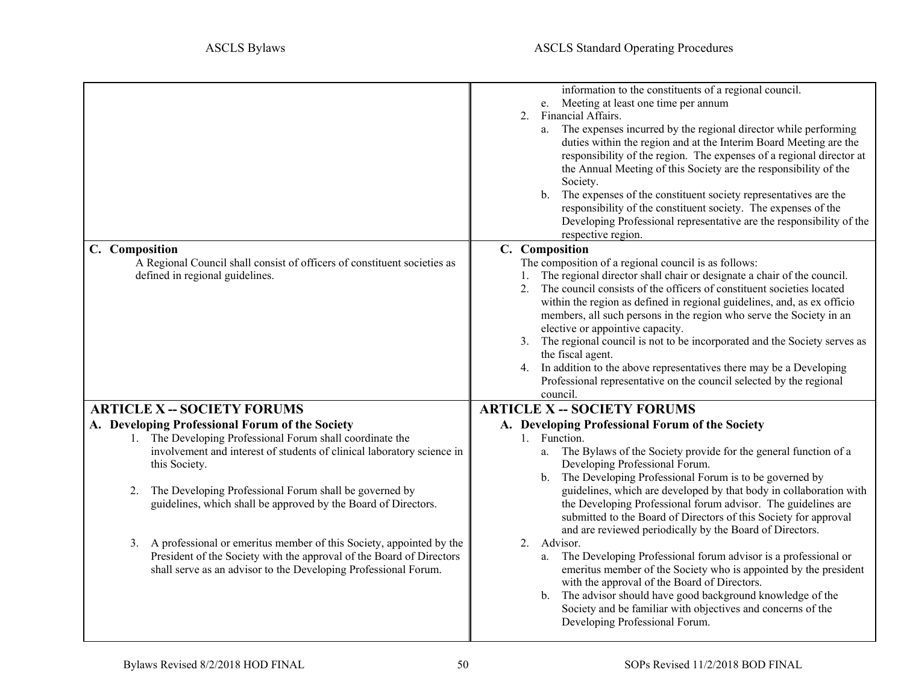<span id="page-49-5"></span><span id="page-49-4"></span><span id="page-49-3"></span><span id="page-49-2"></span><span id="page-49-1"></span><span id="page-49-0"></span>

| C. Composition                                                                                                                                                                                                                                                                         | information to the constituents of a regional council.<br>e. Meeting at least one time per annum<br>2. Financial Affairs.<br>a. The expenses incurred by the regional director while performing<br>duties within the region and at the Interim Board Meeting are the<br>responsibility of the region. The expenses of a regional director at<br>the Annual Meeting of this Society are the responsibility of the<br>Society.<br>b. The expenses of the constituent society representatives are the<br>responsibility of the constituent society. The expenses of the<br>Developing Professional representative are the responsibility of the<br>respective region.<br>C. Composition |
|----------------------------------------------------------------------------------------------------------------------------------------------------------------------------------------------------------------------------------------------------------------------------------------|--------------------------------------------------------------------------------------------------------------------------------------------------------------------------------------------------------------------------------------------------------------------------------------------------------------------------------------------------------------------------------------------------------------------------------------------------------------------------------------------------------------------------------------------------------------------------------------------------------------------------------------------------------------------------------------|
| A Regional Council shall consist of officers of constituent societies as                                                                                                                                                                                                               | The composition of a regional council is as follows:                                                                                                                                                                                                                                                                                                                                                                                                                                                                                                                                                                                                                                 |
| defined in regional guidelines.                                                                                                                                                                                                                                                        | 1. The regional director shall chair or designate a chair of the council.<br>2. The council consists of the officers of constituent societies located<br>within the region as defined in regional guidelines, and, as ex officio<br>members, all such persons in the region who serve the Society in an<br>elective or appointive capacity.<br>3. The regional council is not to be incorporated and the Society serves as<br>the fiscal agent.<br>4. In addition to the above representatives there may be a Developing<br>Professional representative on the council selected by the regional<br>council.                                                                          |
| <b>ARTICLE X -- SOCIETY FORUMS</b>                                                                                                                                                                                                                                                     | <b>ARTICLE X -- SOCIETY FORUMS</b>                                                                                                                                                                                                                                                                                                                                                                                                                                                                                                                                                                                                                                                   |
| A. Developing Professional Forum of the Society                                                                                                                                                                                                                                        | A. Developing Professional Forum of the Society                                                                                                                                                                                                                                                                                                                                                                                                                                                                                                                                                                                                                                      |
| 1. The Developing Professional Forum shall coordinate the<br>involvement and interest of students of clinical laboratory science in<br>this Society.<br>The Developing Professional Forum shall be governed by<br>2.<br>guidelines, which shall be approved by the Board of Directors. | 1. Function.<br>The Bylaws of the Society provide for the general function of a<br>a.<br>Developing Professional Forum.<br>b. The Developing Professional Forum is to be governed by<br>guidelines, which are developed by that body in collaboration with<br>the Developing Professional forum advisor. The guidelines are<br>submitted to the Board of Directors of this Society for approval<br>and are reviewed periodically by the Board of Directors.                                                                                                                                                                                                                          |
| 3. A professional or emeritus member of this Society, appointed by the<br>President of the Society with the approval of the Board of Directors<br>shall serve as an advisor to the Developing Professional Forum.                                                                      | 2. Advisor.<br>a. The Developing Professional forum advisor is a professional or<br>emeritus member of the Society who is appointed by the president<br>with the approval of the Board of Directors.<br>b. The advisor should have good background knowledge of the<br>Society and be familiar with objectives and concerns of the<br>Developing Professional Forum.                                                                                                                                                                                                                                                                                                                 |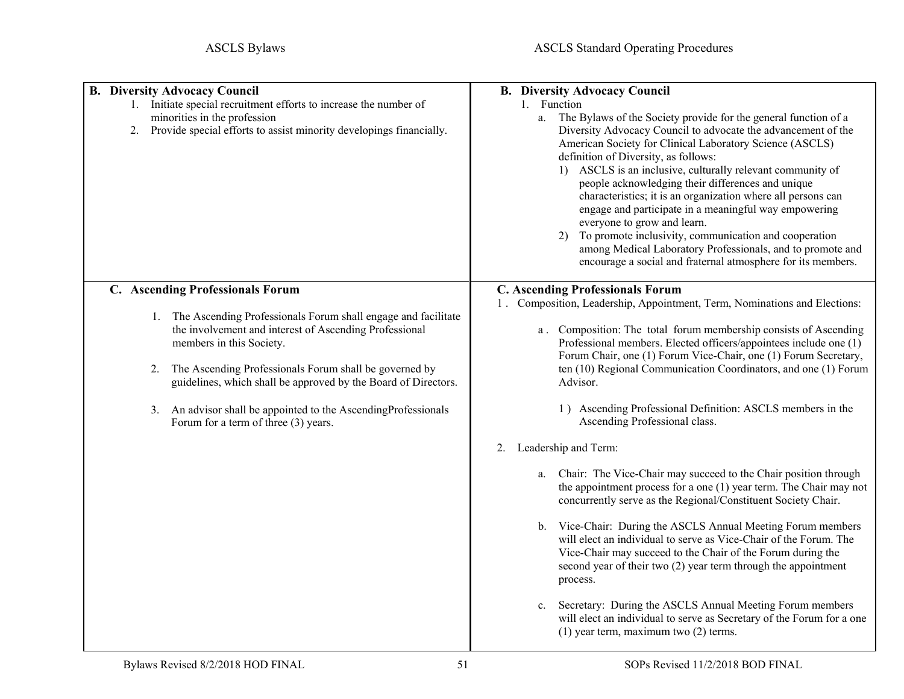<span id="page-50-2"></span><span id="page-50-1"></span><span id="page-50-0"></span>

| <b>B. Diversity Advocacy Council</b><br>1. Initiate special recruitment efforts to increase the number of<br>minorities in the profession<br>Provide special efforts to assist minority developings financially.<br>2.                                                                                                                                                                                                                    | <b>B.</b> Diversity Advocacy Council<br>1. Function<br>The Bylaws of the Society provide for the general function of a<br>a.<br>Diversity Advocacy Council to advocate the advancement of the<br>American Society for Clinical Laboratory Science (ASCLS)<br>definition of Diversity, as follows:<br>1) ASCLS is an inclusive, culturally relevant community of<br>people acknowledging their differences and unique<br>characteristics; it is an organization where all persons can<br>engage and participate in a meaningful way empowering<br>everyone to grow and learn.<br>To promote inclusivity, communication and cooperation<br>2)<br>among Medical Laboratory Professionals, and to promote and<br>encourage a social and fraternal atmosphere for its members.                                                                                                                                                                                                                                                                                                                                                                                                                                                                |
|-------------------------------------------------------------------------------------------------------------------------------------------------------------------------------------------------------------------------------------------------------------------------------------------------------------------------------------------------------------------------------------------------------------------------------------------|------------------------------------------------------------------------------------------------------------------------------------------------------------------------------------------------------------------------------------------------------------------------------------------------------------------------------------------------------------------------------------------------------------------------------------------------------------------------------------------------------------------------------------------------------------------------------------------------------------------------------------------------------------------------------------------------------------------------------------------------------------------------------------------------------------------------------------------------------------------------------------------------------------------------------------------------------------------------------------------------------------------------------------------------------------------------------------------------------------------------------------------------------------------------------------------------------------------------------------------|
| C. Ascending Professionals Forum<br>1. The Ascending Professionals Forum shall engage and facilitate<br>the involvement and interest of Ascending Professional<br>members in this Society.<br>The Ascending Professionals Forum shall be governed by<br>2.<br>guidelines, which shall be approved by the Board of Directors.<br>An advisor shall be appointed to the AscendingProfessionals<br>3.<br>Forum for a term of three (3) years. | <b>C. Ascending Professionals Forum</b><br>1. Composition, Leadership, Appointment, Term, Nominations and Elections:<br>a. Composition: The total forum membership consists of Ascending<br>Professional members. Elected officers/appointees include one (1)<br>Forum Chair, one (1) Forum Vice-Chair, one (1) Forum Secretary,<br>ten (10) Regional Communication Coordinators, and one (1) Forum<br>Advisor.<br>1) Ascending Professional Definition: ASCLS members in the<br>Ascending Professional class.<br>Leadership and Term:<br>2.<br>Chair: The Vice-Chair may succeed to the Chair position through<br>a.<br>the appointment process for a one $(1)$ year term. The Chair may not<br>concurrently serve as the Regional/Constituent Society Chair.<br>b. Vice-Chair: During the ASCLS Annual Meeting Forum members<br>will elect an individual to serve as Vice-Chair of the Forum. The<br>Vice-Chair may succeed to the Chair of the Forum during the<br>second year of their two (2) year term through the appointment<br>process.<br>Secretary: During the ASCLS Annual Meeting Forum members<br>c.<br>will elect an individual to serve as Secretary of the Forum for a one<br>$(1)$ year term, maximum two $(2)$ terms. |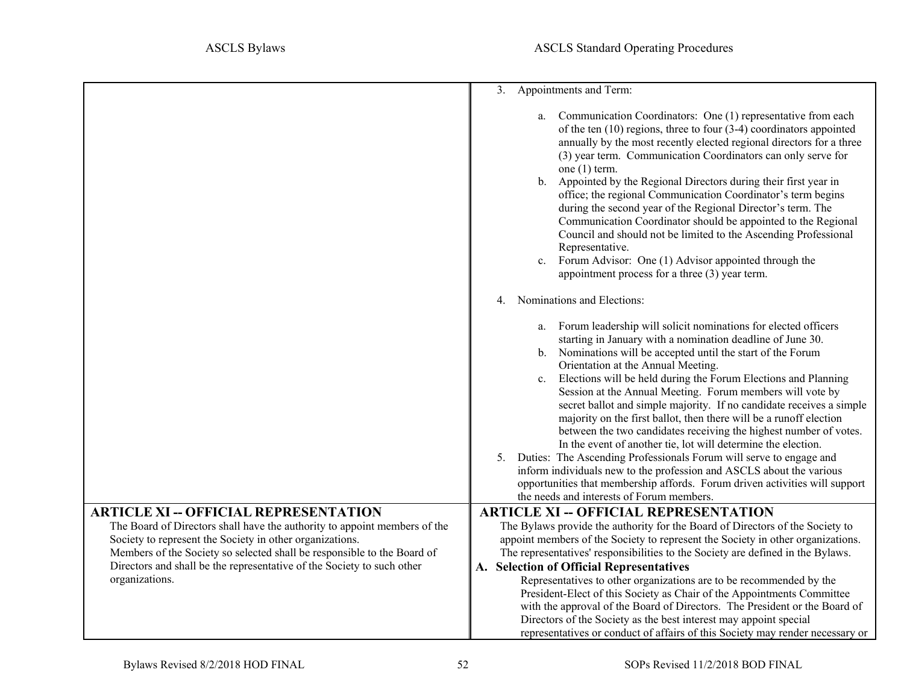<span id="page-51-1"></span><span id="page-51-0"></span>

|                                                                                                                                                                                                               | 3. Appointments and Term:                                                                                                                                                                                                                                                                                                                                                                                                                                                                                                                                                                                                                                                                                                                                                                                                                                                                                                                               |  |  |
|---------------------------------------------------------------------------------------------------------------------------------------------------------------------------------------------------------------|---------------------------------------------------------------------------------------------------------------------------------------------------------------------------------------------------------------------------------------------------------------------------------------------------------------------------------------------------------------------------------------------------------------------------------------------------------------------------------------------------------------------------------------------------------------------------------------------------------------------------------------------------------------------------------------------------------------------------------------------------------------------------------------------------------------------------------------------------------------------------------------------------------------------------------------------------------|--|--|
|                                                                                                                                                                                                               | Communication Coordinators: One (1) representative from each<br>a.<br>of the ten $(10)$ regions, three to four $(3-4)$ coordinators appointed<br>annually by the most recently elected regional directors for a three<br>(3) year term. Communication Coordinators can only serve for<br>one $(1)$ term.<br>Appointed by the Regional Directors during their first year in<br>$\mathbf{b}$ .                                                                                                                                                                                                                                                                                                                                                                                                                                                                                                                                                            |  |  |
|                                                                                                                                                                                                               | office; the regional Communication Coordinator's term begins<br>during the second year of the Regional Director's term. The<br>Communication Coordinator should be appointed to the Regional<br>Council and should not be limited to the Ascending Professional<br>Representative.                                                                                                                                                                                                                                                                                                                                                                                                                                                                                                                                                                                                                                                                      |  |  |
|                                                                                                                                                                                                               | Forum Advisor: One (1) Advisor appointed through the<br>$c_{\cdot}$<br>appointment process for a three (3) year term.                                                                                                                                                                                                                                                                                                                                                                                                                                                                                                                                                                                                                                                                                                                                                                                                                                   |  |  |
|                                                                                                                                                                                                               | Nominations and Elections:<br>4.                                                                                                                                                                                                                                                                                                                                                                                                                                                                                                                                                                                                                                                                                                                                                                                                                                                                                                                        |  |  |
|                                                                                                                                                                                                               | a. Forum leadership will solicit nominations for elected officers<br>starting in January with a nomination deadline of June 30.<br>b. Nominations will be accepted until the start of the Forum<br>Orientation at the Annual Meeting.<br>Elections will be held during the Forum Elections and Planning<br>$c_{\cdot}$<br>Session at the Annual Meeting. Forum members will vote by<br>secret ballot and simple majority. If no candidate receives a simple<br>majority on the first ballot, then there will be a runoff election<br>between the two candidates receiving the highest number of votes.<br>In the event of another tie, lot will determine the election.<br>Duties: The Ascending Professionals Forum will serve to engage and<br>5.<br>inform individuals new to the profession and ASCLS about the various<br>opportunities that membership affords. Forum driven activities will support<br>the needs and interests of Forum members. |  |  |
| <b>ARTICLE XI -- OFFICIAL REPRESENTATION</b><br>The Board of Directors shall have the authority to appoint members of the                                                                                     | <b>ARTICLE XI -- OFFICIAL REPRESENTATION</b><br>The Bylaws provide the authority for the Board of Directors of the Society to                                                                                                                                                                                                                                                                                                                                                                                                                                                                                                                                                                                                                                                                                                                                                                                                                           |  |  |
| Society to represent the Society in other organizations.<br>Members of the Society so selected shall be responsible to the Board of<br>Directors and shall be the representative of the Society to such other | appoint members of the Society to represent the Society in other organizations.<br>The representatives' responsibilities to the Society are defined in the Bylaws.<br>A. Selection of Official Representatives                                                                                                                                                                                                                                                                                                                                                                                                                                                                                                                                                                                                                                                                                                                                          |  |  |
| organizations.                                                                                                                                                                                                | Representatives to other organizations are to be recommended by the<br>President-Elect of this Society as Chair of the Appointments Committee<br>with the approval of the Board of Directors. The President or the Board of<br>Directors of the Society as the best interest may appoint special<br>representatives or conduct of affairs of this Society may render necessary or                                                                                                                                                                                                                                                                                                                                                                                                                                                                                                                                                                       |  |  |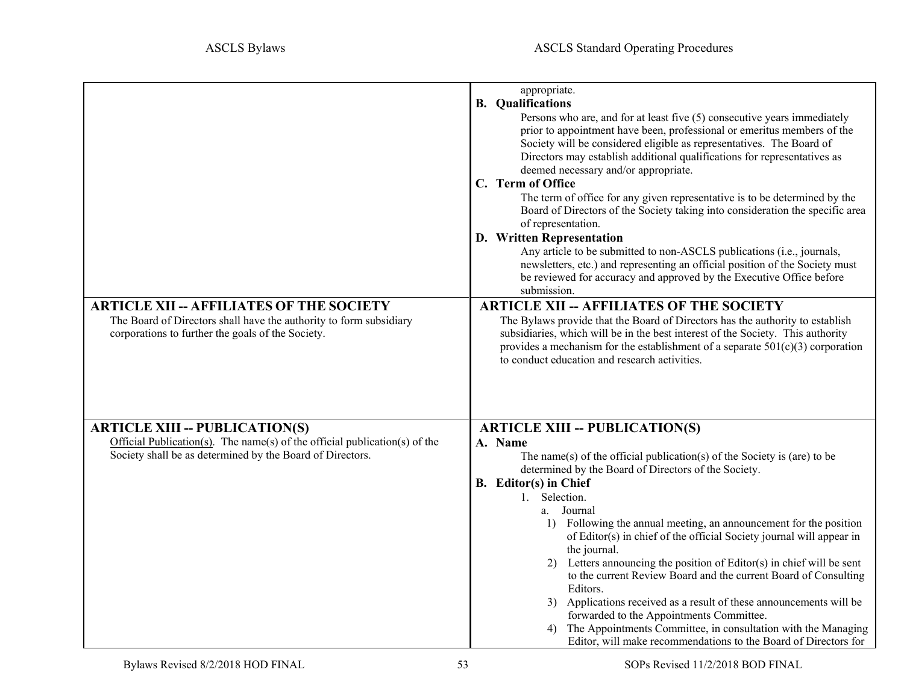<span id="page-52-7"></span><span id="page-52-6"></span><span id="page-52-5"></span><span id="page-52-4"></span><span id="page-52-3"></span><span id="page-52-2"></span><span id="page-52-1"></span><span id="page-52-0"></span>

| <b>ARTICLE XII -- AFFILIATES OF THE SOCIETY</b><br>The Board of Directors shall have the authority to form subsidiary<br>corporations to further the goals of the Society.       | appropriate.<br><b>B.</b> Qualifications<br>Persons who are, and for at least five (5) consecutive years immediately<br>prior to appointment have been, professional or emeritus members of the<br>Society will be considered eligible as representatives. The Board of<br>Directors may establish additional qualifications for representatives as<br>deemed necessary and/or appropriate.<br>C. Term of Office<br>The term of office for any given representative is to be determined by the<br>Board of Directors of the Society taking into consideration the specific area<br>of representation.<br>D. Written Representation<br>Any article to be submitted to non-ASCLS publications (i.e., journals,<br>newsletters, etc.) and representing an official position of the Society must<br>be reviewed for accuracy and approved by the Executive Office before<br>submission.<br><b>ARTICLE XII -- AFFILIATES OF THE SOCIETY</b><br>The Bylaws provide that the Board of Directors has the authority to establish<br>subsidiaries, which will be in the best interest of the Society. This authority<br>provides a mechanism for the establishment of a separate $501(c)(3)$ corporation<br>to conduct education and research activities. |
|----------------------------------------------------------------------------------------------------------------------------------------------------------------------------------|-------------------------------------------------------------------------------------------------------------------------------------------------------------------------------------------------------------------------------------------------------------------------------------------------------------------------------------------------------------------------------------------------------------------------------------------------------------------------------------------------------------------------------------------------------------------------------------------------------------------------------------------------------------------------------------------------------------------------------------------------------------------------------------------------------------------------------------------------------------------------------------------------------------------------------------------------------------------------------------------------------------------------------------------------------------------------------------------------------------------------------------------------------------------------------------------------------------------------------------------------|
| <b>ARTICLE XIII -- PUBLICATION(S)</b><br>Official Publication(s). The name(s) of the official publication(s) of the<br>Society shall be as determined by the Board of Directors. | <b>ARTICLE XIII -- PUBLICATION(S)</b><br>A. Name<br>The name(s) of the official publication(s) of the Society is (are) to be<br>determined by the Board of Directors of the Society.<br><b>B.</b> Editor(s) in Chief<br>1. Selection.<br>a. Journal<br>1) Following the annual meeting, an announcement for the position<br>of Editor(s) in chief of the official Society journal will appear in<br>the journal.<br>2) Letters announcing the position of Editor(s) in chief will be sent<br>to the current Review Board and the current Board of Consulting<br>Editors.<br>3) Applications received as a result of these announcements will be<br>forwarded to the Appointments Committee.<br>4) The Appointments Committee, in consultation with the Managing<br>Editor, will make recommendations to the Board of Directors for                                                                                                                                                                                                                                                                                                                                                                                                              |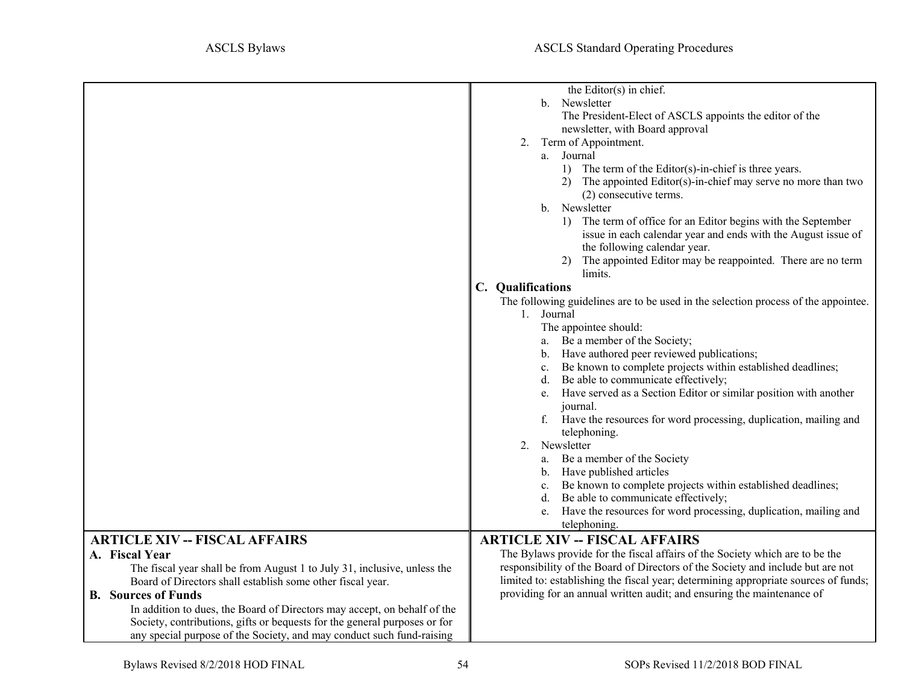<span id="page-53-4"></span><span id="page-53-3"></span><span id="page-53-2"></span><span id="page-53-1"></span><span id="page-53-0"></span>

|                                                                                                                                                                      | the Editor(s) in chief.                                                                                                                                       |  |  |
|----------------------------------------------------------------------------------------------------------------------------------------------------------------------|---------------------------------------------------------------------------------------------------------------------------------------------------------------|--|--|
|                                                                                                                                                                      | b. Newsletter                                                                                                                                                 |  |  |
|                                                                                                                                                                      | The President-Elect of ASCLS appoints the editor of the                                                                                                       |  |  |
|                                                                                                                                                                      | newsletter, with Board approval                                                                                                                               |  |  |
|                                                                                                                                                                      | 2. Term of Appointment.                                                                                                                                       |  |  |
|                                                                                                                                                                      | a. Journal                                                                                                                                                    |  |  |
|                                                                                                                                                                      | 1) The term of the Editor(s)-in-chief is three years.                                                                                                         |  |  |
|                                                                                                                                                                      | 2) The appointed Editor(s)-in-chief may serve no more than two                                                                                                |  |  |
|                                                                                                                                                                      | (2) consecutive terms.                                                                                                                                        |  |  |
|                                                                                                                                                                      | b. Newsletter                                                                                                                                                 |  |  |
|                                                                                                                                                                      | 1) The term of office for an Editor begins with the September                                                                                                 |  |  |
|                                                                                                                                                                      | issue in each calendar year and ends with the August issue of                                                                                                 |  |  |
|                                                                                                                                                                      | the following calendar year.                                                                                                                                  |  |  |
|                                                                                                                                                                      | The appointed Editor may be reappointed. There are no term                                                                                                    |  |  |
|                                                                                                                                                                      | limits.                                                                                                                                                       |  |  |
|                                                                                                                                                                      | C. Qualifications                                                                                                                                             |  |  |
|                                                                                                                                                                      | The following guidelines are to be used in the selection process of the appointee.                                                                            |  |  |
|                                                                                                                                                                      | 1. Journal                                                                                                                                                    |  |  |
|                                                                                                                                                                      | The appointee should:                                                                                                                                         |  |  |
|                                                                                                                                                                      | Be a member of the Society;<br>a.                                                                                                                             |  |  |
|                                                                                                                                                                      | b. Have authored peer reviewed publications;                                                                                                                  |  |  |
|                                                                                                                                                                      | Be known to complete projects within established deadlines;<br>c.                                                                                             |  |  |
|                                                                                                                                                                      | Be able to communicate effectively;<br>d.                                                                                                                     |  |  |
|                                                                                                                                                                      | e. Have served as a Section Editor or similar position with another                                                                                           |  |  |
|                                                                                                                                                                      | journal.                                                                                                                                                      |  |  |
|                                                                                                                                                                      | f. Have the resources for word processing, duplication, mailing and                                                                                           |  |  |
|                                                                                                                                                                      | telephoning.                                                                                                                                                  |  |  |
|                                                                                                                                                                      | Newsletter<br>2.                                                                                                                                              |  |  |
|                                                                                                                                                                      | a. Be a member of the Society                                                                                                                                 |  |  |
|                                                                                                                                                                      | b. Have published articles                                                                                                                                    |  |  |
|                                                                                                                                                                      | c. Be known to complete projects within established deadlines;                                                                                                |  |  |
|                                                                                                                                                                      | Be able to communicate effectively;<br>d.                                                                                                                     |  |  |
|                                                                                                                                                                      | e. Have the resources for word processing, duplication, mailing and                                                                                           |  |  |
|                                                                                                                                                                      | telephoning.                                                                                                                                                  |  |  |
| <b>ARTICLE XIV -- FISCAL AFFAIRS</b>                                                                                                                                 | <b>ARTICLE XIV -- FISCAL AFFAIRS</b>                                                                                                                          |  |  |
| A. Fiscal Year                                                                                                                                                       | The Bylaws provide for the fiscal affairs of the Society which are to be the                                                                                  |  |  |
| The fiscal year shall be from August 1 to July 31, inclusive, unless the                                                                                             | responsibility of the Board of Directors of the Society and include but are not                                                                               |  |  |
|                                                                                                                                                                      |                                                                                                                                                               |  |  |
|                                                                                                                                                                      |                                                                                                                                                               |  |  |
|                                                                                                                                                                      |                                                                                                                                                               |  |  |
|                                                                                                                                                                      |                                                                                                                                                               |  |  |
|                                                                                                                                                                      |                                                                                                                                                               |  |  |
| Board of Directors shall establish some other fiscal year.<br><b>B.</b> Sources of Funds<br>In addition to dues, the Board of Directors may accept, on behalf of the | limited to: establishing the fiscal year; determining appropriate sources of funds;<br>providing for an annual written audit; and ensuring the maintenance of |  |  |
| Society, contributions, gifts or bequests for the general purposes or for                                                                                            |                                                                                                                                                               |  |  |
| any special purpose of the Society, and may conduct such fund-raising                                                                                                |                                                                                                                                                               |  |  |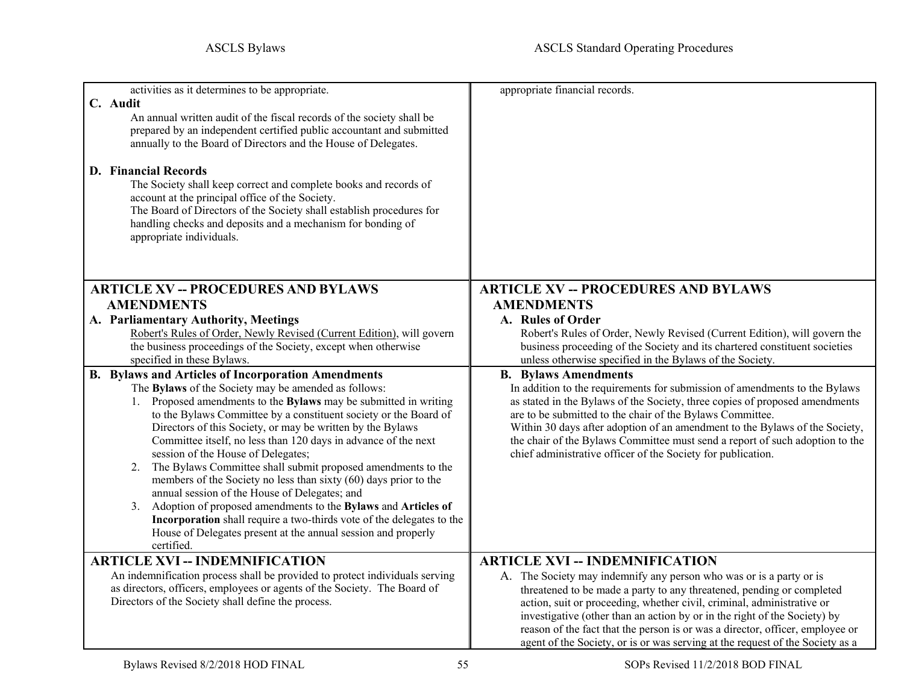<span id="page-54-5"></span><span id="page-54-4"></span><span id="page-54-3"></span><span id="page-54-2"></span><span id="page-54-1"></span><span id="page-54-0"></span>

| activities as it determines to be appropriate.                                                                                                          | appropriate financial records.                                                                                                                      |
|---------------------------------------------------------------------------------------------------------------------------------------------------------|-----------------------------------------------------------------------------------------------------------------------------------------------------|
| C. Audit                                                                                                                                                |                                                                                                                                                     |
| An annual written audit of the fiscal records of the society shall be                                                                                   |                                                                                                                                                     |
| prepared by an independent certified public accountant and submitted                                                                                    |                                                                                                                                                     |
| annually to the Board of Directors and the House of Delegates.                                                                                          |                                                                                                                                                     |
|                                                                                                                                                         |                                                                                                                                                     |
| <b>D.</b> Financial Records                                                                                                                             |                                                                                                                                                     |
| The Society shall keep correct and complete books and records of                                                                                        |                                                                                                                                                     |
| account at the principal office of the Society.                                                                                                         |                                                                                                                                                     |
| The Board of Directors of the Society shall establish procedures for                                                                                    |                                                                                                                                                     |
| handling checks and deposits and a mechanism for bonding of                                                                                             |                                                                                                                                                     |
| appropriate individuals.                                                                                                                                |                                                                                                                                                     |
|                                                                                                                                                         |                                                                                                                                                     |
|                                                                                                                                                         |                                                                                                                                                     |
| <b>ARTICLE XV -- PROCEDURES AND BYLAWS</b>                                                                                                              | <b>ARTICLE XV -- PROCEDURES AND BYLAWS</b>                                                                                                          |
| <b>AMENDMENTS</b>                                                                                                                                       | <b>AMENDMENTS</b>                                                                                                                                   |
| A. Parliamentary Authority, Meetings                                                                                                                    | A. Rules of Order                                                                                                                                   |
| Robert's Rules of Order, Newly Revised (Current Edition), will govern                                                                                   | Robert's Rules of Order, Newly Revised (Current Edition), will govern the                                                                           |
| the business proceedings of the Society, except when otherwise                                                                                          | business proceeding of the Society and its chartered constituent societies                                                                          |
| specified in these Bylaws.                                                                                                                              | unless otherwise specified in the Bylaws of the Society.                                                                                            |
| <b>B.</b> Bylaws and Articles of Incorporation Amendments                                                                                               | <b>B.</b> Bylaws Amendments                                                                                                                         |
| The Bylaws of the Society may be amended as follows:                                                                                                    | In addition to the requirements for submission of amendments to the Bylaws                                                                          |
| 1. Proposed amendments to the Bylaws may be submitted in writing                                                                                        | as stated in the Bylaws of the Society, three copies of proposed amendments                                                                         |
| to the Bylaws Committee by a constituent society or the Board of<br>Directors of this Society, or may be written by the Bylaws                          | are to be submitted to the chair of the Bylaws Committee.<br>Within 30 days after adoption of an amendment to the Bylaws of the Society,            |
| Committee itself, no less than 120 days in advance of the next                                                                                          | the chair of the Bylaws Committee must send a report of such adoption to the                                                                        |
| session of the House of Delegates;                                                                                                                      | chief administrative officer of the Society for publication.                                                                                        |
| 2. The Bylaws Committee shall submit proposed amendments to the                                                                                         |                                                                                                                                                     |
| members of the Society no less than sixty (60) days prior to the                                                                                        |                                                                                                                                                     |
| annual session of the House of Delegates; and                                                                                                           |                                                                                                                                                     |
| 3. Adoption of proposed amendments to the Bylaws and Articles of                                                                                        |                                                                                                                                                     |
| Incorporation shall require a two-thirds vote of the delegates to the                                                                                   |                                                                                                                                                     |
| House of Delegates present at the annual session and properly                                                                                           |                                                                                                                                                     |
| certified.                                                                                                                                              |                                                                                                                                                     |
| <b>ARTICLE XVI -- INDEMNIFICATION</b>                                                                                                                   | <b>ARTICLE XVI -- INDEMNIFICATION</b>                                                                                                               |
| An indemnification process shall be provided to protect individuals serving<br>as directors, officers, employees or agents of the Society. The Board of | A. The Society may indemnify any person who was or is a party or is                                                                                 |
| Directors of the Society shall define the process.                                                                                                      | threatened to be made a party to any threatened, pending or completed                                                                               |
|                                                                                                                                                         | action, suit or proceeding, whether civil, criminal, administrative or<br>investigative (other than an action by or in the right of the Society) by |
|                                                                                                                                                         | reason of the fact that the person is or was a director, officer, employee or                                                                       |
|                                                                                                                                                         | agent of the Society, or is or was serving at the request of the Society as a                                                                       |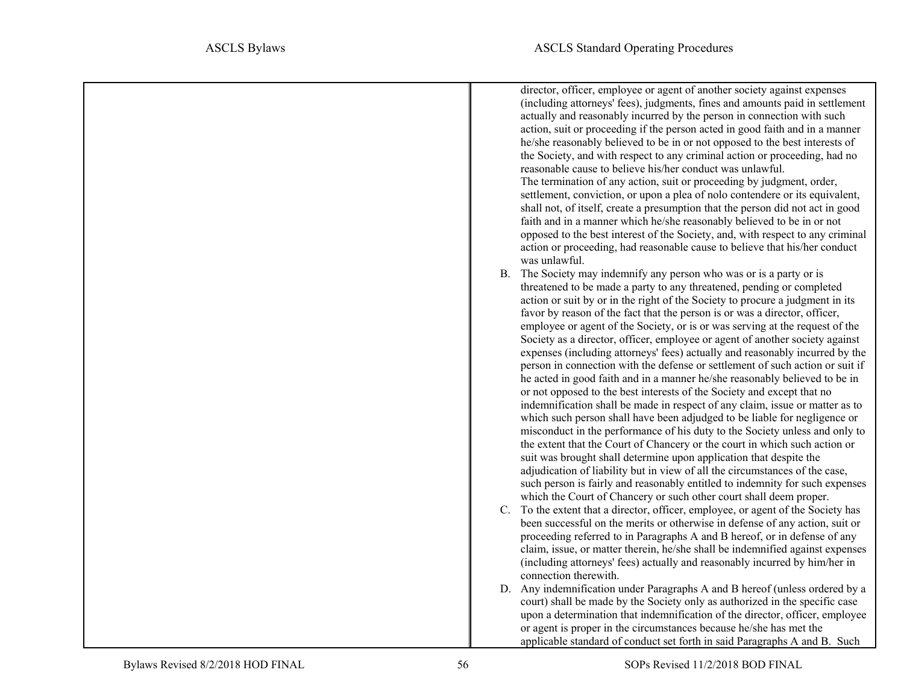director, officer, employee or agent of another society against expenses (including attorneys' fees), judgments, fines and amounts paid in settlement actually and reasonably incurred by the person in connection with such action, suit or proceeding if the person acted in good faith and in a manner he/she reasonably believed to be in or not opposed to the best interests of the Society, and with respect to any criminal action or proceeding, had no reasonable cause to believe his/her conduct was unlawful. The termination of any action, suit or proceeding by judgment, order, settlement, conviction, or upon a plea of nolo contendere or its equivalent, shall not, of itself, create a presumption that the person did not act in good faith and in a manner which he/she reasonably believed to be in or not opposed to the best interest of the Society, and, with respect to any criminal action or proceeding, had reasonable cause to believe that his/her conduct was unlawful. B. The Society may indemnify any person who was or is a party or is threatened to be made a party to any threatened, pending or completed action or suit by or in the right of the Society to procure a judgment in its favor by reason of the fact that the person is or was a director, officer, employee or agent of the Society, or is or was serving at the request of the Society as a director, officer, employee or agent of another society against expenses (including attorneys' fees) actually and reasonably incurred by the person in connection with the defense or settlement of such action or suit if he acted in good faith and in a manner he/she reasonably believed to be in or not opposed to the best interests of the Society and except that no indemnification shall be made in respect of any claim, issue or matter as to which such person shall have been adjudged to be liable for negligence or misconduct in the performance of his duty to the Society unless and only to the extent that the Court of Chancery or the court in which such action or suit was brought shall determine upon application that despite the adjudication of liability but in view of all the circumstances of the case, such person is fairly and reasonably entitled to indemnity for such expenses which the Court of Chancery or such other court shall deem proper. C. To the extent that a director, officer, employee, or agent of the Society has been successful on the merits or otherwise in defense of any action, suit or proceeding referred to in Paragraphs A and B hereof, or in defense of any claim, issue, or matter therein, he/she shall be indemnified against expenses (including attorneys' fees) actually and reasonably incurred by him/her in connection therewith. D. Any indemnification under Paragraphs A and B hereof (unless ordered by a court) shall be made by the Society only as authorized in the specific case upon a determination that indemnification of the director, officer, employee or agent is proper in the circumstances because he/she has met the

applicable standard of conduct set forth in said Paragraphs A and B. Such